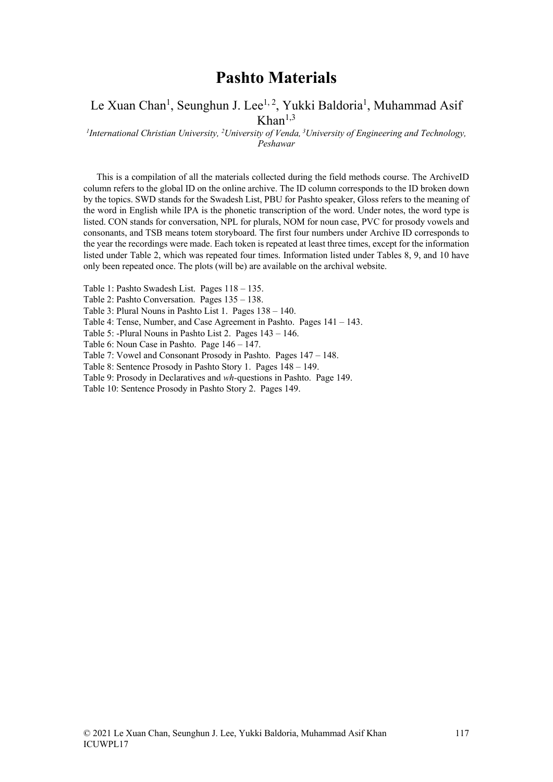## **Pashto Materials**

#### Le Xuan Chan<sup>1</sup>, Seunghun J. Lee<sup>1, 2</sup>, Yukki Baldoria<sup>1</sup>, Muhammad Asif  $Khan<sup>1,3</sup>$

*1 International Christian University, 2 University of Venda, <sup>3</sup> University of Engineering and Technology, Peshawar*

This is a compilation of all the materials collected during the field methods course. The ArchiveID column refers to the global ID on the online archive. The ID column corresponds to the ID broken down by the topics. SWD stands for the Swadesh List, PBU for Pashto speaker, Gloss refers to the meaning of the word in English while IPA is the phonetic transcription of the word. Under notes, the word type is listed. CON stands for conversation, NPL for plurals, NOM for noun case, PVC for prosody vowels and consonants, and TSB means totem storyboard. The first four numbers under Archive ID corresponds to the year the recordings were made. Each token is repeated at least three times, except for the information listed under Table 2, which was repeated four times. Information listed under Tables 8, 9, and 10 have only been repeated once. The plots (will be) are available on the archival website.

Table 1: Pashto Swadesh List. Pages 118 – 135.

Table 2: Pashto Conversation. Pages 135 – 138.

Table 3: Plural Nouns in Pashto List 1. Pages 138 – 140.

Table 4: Tense, Number, and Case Agreement in Pashto. Pages 141 – 143.

Table 5: -Plural Nouns in Pashto List 2. Pages 143 – 146.

Table 6: Noun Case in Pashto. Page 146 – 147.

Table 7: Vowel and Consonant Prosody in Pashto. Pages 147 – 148.

Table 8: Sentence Prosody in Pashto Story 1. Pages 148 – 149.

Table 9: Prosody in Declaratives and *wh-*questions in Pashto. Page 149.

Table 10: Sentence Prosody in Pashto Story 2. Pages 149.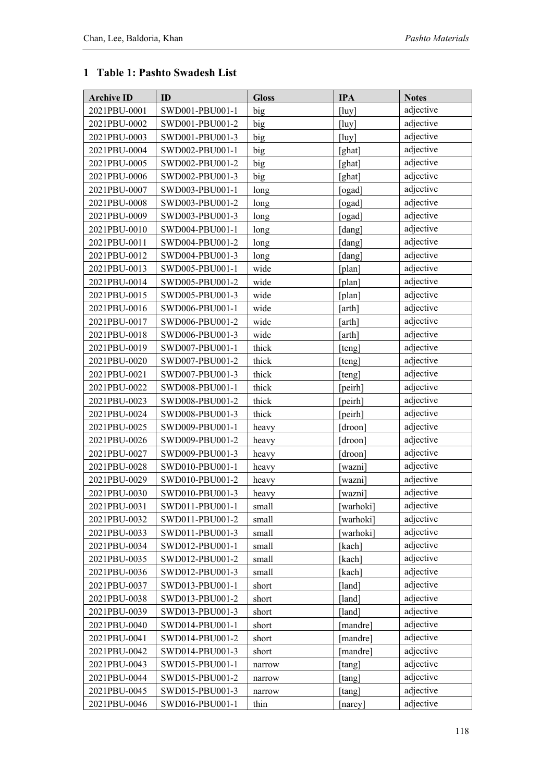#### **1 Table 1: Pashto Swadesh List**

| <b>Archive ID</b> | ID              | <b>Gloss</b> | <b>IPA</b>  | <b>Notes</b> |
|-------------------|-----------------|--------------|-------------|--------------|
| 2021PBU-0001      | SWD001-PBU001-1 | big          | $[$ luy $]$ | adjective    |
| 2021PBU-0002      | SWD001-PBU001-2 | big          | $[$ luy $]$ | adjective    |
| 2021PBU-0003      | SWD001-PBU001-3 | big          | $[$ luy $]$ | adjective    |
| 2021PBU-0004      | SWD002-PBU001-1 | big          | [ghat]      | adjective    |
| 2021PBU-0005      | SWD002-PBU001-2 | big          | [ghat]      | adjective    |
| 2021PBU-0006      | SWD002-PBU001-3 | big          | [ghat]      | adjective    |
| 2021PBU-0007      | SWD003-PBU001-1 | long         | [ogad]      | adjective    |
| 2021PBU-0008      | SWD003-PBU001-2 | long         | ogad]       | adjective    |
| 2021PBU-0009      | SWD003-PBU001-3 | long         | [ogad]      | adjective    |
| 2021PBU-0010      | SWD004-PBU001-1 | long         | [dang]      | adjective    |
| 2021PBU-0011      | SWD004-PBU001-2 | long         | [dang]      | adjective    |
| 2021PBU-0012      | SWD004-PBU001-3 | long         | [dang]      | adjective    |
| 2021PBU-0013      | SWD005-PBU001-1 | wide         | [plan]      | adjective    |
| 2021PBU-0014      | SWD005-PBU001-2 | wide         | [plan]      | adjective    |
| 2021PBU-0015      | SWD005-PBU001-3 | wide         | [plan]      | adjective    |
| 2021PBU-0016      | SWD006-PBU001-1 | wide         | [arth]      | adjective    |
| 2021PBU-0017      | SWD006-PBU001-2 | wide         | [arth]      | adjective    |
| 2021PBU-0018      | SWD006-PBU001-3 | wide         | [arth]      | adjective    |
| 2021PBU-0019      | SWD007-PBU001-1 | thick        | [teng]      | adjective    |
| 2021PBU-0020      | SWD007-PBU001-2 | thick        | [teng]      | adjective    |
| 2021PBU-0021      | SWD007-PBU001-3 | thick        | [teng]      | adjective    |
| 2021PBU-0022      | SWD008-PBU001-1 | thick        | [peirh]     | adjective    |
| 2021PBU-0023      | SWD008-PBU001-2 | thick        | [peirh]     | adjective    |
| 2021PBU-0024      | SWD008-PBU001-3 | thick        | [peirh]     | adjective    |
| 2021PBU-0025      | SWD009-PBU001-1 | heavy        | [droon]     | adjective    |
| 2021PBU-0026      | SWD009-PBU001-2 | heavy        | [droon]     | adjective    |
| 2021PBU-0027      | SWD009-PBU001-3 | heavy        | droon]      | adjective    |
| 2021PBU-0028      | SWD010-PBU001-1 | heavy        | [wazni]     | adjective    |
| 2021PBU-0029      | SWD010-PBU001-2 | heavy        | [wazni]     | adjective    |
| 2021PBU-0030      | SWD010-PBU001-3 | heavy        | [wazni]     | adjective    |
| 2021PBU-0031      | SWD011-PBU001-1 | small        | [warhoki]   | adjective    |
| 2021PBU-0032      | SWD011-PBU001-2 | small        | [warhoki]   | adjective    |
| 2021PBU-0033      | SWD011-PBU001-3 | small        | [warhoki]   | adjective    |
| 2021PBU-0034      | SWD012-PBU001-1 | small        | [kach]      | adjective    |
| 2021PBU-0035      | SWD012-PBU001-2 | small        | [kach]      | adjective    |
| 2021PBU-0036      | SWD012-PBU001-3 | small        | [kach]      | adjective    |
| 2021PBU-0037      | SWD013-PBU001-1 | short        | [land]      | adjective    |
| 2021PBU-0038      | SWD013-PBU001-2 | short        | [land]      | adjective    |
| 2021PBU-0039      | SWD013-PBU001-3 | short        | [land]      | adjective    |
| 2021PBU-0040      | SWD014-PBU001-1 | short        | [mandre]    | adjective    |
| 2021PBU-0041      | SWD014-PBU001-2 | short        | [mandre]    | adjective    |
| 2021PBU-0042      | SWD014-PBU001-3 | short        | [mandre]    | adjective    |
| 2021PBU-0043      | SWD015-PBU001-1 | narrow       | [tang]      | adjective    |
| 2021PBU-0044      | SWD015-PBU001-2 | narrow       | [tang]      | adjective    |
| 2021PBU-0045      | SWD015-PBU001-3 | narrow       | [tang]      | adjective    |
| 2021PBU-0046      | SWD016-PBU001-1 | thin         | [narey]     | adjective    |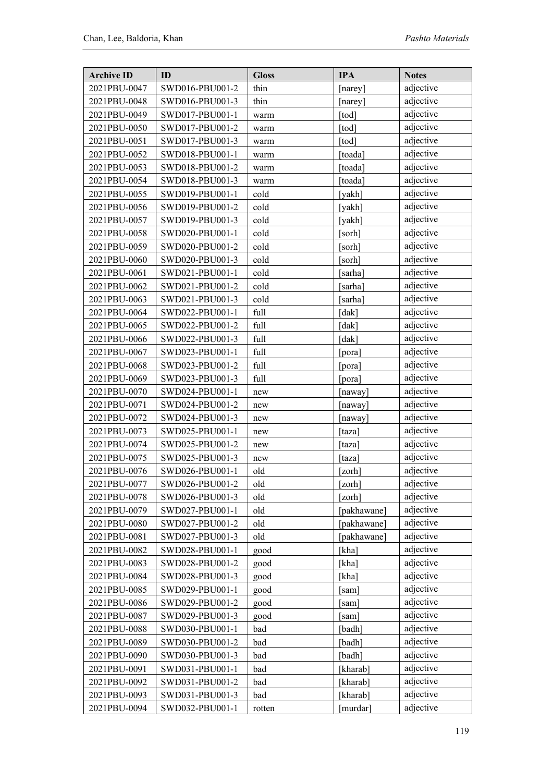| <b>Archive ID</b> | ID              | <b>Gloss</b> | <b>IPA</b>  | <b>Notes</b> |
|-------------------|-----------------|--------------|-------------|--------------|
| 2021PBU-0047      | SWD016-PBU001-2 | thin         | [narey]     | adjective    |
| 2021PBU-0048      | SWD016-PBU001-3 | thin         | [narey]     | adjective    |
| 2021PBU-0049      | SWD017-PBU001-1 | warm         | [tod]       | adjective    |
| 2021PBU-0050      | SWD017-PBU001-2 | warm         | [tod]       | adjective    |
| 2021PBU-0051      | SWD017-PBU001-3 | warm         | [tod]       | adjective    |
| 2021PBU-0052      | SWD018-PBU001-1 | warm         | [toada]     | adjective    |
| 2021PBU-0053      | SWD018-PBU001-2 | warm         | [toada]     | adjective    |
| 2021PBU-0054      | SWD018-PBU001-3 | warm         | [toada]     | adjective    |
| 2021PBU-0055      | SWD019-PBU001-1 | cold         | [yakh]      | adjective    |
| 2021PBU-0056      | SWD019-PBU001-2 | cold         | [yakh]      | adjective    |
| 2021PBU-0057      | SWD019-PBU001-3 | cold         | [yakh]      | adjective    |
| 2021PBU-0058      | SWD020-PBU001-1 | cold         | sorh]       | adjective    |
| 2021PBU-0059      | SWD020-PBU001-2 | cold         | [sorh]      | adjective    |
| 2021PBU-0060      | SWD020-PBU001-3 | cold         | [sorh]      | adjective    |
| 2021PBU-0061      | SWD021-PBU001-1 | cold         | [sarha]     | adjective    |
| 2021PBU-0062      | SWD021-PBU001-2 | cold         | [sarha]     | adjective    |
| 2021PBU-0063      | SWD021-PBU001-3 | cold         | [sarha]     | adjective    |
| 2021PBU-0064      | SWD022-PBU001-1 | full         | [dak]       | adjective    |
| 2021PBU-0065      | SWD022-PBU001-2 | full         | [dak]       | adjective    |
| 2021PBU-0066      | SWD022-PBU001-3 | full         | [dak]       | adjective    |
| 2021PBU-0067      | SWD023-PBU001-1 | full         | [pora]      | adjective    |
| 2021PBU-0068      | SWD023-PBU001-2 | full         | [pora]      | adjective    |
| 2021PBU-0069      | SWD023-PBU001-3 | full         | pora]       | adjective    |
| 2021PBU-0070      | SWD024-PBU001-1 | new          | [naway]     | adjective    |
| 2021PBU-0071      | SWD024-PBU001-2 | new          | [naway]     | adjective    |
| 2021PBU-0072      | SWD024-PBU001-3 | new          | [naway]     | adjective    |
| 2021PBU-0073      | SWD025-PBU001-1 | new          | [taza]      | adjective    |
| 2021PBU-0074      | SWD025-PBU001-2 | new          | [taza]      | adjective    |
| 2021PBU-0075      | SWD025-PBU001-3 | new          | [taza]      | adjective    |
| 2021PBU-0076      | SWD026-PBU001-1 | old          | [zorh]      | adjective    |
| 2021PBU-0077      | SWD026-PBU001-2 | old          | [zorh]      | adjective    |
| 2021PBU-0078      | SWD026-PBU001-3 | old          | [zorh]      | adjective    |
| 2021PBU-0079      | SWD027-PBU001-1 | old          | [pakhawane] | adjective    |
| 2021PBU-0080      | SWD027-PBU001-2 | old          | pakhawane]  | adjective    |
| 2021PBU-0081      | SWD027-PBU001-3 | old          | [pakhawane] | adjective    |
| 2021PBU-0082      | SWD028-PBU001-1 | good         | [kha]       | adjective    |
| 2021PBU-0083      | SWD028-PBU001-2 | good         | [kha]       | adjective    |
| 2021PBU-0084      | SWD028-PBU001-3 | good         | [kha]       | adjective    |
| 2021PBU-0085      | SWD029-PBU001-1 | good         | sam]        | adjective    |
| 2021PBU-0086      | SWD029-PBU001-2 | good         | [sam]       | adjective    |
| 2021PBU-0087      | SWD029-PBU001-3 | good         | [sam]       | adjective    |
| 2021PBU-0088      | SWD030-PBU001-1 | bad          | badh]       | adjective    |
| 2021PBU-0089      | SWD030-PBU001-2 | bad          | [badh]      | adjective    |
| 2021PBU-0090      | SWD030-PBU001-3 | bad          | [badh]      | adjective    |
| 2021PBU-0091      | SWD031-PBU001-1 | bad          | [kharab]    | adjective    |
| 2021PBU-0092      | SWD031-PBU001-2 | bad          | [kharab]    | adjective    |
| 2021PBU-0093      | SWD031-PBU001-3 | bad          | [kharab]    | adjective    |
| 2021PBU-0094      | SWD032-PBU001-1 | rotten       | [murdar]    | adjective    |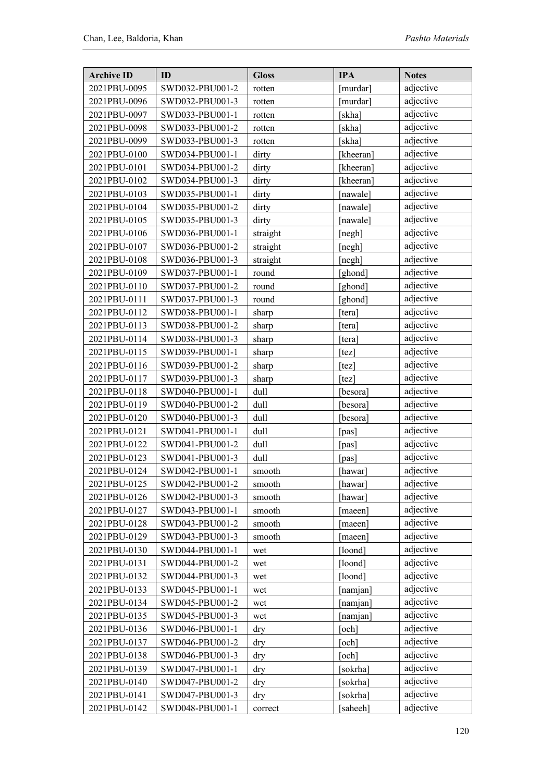| <b>Archive ID</b> | ID              | <b>Gloss</b> | <b>IPA</b> | <b>Notes</b> |
|-------------------|-----------------|--------------|------------|--------------|
| 2021PBU-0095      | SWD032-PBU001-2 | rotten       | murdar]    | adjective    |
| 2021PBU-0096      | SWD032-PBU001-3 | rotten       | [murdar]   | adjective    |
| 2021PBU-0097      | SWD033-PBU001-1 | rotten       | [skha]     | adjective    |
| 2021PBU-0098      | SWD033-PBU001-2 | rotten       | [skha]     | adjective    |
| 2021PBU-0099      | SWD033-PBU001-3 | rotten       | [skha]     | adjective    |
| 2021PBU-0100      | SWD034-PBU001-1 | dirty        | [kheeran]  | adjective    |
| 2021PBU-0101      | SWD034-PBU001-2 | dirty        | [kheeran]  | adjective    |
| 2021PBU-0102      | SWD034-PBU001-3 | dirty        | [kheeran]  | adjective    |
| 2021PBU-0103      | SWD035-PBU001-1 | dirty        | nawale]    | adjective    |
| 2021PBU-0104      | SWD035-PBU001-2 | dirty        | [nawale]   | adjective    |
| 2021PBU-0105      | SWD035-PBU001-3 | dirty        | [nawale]   | adjective    |
| 2021PBU-0106      | SWD036-PBU001-1 | straight     | negh]      | adjective    |
| 2021PBU-0107      | SWD036-PBU001-2 | straight     | [negh]     | adjective    |
| 2021PBU-0108      | SWD036-PBU001-3 | straight     | [negh]     | adjective    |
| 2021PBU-0109      | SWD037-PBU001-1 | round        | [ghond]    | adjective    |
| 2021PBU-0110      | SWD037-PBU001-2 | round        | [ghond]    | adjective    |
| 2021PBU-0111      | SWD037-PBU001-3 | round        | [ghond]    | adjective    |
| 2021PBU-0112      | SWD038-PBU001-1 | sharp        | [tera]     | adjective    |
| 2021PBU-0113      | SWD038-PBU001-2 | sharp        | [tera]     | adjective    |
| 2021PBU-0114      | SWD038-PBU001-3 | sharp        | [tera]     | adjective    |
| 2021PBU-0115      | SWD039-PBU001-1 | sharp        | [tez]      | adjective    |
| 2021PBU-0116      | SWD039-PBU001-2 | sharp        | [tez]      | adjective    |
| 2021PBU-0117      | SWD039-PBU001-3 | sharp        | tez]       | adjective    |
| 2021PBU-0118      | SWD040-PBU001-1 | dull         | [besora]   | adjective    |
| 2021PBU-0119      | SWD040-PBU001-2 | dull         | [besora]   | adjective    |
| 2021PBU-0120      | SWD040-PBU001-3 | dull         | besora]    | adjective    |
| 2021PBU-0121      | SWD041-PBU001-1 | dull         | pas]       | adjective    |
| 2021PBU-0122      | SWD041-PBU001-2 | dull         | [pas]      | adjective    |
| 2021PBU-0123      | SWD041-PBU001-3 | dull         | [pas]      | adjective    |
| 2021PBU-0124      | SWD042-PBU001-1 | smooth       | [hawar]    | adjective    |
| 2021PBU-0125      | SWD042-PBU001-2 | smooth       | [hawar]    | adjective    |
| 2021PBU-0126      | SWD042-PBU001-3 | smooth       | [hawar]    | adjective    |
| 2021PBU-0127      | SWD043-PBU001-1 | smooth       | [maeen]    | adjective    |
| 2021PBU-0128      | SWD043-PBU001-2 | smooth       | maeen]     | adjective    |
| 2021PBU-0129      | SWD043-PBU001-3 | smooth       | [maeen]    | adjective    |
| 2021PBU-0130      | SWD044-PBU001-1 | wet          | [loond]    | adjective    |
| 2021PBU-0131      | SWD044-PBU001-2 | wet          | [loond]    | adjective    |
| 2021PBU-0132      | SWD044-PBU001-3 | wet          | [loond]    | adjective    |
| 2021PBU-0133      | SWD045-PBU001-1 | wet          | namjan]    | adjective    |
| 2021PBU-0134      | SWD045-PBU001-2 | wet          | [namjan]   | adjective    |
| 2021PBU-0135      | SWD045-PBU001-3 | wet          | [namjan]   | adjective    |
| 2021PBU-0136      | SWD046-PBU001-1 | dry          | och]       | adjective    |
| 2021PBU-0137      | SWD046-PBU001-2 | dry          | och]       | adjective    |
| 2021PBU-0138      | SWD046-PBU001-3 | dry          | och]       | adjective    |
| 2021PBU-0139      | SWD047-PBU001-1 | dry          | sokrha]    | adjective    |
| 2021PBU-0140      | SWD047-PBU001-2 | dry          | sokrha]    | adjective    |
| 2021PBU-0141      | SWD047-PBU001-3 | dry          | sokrha]    | adjective    |
| 2021PBU-0142      | SWD048-PBU001-1 | correct      | saheeh]    | adjective    |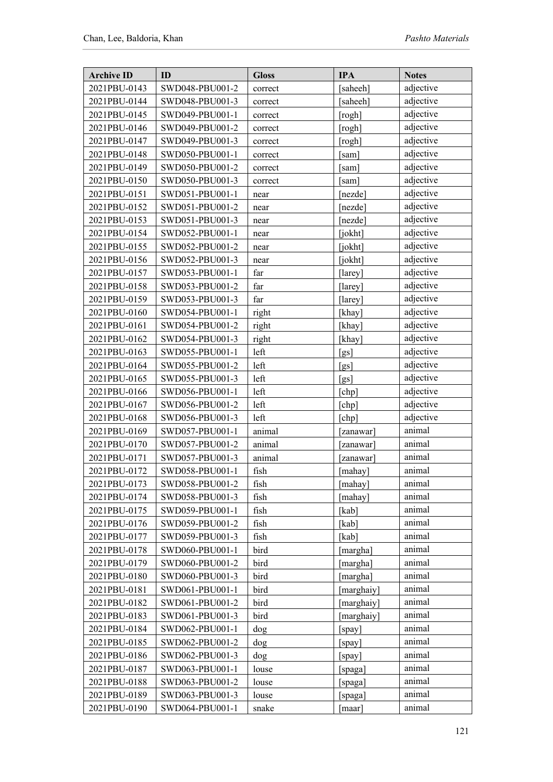| <b>Archive ID</b> | ID              | <b>Gloss</b> | <b>IPA</b> | <b>Notes</b> |
|-------------------|-----------------|--------------|------------|--------------|
| 2021PBU-0143      | SWD048-PBU001-2 | correct      | saheeh]    | adjective    |
| 2021PBU-0144      | SWD048-PBU001-3 | correct      | [saheeh]   | adjective    |
| 2021PBU-0145      | SWD049-PBU001-1 | correct      | [rogh]     | adjective    |
| 2021PBU-0146      | SWD049-PBU001-2 | correct      | [rogh]     | adjective    |
| 2021PBU-0147      | SWD049-PBU001-3 | correct      | [rogh]     | adjective    |
| 2021PBU-0148      | SWD050-PBU001-1 | correct      | [sam]      | adjective    |
| 2021PBU-0149      | SWD050-PBU001-2 | correct      | [sam]      | adjective    |
| 2021PBU-0150      | SWD050-PBU001-3 | correct      | [sam]      | adjective    |
| 2021PBU-0151      | SWD051-PBU001-1 | near         | [nezde]    | adjective    |
| 2021PBU-0152      | SWD051-PBU001-2 | near         | [nezde]    | adjective    |
| 2021PBU-0153      | SWD051-PBU001-3 | near         | [nezde]    | adjective    |
| 2021PBU-0154      | SWD052-PBU001-1 | near         | [jokht]    | adjective    |
| 2021PBU-0155      | SWD052-PBU001-2 | near         | [jokht]    | adjective    |
| 2021PBU-0156      | SWD052-PBU001-3 | near         | [jokht]    | adjective    |
| 2021PBU-0157      | SWD053-PBU001-1 | far          | [larey]    | adjective    |
| 2021PBU-0158      | SWD053-PBU001-2 | far          | [larey]    | adjective    |
| 2021PBU-0159      | SWD053-PBU001-3 | far          | [larey]    | adjective    |
| 2021PBU-0160      | SWD054-PBU001-1 | right        | [khay]     | adjective    |
| 2021PBU-0161      | SWD054-PBU001-2 | right        | [khay]     | adjective    |
| 2021PBU-0162      | SWD054-PBU001-3 | right        | [khay]     | adjective    |
| 2021PBU-0163      | SWD055-PBU001-1 | left         | [gs]       | adjective    |
| 2021PBU-0164      | SWD055-PBU001-2 | left         | [gs]       | adjective    |
| 2021PBU-0165      | SWD055-PBU001-3 | left         | [gs]       | adjective    |
| 2021PBU-0166      | SWD056-PBU001-1 | left         | [chp]      | adjective    |
| 2021PBU-0167      | SWD056-PBU001-2 | left         | [chp]      | adjective    |
| 2021PBU-0168      | SWD056-PBU001-3 | left         | [chp]      | adjective    |
| 2021PBU-0169      | SWD057-PBU001-1 | animal       | [zanawar]  | animal       |
| 2021PBU-0170      | SWD057-PBU001-2 | animal       | [zanawar]  | animal       |
| 2021PBU-0171      | SWD057-PBU001-3 | animal       | [zanawar]  | animal       |
| 2021PBU-0172      | SWD058-PBU001-1 | fish         | [mahay]    | animal       |
| 2021PBU-0173      | SWD058-PBU001-2 | fish         | mahay      | animal       |
| 2021PBU-0174      | SWD058-PBU001-3 | fish         | [mahay]    | animal       |
| 2021PBU-0175      | SWD059-PBU001-1 | fish         | [kab]      | animal       |
| 2021PBU-0176      | SWD059-PBU001-2 | fish         | [kab]      | animal       |
| 2021PBU-0177      | SWD059-PBU001-3 | fish         | [kab]      | animal       |
| 2021PBU-0178      | SWD060-PBU001-1 | bird         | [margha]   | animal       |
| 2021PBU-0179      | SWD060-PBU001-2 | bird         | [margha]   | animal       |
| 2021PBU-0180      | SWD060-PBU001-3 | bird         | [margha]   | animal       |
| 2021PBU-0181      | SWD061-PBU001-1 | bird         | marghaiy]  | animal       |
| 2021PBU-0182      | SWD061-PBU001-2 | bird         | [marghaiy] | animal       |
| 2021PBU-0183      | SWD061-PBU001-3 | bird         | [marghaiy] | animal       |
| 2021PBU-0184      | SWD062-PBU001-1 | dog          | [spay]     | animal       |
| 2021PBU-0185      | SWD062-PBU001-2 | dog          | [spay]     | animal       |
| 2021PBU-0186      | SWD062-PBU001-3 | dog          | [spay]     | animal       |
| 2021PBU-0187      | SWD063-PBU001-1 | louse        | [spaga]    | animal       |
| 2021PBU-0188      | SWD063-PBU001-2 | louse        | [spaga]    | animal       |
| 2021PBU-0189      | SWD063-PBU001-3 | louse        | [spaga]    | animal       |
| 2021PBU-0190      | SWD064-PBU001-1 | snake        | [maar]     | animal       |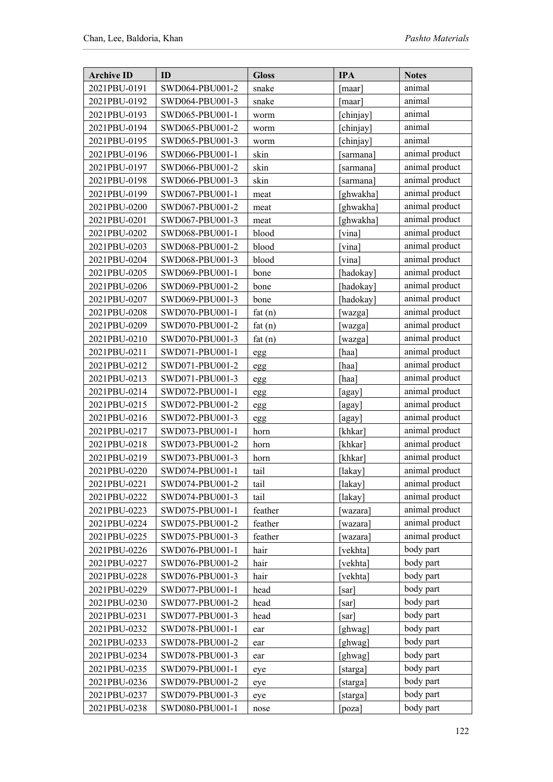| animal<br>2021PBU-0191<br>SWD064-PBU001-2<br>snake<br>[maar]<br>2021PBU-0192<br>SWD064-PBU001-3<br>animal<br>snake<br>[maar]<br>animal<br>2021PBU-0193<br>SWD065-PBU001-1<br>[chinjay]<br>worm<br>animal<br>2021PBU-0194<br>SWD065-PBU001-2<br>[chinjay]<br>worm<br>animal<br>2021PBU-0195<br>SWD065-PBU001-3<br>[chinjay]<br>worm<br>animal product<br>skin<br>2021PBU-0196<br>SWD066-PBU001-1<br>sarmana]<br>animal product<br>skin<br>2021PBU-0197<br>SWD066-PBU001-2<br>[sarmana]<br>animal product<br>skin<br>2021PBU-0198<br>SWD066-PBU001-3<br>sarmana<br>animal product<br>2021PBU-0199<br>SWD067-PBU001-1<br>ghwakha]<br>meat<br>animal product<br>2021PBU-0200<br>SWD067-PBU001-2<br>[ghwakha]<br>meat<br>animal product<br>[ghwakha]<br>2021PBU-0201<br>SWD067-PBU001-3<br>meat<br>animal product<br>2021PBU-0202<br>SWD068-PBU001-1<br>blood<br>vina]<br>animal product<br>2021PBU-0203<br>blood<br>SWD068-PBU001-2<br>[vina]<br>animal product<br>2021PBU-0204<br>SWD068-PBU001-3<br>blood<br>[vina]<br>animal product<br>2021PBU-0205<br>SWD069-PBU001-1<br>[hadokay]<br>bone<br>animal product<br>2021PBU-0206<br>SWD069-PBU001-2<br>[hadokay]<br>bone<br>animal product<br>2021PBU-0207<br>SWD069-PBU001-3<br>bone<br>[hadokay]<br>animal product<br>2021PBU-0208<br>SWD070-PBU001-1<br>fat(n)<br>wazga]<br>animal product<br>2021PBU-0209<br>SWD070-PBU001-2<br>fat $(n)$<br>[wazga]<br>animal product<br>2021PBU-0210<br>SWD070-PBU001-3<br>fat $(n)$<br>[wazga]<br>animal product<br>2021PBU-0211<br>SWD071-PBU001-1<br>[haa]<br>egg<br>animal product<br>2021PBU-0212<br>SWD071-PBU001-2<br>[haa]<br>egg<br>animal product<br>2021PBU-0213<br>SWD071-PBU001-3<br>[haa]<br>egg<br>animal product<br>2021PBU-0214<br>SWD072-PBU001-1<br>[agay]<br>egg<br>animal product<br>2021PBU-0215<br>SWD072-PBU001-2<br>[agay]<br>egg<br>animal product<br>2021PBU-0216<br>SWD072-PBU001-3<br>[agay]<br>egg<br>animal product<br>2021PBU-0217<br>SWD073-PBU001-1<br>[khkar]<br>horn<br>animal product<br>2021PBU-0218<br>SWD073-PBU001-2<br>[khkar]<br>horn<br>animal product<br>2021PBU-0219<br>SWD073-PBU001-3<br>[khkar]<br>horn<br>animal product<br>2021PBU-0220<br>SWD074-PBU001-1<br>tail<br>[lakay]<br>animal product<br>$\ensuremath{\operatorname{tail}}$<br>[lakay]<br>2021PBU-0221<br>SWD074-PBU001-2<br>animal product<br>2021PBU-0222<br>SWD074-PBU001-3<br>tail<br>[lakay]<br>animal product<br>feather<br>2021PBU-0223<br>SWD075-PBU001-1<br>[wazara]<br>animal product<br>feather<br>2021PBU-0224<br>SWD075-PBU001-2<br>wazara]<br>animal product<br>feather<br>2021PBU-0225<br>SWD075-PBU001-3<br>[wazara]<br>body part<br>hair<br>2021PBU-0226<br>SWD076-PBU001-1<br>[vekhta]<br>body part<br>2021PBU-0227<br>SWD076-PBU001-2<br>[vekhta]<br>hair<br>body part<br>2021PBU-0228<br>hair<br>[vekhta]<br>SWD076-PBU001-3<br>body part<br>2021PBU-0229<br>SWD077-PBU001-1<br>head<br>sarl<br>body part<br>2021PBU-0230<br>SWD077-PBU001-2<br>head<br>[sar]<br>body part<br>2021PBU-0231<br>head<br>SWD077-PBU001-3<br>[sar]<br>body part<br>ghwag]<br>2021PBU-0232<br>SWD078-PBU001-1<br>ear<br>body part<br>2021PBU-0233<br>[ghwag]<br>SWD078-PBU001-2<br>ear<br>body part<br>[ghwag]<br>2021PBU-0234<br>SWD078-PBU001-3<br>ear<br>body part<br>2021PBU-0235<br>SWD079-PBU001-1<br>[starga]<br>eye<br>body part<br>2021PBU-0236<br>SWD079-PBU001-2<br>[starga]<br>eye<br>body part<br>2021PBU-0237<br>SWD079-PBU001-3<br>[starga]<br>eye<br>body part<br>2021PBU-0238<br>SWD080-PBU001-1<br>[poza]<br>nose | <b>Archive ID</b> | ID | <b>Gloss</b> | <b>IPA</b> | <b>Notes</b> |
|------------------------------------------------------------------------------------------------------------------------------------------------------------------------------------------------------------------------------------------------------------------------------------------------------------------------------------------------------------------------------------------------------------------------------------------------------------------------------------------------------------------------------------------------------------------------------------------------------------------------------------------------------------------------------------------------------------------------------------------------------------------------------------------------------------------------------------------------------------------------------------------------------------------------------------------------------------------------------------------------------------------------------------------------------------------------------------------------------------------------------------------------------------------------------------------------------------------------------------------------------------------------------------------------------------------------------------------------------------------------------------------------------------------------------------------------------------------------------------------------------------------------------------------------------------------------------------------------------------------------------------------------------------------------------------------------------------------------------------------------------------------------------------------------------------------------------------------------------------------------------------------------------------------------------------------------------------------------------------------------------------------------------------------------------------------------------------------------------------------------------------------------------------------------------------------------------------------------------------------------------------------------------------------------------------------------------------------------------------------------------------------------------------------------------------------------------------------------------------------------------------------------------------------------------------------------------------------------------------------------------------------------------------------------------------------------------------------------------------------------------------------------------------------------------------------------------------------------------------------------------------------------------------------------------------------------------------------------------------------------------------------------------------------------------------------------------------------------------------------------------------------------------------------------------------------------------------------------------------------------------------------------------------------------------------------------------------------------------------------------------------------------------------------------------------------------------------------------------------------------------------------------------------|-------------------|----|--------------|------------|--------------|
|                                                                                                                                                                                                                                                                                                                                                                                                                                                                                                                                                                                                                                                                                                                                                                                                                                                                                                                                                                                                                                                                                                                                                                                                                                                                                                                                                                                                                                                                                                                                                                                                                                                                                                                                                                                                                                                                                                                                                                                                                                                                                                                                                                                                                                                                                                                                                                                                                                                                                                                                                                                                                                                                                                                                                                                                                                                                                                                                                                                                                                                                                                                                                                                                                                                                                                                                                                                                                                                                                                                                    |                   |    |              |            |              |
|                                                                                                                                                                                                                                                                                                                                                                                                                                                                                                                                                                                                                                                                                                                                                                                                                                                                                                                                                                                                                                                                                                                                                                                                                                                                                                                                                                                                                                                                                                                                                                                                                                                                                                                                                                                                                                                                                                                                                                                                                                                                                                                                                                                                                                                                                                                                                                                                                                                                                                                                                                                                                                                                                                                                                                                                                                                                                                                                                                                                                                                                                                                                                                                                                                                                                                                                                                                                                                                                                                                                    |                   |    |              |            |              |
|                                                                                                                                                                                                                                                                                                                                                                                                                                                                                                                                                                                                                                                                                                                                                                                                                                                                                                                                                                                                                                                                                                                                                                                                                                                                                                                                                                                                                                                                                                                                                                                                                                                                                                                                                                                                                                                                                                                                                                                                                                                                                                                                                                                                                                                                                                                                                                                                                                                                                                                                                                                                                                                                                                                                                                                                                                                                                                                                                                                                                                                                                                                                                                                                                                                                                                                                                                                                                                                                                                                                    |                   |    |              |            |              |
|                                                                                                                                                                                                                                                                                                                                                                                                                                                                                                                                                                                                                                                                                                                                                                                                                                                                                                                                                                                                                                                                                                                                                                                                                                                                                                                                                                                                                                                                                                                                                                                                                                                                                                                                                                                                                                                                                                                                                                                                                                                                                                                                                                                                                                                                                                                                                                                                                                                                                                                                                                                                                                                                                                                                                                                                                                                                                                                                                                                                                                                                                                                                                                                                                                                                                                                                                                                                                                                                                                                                    |                   |    |              |            |              |
|                                                                                                                                                                                                                                                                                                                                                                                                                                                                                                                                                                                                                                                                                                                                                                                                                                                                                                                                                                                                                                                                                                                                                                                                                                                                                                                                                                                                                                                                                                                                                                                                                                                                                                                                                                                                                                                                                                                                                                                                                                                                                                                                                                                                                                                                                                                                                                                                                                                                                                                                                                                                                                                                                                                                                                                                                                                                                                                                                                                                                                                                                                                                                                                                                                                                                                                                                                                                                                                                                                                                    |                   |    |              |            |              |
|                                                                                                                                                                                                                                                                                                                                                                                                                                                                                                                                                                                                                                                                                                                                                                                                                                                                                                                                                                                                                                                                                                                                                                                                                                                                                                                                                                                                                                                                                                                                                                                                                                                                                                                                                                                                                                                                                                                                                                                                                                                                                                                                                                                                                                                                                                                                                                                                                                                                                                                                                                                                                                                                                                                                                                                                                                                                                                                                                                                                                                                                                                                                                                                                                                                                                                                                                                                                                                                                                                                                    |                   |    |              |            |              |
|                                                                                                                                                                                                                                                                                                                                                                                                                                                                                                                                                                                                                                                                                                                                                                                                                                                                                                                                                                                                                                                                                                                                                                                                                                                                                                                                                                                                                                                                                                                                                                                                                                                                                                                                                                                                                                                                                                                                                                                                                                                                                                                                                                                                                                                                                                                                                                                                                                                                                                                                                                                                                                                                                                                                                                                                                                                                                                                                                                                                                                                                                                                                                                                                                                                                                                                                                                                                                                                                                                                                    |                   |    |              |            |              |
|                                                                                                                                                                                                                                                                                                                                                                                                                                                                                                                                                                                                                                                                                                                                                                                                                                                                                                                                                                                                                                                                                                                                                                                                                                                                                                                                                                                                                                                                                                                                                                                                                                                                                                                                                                                                                                                                                                                                                                                                                                                                                                                                                                                                                                                                                                                                                                                                                                                                                                                                                                                                                                                                                                                                                                                                                                                                                                                                                                                                                                                                                                                                                                                                                                                                                                                                                                                                                                                                                                                                    |                   |    |              |            |              |
|                                                                                                                                                                                                                                                                                                                                                                                                                                                                                                                                                                                                                                                                                                                                                                                                                                                                                                                                                                                                                                                                                                                                                                                                                                                                                                                                                                                                                                                                                                                                                                                                                                                                                                                                                                                                                                                                                                                                                                                                                                                                                                                                                                                                                                                                                                                                                                                                                                                                                                                                                                                                                                                                                                                                                                                                                                                                                                                                                                                                                                                                                                                                                                                                                                                                                                                                                                                                                                                                                                                                    |                   |    |              |            |              |
|                                                                                                                                                                                                                                                                                                                                                                                                                                                                                                                                                                                                                                                                                                                                                                                                                                                                                                                                                                                                                                                                                                                                                                                                                                                                                                                                                                                                                                                                                                                                                                                                                                                                                                                                                                                                                                                                                                                                                                                                                                                                                                                                                                                                                                                                                                                                                                                                                                                                                                                                                                                                                                                                                                                                                                                                                                                                                                                                                                                                                                                                                                                                                                                                                                                                                                                                                                                                                                                                                                                                    |                   |    |              |            |              |
|                                                                                                                                                                                                                                                                                                                                                                                                                                                                                                                                                                                                                                                                                                                                                                                                                                                                                                                                                                                                                                                                                                                                                                                                                                                                                                                                                                                                                                                                                                                                                                                                                                                                                                                                                                                                                                                                                                                                                                                                                                                                                                                                                                                                                                                                                                                                                                                                                                                                                                                                                                                                                                                                                                                                                                                                                                                                                                                                                                                                                                                                                                                                                                                                                                                                                                                                                                                                                                                                                                                                    |                   |    |              |            |              |
|                                                                                                                                                                                                                                                                                                                                                                                                                                                                                                                                                                                                                                                                                                                                                                                                                                                                                                                                                                                                                                                                                                                                                                                                                                                                                                                                                                                                                                                                                                                                                                                                                                                                                                                                                                                                                                                                                                                                                                                                                                                                                                                                                                                                                                                                                                                                                                                                                                                                                                                                                                                                                                                                                                                                                                                                                                                                                                                                                                                                                                                                                                                                                                                                                                                                                                                                                                                                                                                                                                                                    |                   |    |              |            |              |
|                                                                                                                                                                                                                                                                                                                                                                                                                                                                                                                                                                                                                                                                                                                                                                                                                                                                                                                                                                                                                                                                                                                                                                                                                                                                                                                                                                                                                                                                                                                                                                                                                                                                                                                                                                                                                                                                                                                                                                                                                                                                                                                                                                                                                                                                                                                                                                                                                                                                                                                                                                                                                                                                                                                                                                                                                                                                                                                                                                                                                                                                                                                                                                                                                                                                                                                                                                                                                                                                                                                                    |                   |    |              |            |              |
|                                                                                                                                                                                                                                                                                                                                                                                                                                                                                                                                                                                                                                                                                                                                                                                                                                                                                                                                                                                                                                                                                                                                                                                                                                                                                                                                                                                                                                                                                                                                                                                                                                                                                                                                                                                                                                                                                                                                                                                                                                                                                                                                                                                                                                                                                                                                                                                                                                                                                                                                                                                                                                                                                                                                                                                                                                                                                                                                                                                                                                                                                                                                                                                                                                                                                                                                                                                                                                                                                                                                    |                   |    |              |            |              |
|                                                                                                                                                                                                                                                                                                                                                                                                                                                                                                                                                                                                                                                                                                                                                                                                                                                                                                                                                                                                                                                                                                                                                                                                                                                                                                                                                                                                                                                                                                                                                                                                                                                                                                                                                                                                                                                                                                                                                                                                                                                                                                                                                                                                                                                                                                                                                                                                                                                                                                                                                                                                                                                                                                                                                                                                                                                                                                                                                                                                                                                                                                                                                                                                                                                                                                                                                                                                                                                                                                                                    |                   |    |              |            |              |
|                                                                                                                                                                                                                                                                                                                                                                                                                                                                                                                                                                                                                                                                                                                                                                                                                                                                                                                                                                                                                                                                                                                                                                                                                                                                                                                                                                                                                                                                                                                                                                                                                                                                                                                                                                                                                                                                                                                                                                                                                                                                                                                                                                                                                                                                                                                                                                                                                                                                                                                                                                                                                                                                                                                                                                                                                                                                                                                                                                                                                                                                                                                                                                                                                                                                                                                                                                                                                                                                                                                                    |                   |    |              |            |              |
|                                                                                                                                                                                                                                                                                                                                                                                                                                                                                                                                                                                                                                                                                                                                                                                                                                                                                                                                                                                                                                                                                                                                                                                                                                                                                                                                                                                                                                                                                                                                                                                                                                                                                                                                                                                                                                                                                                                                                                                                                                                                                                                                                                                                                                                                                                                                                                                                                                                                                                                                                                                                                                                                                                                                                                                                                                                                                                                                                                                                                                                                                                                                                                                                                                                                                                                                                                                                                                                                                                                                    |                   |    |              |            |              |
|                                                                                                                                                                                                                                                                                                                                                                                                                                                                                                                                                                                                                                                                                                                                                                                                                                                                                                                                                                                                                                                                                                                                                                                                                                                                                                                                                                                                                                                                                                                                                                                                                                                                                                                                                                                                                                                                                                                                                                                                                                                                                                                                                                                                                                                                                                                                                                                                                                                                                                                                                                                                                                                                                                                                                                                                                                                                                                                                                                                                                                                                                                                                                                                                                                                                                                                                                                                                                                                                                                                                    |                   |    |              |            |              |
|                                                                                                                                                                                                                                                                                                                                                                                                                                                                                                                                                                                                                                                                                                                                                                                                                                                                                                                                                                                                                                                                                                                                                                                                                                                                                                                                                                                                                                                                                                                                                                                                                                                                                                                                                                                                                                                                                                                                                                                                                                                                                                                                                                                                                                                                                                                                                                                                                                                                                                                                                                                                                                                                                                                                                                                                                                                                                                                                                                                                                                                                                                                                                                                                                                                                                                                                                                                                                                                                                                                                    |                   |    |              |            |              |
|                                                                                                                                                                                                                                                                                                                                                                                                                                                                                                                                                                                                                                                                                                                                                                                                                                                                                                                                                                                                                                                                                                                                                                                                                                                                                                                                                                                                                                                                                                                                                                                                                                                                                                                                                                                                                                                                                                                                                                                                                                                                                                                                                                                                                                                                                                                                                                                                                                                                                                                                                                                                                                                                                                                                                                                                                                                                                                                                                                                                                                                                                                                                                                                                                                                                                                                                                                                                                                                                                                                                    |                   |    |              |            |              |
|                                                                                                                                                                                                                                                                                                                                                                                                                                                                                                                                                                                                                                                                                                                                                                                                                                                                                                                                                                                                                                                                                                                                                                                                                                                                                                                                                                                                                                                                                                                                                                                                                                                                                                                                                                                                                                                                                                                                                                                                                                                                                                                                                                                                                                                                                                                                                                                                                                                                                                                                                                                                                                                                                                                                                                                                                                                                                                                                                                                                                                                                                                                                                                                                                                                                                                                                                                                                                                                                                                                                    |                   |    |              |            |              |
|                                                                                                                                                                                                                                                                                                                                                                                                                                                                                                                                                                                                                                                                                                                                                                                                                                                                                                                                                                                                                                                                                                                                                                                                                                                                                                                                                                                                                                                                                                                                                                                                                                                                                                                                                                                                                                                                                                                                                                                                                                                                                                                                                                                                                                                                                                                                                                                                                                                                                                                                                                                                                                                                                                                                                                                                                                                                                                                                                                                                                                                                                                                                                                                                                                                                                                                                                                                                                                                                                                                                    |                   |    |              |            |              |
|                                                                                                                                                                                                                                                                                                                                                                                                                                                                                                                                                                                                                                                                                                                                                                                                                                                                                                                                                                                                                                                                                                                                                                                                                                                                                                                                                                                                                                                                                                                                                                                                                                                                                                                                                                                                                                                                                                                                                                                                                                                                                                                                                                                                                                                                                                                                                                                                                                                                                                                                                                                                                                                                                                                                                                                                                                                                                                                                                                                                                                                                                                                                                                                                                                                                                                                                                                                                                                                                                                                                    |                   |    |              |            |              |
|                                                                                                                                                                                                                                                                                                                                                                                                                                                                                                                                                                                                                                                                                                                                                                                                                                                                                                                                                                                                                                                                                                                                                                                                                                                                                                                                                                                                                                                                                                                                                                                                                                                                                                                                                                                                                                                                                                                                                                                                                                                                                                                                                                                                                                                                                                                                                                                                                                                                                                                                                                                                                                                                                                                                                                                                                                                                                                                                                                                                                                                                                                                                                                                                                                                                                                                                                                                                                                                                                                                                    |                   |    |              |            |              |
|                                                                                                                                                                                                                                                                                                                                                                                                                                                                                                                                                                                                                                                                                                                                                                                                                                                                                                                                                                                                                                                                                                                                                                                                                                                                                                                                                                                                                                                                                                                                                                                                                                                                                                                                                                                                                                                                                                                                                                                                                                                                                                                                                                                                                                                                                                                                                                                                                                                                                                                                                                                                                                                                                                                                                                                                                                                                                                                                                                                                                                                                                                                                                                                                                                                                                                                                                                                                                                                                                                                                    |                   |    |              |            |              |
|                                                                                                                                                                                                                                                                                                                                                                                                                                                                                                                                                                                                                                                                                                                                                                                                                                                                                                                                                                                                                                                                                                                                                                                                                                                                                                                                                                                                                                                                                                                                                                                                                                                                                                                                                                                                                                                                                                                                                                                                                                                                                                                                                                                                                                                                                                                                                                                                                                                                                                                                                                                                                                                                                                                                                                                                                                                                                                                                                                                                                                                                                                                                                                                                                                                                                                                                                                                                                                                                                                                                    |                   |    |              |            |              |
|                                                                                                                                                                                                                                                                                                                                                                                                                                                                                                                                                                                                                                                                                                                                                                                                                                                                                                                                                                                                                                                                                                                                                                                                                                                                                                                                                                                                                                                                                                                                                                                                                                                                                                                                                                                                                                                                                                                                                                                                                                                                                                                                                                                                                                                                                                                                                                                                                                                                                                                                                                                                                                                                                                                                                                                                                                                                                                                                                                                                                                                                                                                                                                                                                                                                                                                                                                                                                                                                                                                                    |                   |    |              |            |              |
|                                                                                                                                                                                                                                                                                                                                                                                                                                                                                                                                                                                                                                                                                                                                                                                                                                                                                                                                                                                                                                                                                                                                                                                                                                                                                                                                                                                                                                                                                                                                                                                                                                                                                                                                                                                                                                                                                                                                                                                                                                                                                                                                                                                                                                                                                                                                                                                                                                                                                                                                                                                                                                                                                                                                                                                                                                                                                                                                                                                                                                                                                                                                                                                                                                                                                                                                                                                                                                                                                                                                    |                   |    |              |            |              |
|                                                                                                                                                                                                                                                                                                                                                                                                                                                                                                                                                                                                                                                                                                                                                                                                                                                                                                                                                                                                                                                                                                                                                                                                                                                                                                                                                                                                                                                                                                                                                                                                                                                                                                                                                                                                                                                                                                                                                                                                                                                                                                                                                                                                                                                                                                                                                                                                                                                                                                                                                                                                                                                                                                                                                                                                                                                                                                                                                                                                                                                                                                                                                                                                                                                                                                                                                                                                                                                                                                                                    |                   |    |              |            |              |
|                                                                                                                                                                                                                                                                                                                                                                                                                                                                                                                                                                                                                                                                                                                                                                                                                                                                                                                                                                                                                                                                                                                                                                                                                                                                                                                                                                                                                                                                                                                                                                                                                                                                                                                                                                                                                                                                                                                                                                                                                                                                                                                                                                                                                                                                                                                                                                                                                                                                                                                                                                                                                                                                                                                                                                                                                                                                                                                                                                                                                                                                                                                                                                                                                                                                                                                                                                                                                                                                                                                                    |                   |    |              |            |              |
|                                                                                                                                                                                                                                                                                                                                                                                                                                                                                                                                                                                                                                                                                                                                                                                                                                                                                                                                                                                                                                                                                                                                                                                                                                                                                                                                                                                                                                                                                                                                                                                                                                                                                                                                                                                                                                                                                                                                                                                                                                                                                                                                                                                                                                                                                                                                                                                                                                                                                                                                                                                                                                                                                                                                                                                                                                                                                                                                                                                                                                                                                                                                                                                                                                                                                                                                                                                                                                                                                                                                    |                   |    |              |            |              |
|                                                                                                                                                                                                                                                                                                                                                                                                                                                                                                                                                                                                                                                                                                                                                                                                                                                                                                                                                                                                                                                                                                                                                                                                                                                                                                                                                                                                                                                                                                                                                                                                                                                                                                                                                                                                                                                                                                                                                                                                                                                                                                                                                                                                                                                                                                                                                                                                                                                                                                                                                                                                                                                                                                                                                                                                                                                                                                                                                                                                                                                                                                                                                                                                                                                                                                                                                                                                                                                                                                                                    |                   |    |              |            |              |
|                                                                                                                                                                                                                                                                                                                                                                                                                                                                                                                                                                                                                                                                                                                                                                                                                                                                                                                                                                                                                                                                                                                                                                                                                                                                                                                                                                                                                                                                                                                                                                                                                                                                                                                                                                                                                                                                                                                                                                                                                                                                                                                                                                                                                                                                                                                                                                                                                                                                                                                                                                                                                                                                                                                                                                                                                                                                                                                                                                                                                                                                                                                                                                                                                                                                                                                                                                                                                                                                                                                                    |                   |    |              |            |              |
|                                                                                                                                                                                                                                                                                                                                                                                                                                                                                                                                                                                                                                                                                                                                                                                                                                                                                                                                                                                                                                                                                                                                                                                                                                                                                                                                                                                                                                                                                                                                                                                                                                                                                                                                                                                                                                                                                                                                                                                                                                                                                                                                                                                                                                                                                                                                                                                                                                                                                                                                                                                                                                                                                                                                                                                                                                                                                                                                                                                                                                                                                                                                                                                                                                                                                                                                                                                                                                                                                                                                    |                   |    |              |            |              |
|                                                                                                                                                                                                                                                                                                                                                                                                                                                                                                                                                                                                                                                                                                                                                                                                                                                                                                                                                                                                                                                                                                                                                                                                                                                                                                                                                                                                                                                                                                                                                                                                                                                                                                                                                                                                                                                                                                                                                                                                                                                                                                                                                                                                                                                                                                                                                                                                                                                                                                                                                                                                                                                                                                                                                                                                                                                                                                                                                                                                                                                                                                                                                                                                                                                                                                                                                                                                                                                                                                                                    |                   |    |              |            |              |
|                                                                                                                                                                                                                                                                                                                                                                                                                                                                                                                                                                                                                                                                                                                                                                                                                                                                                                                                                                                                                                                                                                                                                                                                                                                                                                                                                                                                                                                                                                                                                                                                                                                                                                                                                                                                                                                                                                                                                                                                                                                                                                                                                                                                                                                                                                                                                                                                                                                                                                                                                                                                                                                                                                                                                                                                                                                                                                                                                                                                                                                                                                                                                                                                                                                                                                                                                                                                                                                                                                                                    |                   |    |              |            |              |
|                                                                                                                                                                                                                                                                                                                                                                                                                                                                                                                                                                                                                                                                                                                                                                                                                                                                                                                                                                                                                                                                                                                                                                                                                                                                                                                                                                                                                                                                                                                                                                                                                                                                                                                                                                                                                                                                                                                                                                                                                                                                                                                                                                                                                                                                                                                                                                                                                                                                                                                                                                                                                                                                                                                                                                                                                                                                                                                                                                                                                                                                                                                                                                                                                                                                                                                                                                                                                                                                                                                                    |                   |    |              |            |              |
|                                                                                                                                                                                                                                                                                                                                                                                                                                                                                                                                                                                                                                                                                                                                                                                                                                                                                                                                                                                                                                                                                                                                                                                                                                                                                                                                                                                                                                                                                                                                                                                                                                                                                                                                                                                                                                                                                                                                                                                                                                                                                                                                                                                                                                                                                                                                                                                                                                                                                                                                                                                                                                                                                                                                                                                                                                                                                                                                                                                                                                                                                                                                                                                                                                                                                                                                                                                                                                                                                                                                    |                   |    |              |            |              |
|                                                                                                                                                                                                                                                                                                                                                                                                                                                                                                                                                                                                                                                                                                                                                                                                                                                                                                                                                                                                                                                                                                                                                                                                                                                                                                                                                                                                                                                                                                                                                                                                                                                                                                                                                                                                                                                                                                                                                                                                                                                                                                                                                                                                                                                                                                                                                                                                                                                                                                                                                                                                                                                                                                                                                                                                                                                                                                                                                                                                                                                                                                                                                                                                                                                                                                                                                                                                                                                                                                                                    |                   |    |              |            |              |
|                                                                                                                                                                                                                                                                                                                                                                                                                                                                                                                                                                                                                                                                                                                                                                                                                                                                                                                                                                                                                                                                                                                                                                                                                                                                                                                                                                                                                                                                                                                                                                                                                                                                                                                                                                                                                                                                                                                                                                                                                                                                                                                                                                                                                                                                                                                                                                                                                                                                                                                                                                                                                                                                                                                                                                                                                                                                                                                                                                                                                                                                                                                                                                                                                                                                                                                                                                                                                                                                                                                                    |                   |    |              |            |              |
|                                                                                                                                                                                                                                                                                                                                                                                                                                                                                                                                                                                                                                                                                                                                                                                                                                                                                                                                                                                                                                                                                                                                                                                                                                                                                                                                                                                                                                                                                                                                                                                                                                                                                                                                                                                                                                                                                                                                                                                                                                                                                                                                                                                                                                                                                                                                                                                                                                                                                                                                                                                                                                                                                                                                                                                                                                                                                                                                                                                                                                                                                                                                                                                                                                                                                                                                                                                                                                                                                                                                    |                   |    |              |            |              |
|                                                                                                                                                                                                                                                                                                                                                                                                                                                                                                                                                                                                                                                                                                                                                                                                                                                                                                                                                                                                                                                                                                                                                                                                                                                                                                                                                                                                                                                                                                                                                                                                                                                                                                                                                                                                                                                                                                                                                                                                                                                                                                                                                                                                                                                                                                                                                                                                                                                                                                                                                                                                                                                                                                                                                                                                                                                                                                                                                                                                                                                                                                                                                                                                                                                                                                                                                                                                                                                                                                                                    |                   |    |              |            |              |
|                                                                                                                                                                                                                                                                                                                                                                                                                                                                                                                                                                                                                                                                                                                                                                                                                                                                                                                                                                                                                                                                                                                                                                                                                                                                                                                                                                                                                                                                                                                                                                                                                                                                                                                                                                                                                                                                                                                                                                                                                                                                                                                                                                                                                                                                                                                                                                                                                                                                                                                                                                                                                                                                                                                                                                                                                                                                                                                                                                                                                                                                                                                                                                                                                                                                                                                                                                                                                                                                                                                                    |                   |    |              |            |              |
|                                                                                                                                                                                                                                                                                                                                                                                                                                                                                                                                                                                                                                                                                                                                                                                                                                                                                                                                                                                                                                                                                                                                                                                                                                                                                                                                                                                                                                                                                                                                                                                                                                                                                                                                                                                                                                                                                                                                                                                                                                                                                                                                                                                                                                                                                                                                                                                                                                                                                                                                                                                                                                                                                                                                                                                                                                                                                                                                                                                                                                                                                                                                                                                                                                                                                                                                                                                                                                                                                                                                    |                   |    |              |            |              |
|                                                                                                                                                                                                                                                                                                                                                                                                                                                                                                                                                                                                                                                                                                                                                                                                                                                                                                                                                                                                                                                                                                                                                                                                                                                                                                                                                                                                                                                                                                                                                                                                                                                                                                                                                                                                                                                                                                                                                                                                                                                                                                                                                                                                                                                                                                                                                                                                                                                                                                                                                                                                                                                                                                                                                                                                                                                                                                                                                                                                                                                                                                                                                                                                                                                                                                                                                                                                                                                                                                                                    |                   |    |              |            |              |
|                                                                                                                                                                                                                                                                                                                                                                                                                                                                                                                                                                                                                                                                                                                                                                                                                                                                                                                                                                                                                                                                                                                                                                                                                                                                                                                                                                                                                                                                                                                                                                                                                                                                                                                                                                                                                                                                                                                                                                                                                                                                                                                                                                                                                                                                                                                                                                                                                                                                                                                                                                                                                                                                                                                                                                                                                                                                                                                                                                                                                                                                                                                                                                                                                                                                                                                                                                                                                                                                                                                                    |                   |    |              |            |              |
|                                                                                                                                                                                                                                                                                                                                                                                                                                                                                                                                                                                                                                                                                                                                                                                                                                                                                                                                                                                                                                                                                                                                                                                                                                                                                                                                                                                                                                                                                                                                                                                                                                                                                                                                                                                                                                                                                                                                                                                                                                                                                                                                                                                                                                                                                                                                                                                                                                                                                                                                                                                                                                                                                                                                                                                                                                                                                                                                                                                                                                                                                                                                                                                                                                                                                                                                                                                                                                                                                                                                    |                   |    |              |            |              |
|                                                                                                                                                                                                                                                                                                                                                                                                                                                                                                                                                                                                                                                                                                                                                                                                                                                                                                                                                                                                                                                                                                                                                                                                                                                                                                                                                                                                                                                                                                                                                                                                                                                                                                                                                                                                                                                                                                                                                                                                                                                                                                                                                                                                                                                                                                                                                                                                                                                                                                                                                                                                                                                                                                                                                                                                                                                                                                                                                                                                                                                                                                                                                                                                                                                                                                                                                                                                                                                                                                                                    |                   |    |              |            |              |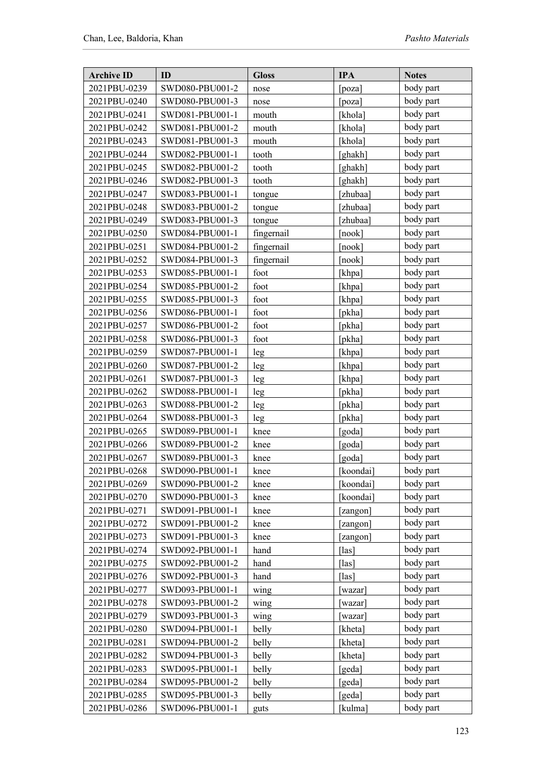| <b>Archive ID</b> | ID              | <b>Gloss</b> | <b>IPA</b> | <b>Notes</b> |
|-------------------|-----------------|--------------|------------|--------------|
| 2021PBU-0239      | SWD080-PBU001-2 | nose         | poza]      | body part    |
| 2021PBU-0240      | SWD080-PBU001-3 | nose         | [poza]     | body part    |
| 2021PBU-0241      | SWD081-PBU001-1 | mouth        | [khola]    | body part    |
| 2021PBU-0242      | SWD081-PBU001-2 | mouth        | [khola]    | body part    |
| 2021PBU-0243      | SWD081-PBU001-3 | mouth        | [khola]    | body part    |
| 2021PBU-0244      | SWD082-PBU001-1 | tooth        | [ghakh]    | body part    |
| 2021PBU-0245      | SWD082-PBU001-2 | tooth        | [ghakh]    | body part    |
| 2021PBU-0246      | SWD082-PBU001-3 | tooth        | [ghakh]    | body part    |
| 2021PBU-0247      | SWD083-PBU001-1 | tongue       | [zhubaa]   | body part    |
| 2021PBU-0248      | SWD083-PBU001-2 | tongue       | [zhubaa]   | body part    |
| 2021PBU-0249      | SWD083-PBU001-3 | tongue       | [zhubaa]   | body part    |
| 2021PBU-0250      | SWD084-PBU001-1 | fingernail   | [nook]     | body part    |
| 2021PBU-0251      | SWD084-PBU001-2 | fingernail   | [nook]     | body part    |
| 2021PBU-0252      | SWD084-PBU001-3 | fingernail   | [nook]     | body part    |
| 2021PBU-0253      | SWD085-PBU001-1 | foot         | [khpa]     | body part    |
| 2021PBU-0254      | SWD085-PBU001-2 | foot         | [khpa]     | body part    |
| 2021PBU-0255      | SWD085-PBU001-3 | foot         | [khpa]     | body part    |
| 2021PBU-0256      | SWD086-PBU001-1 | foot         | [pkha]     | body part    |
| 2021PBU-0257      | SWD086-PBU001-2 | foot         | [pkha]     | body part    |
| 2021PBU-0258      | SWD086-PBU001-3 | foot         | [pkha]     | body part    |
| 2021PBU-0259      | SWD087-PBU001-1 | leg          | [khpa]     | body part    |
| 2021PBU-0260      | SWD087-PBU001-2 | leg          | [khpa]     | body part    |
| 2021PBU-0261      | SWD087-PBU001-3 | leg          | [khpa]     | body part    |
| 2021PBU-0262      | SWD088-PBU001-1 | leg          | [pkha]     | body part    |
| 2021PBU-0263      | SWD088-PBU001-2 | leg          | [pkha]     | body part    |
| 2021PBU-0264      | SWD088-PBU001-3 | leg          | [pkha]     | body part    |
| 2021PBU-0265      | SWD089-PBU001-1 | knee         | [goda]     | body part    |
| 2021PBU-0266      | SWD089-PBU001-2 | knee         | [goda]     | body part    |
| 2021PBU-0267      | SWD089-PBU001-3 | knee         | [goda]     | body part    |
| 2021PBU-0268      | SWD090-PBU001-1 | knee         | [koondai]  | body part    |
| 2021PBU-0269      | SWD090-PBU001-2 | knee         | koondai]   | body part    |
| 2021PBU-0270      | SWD090-PBU001-3 | knee         | [koondai]  | body part    |
| 2021PBU-0271      | SWD091-PBU001-1 | knee         | [zangon]   | body part    |
| 2021PBU-0272      | SWD091-PBU001-2 | knee         | zangon]    | body part    |
| 2021PBU-0273      | SWD091-PBU001-3 | knee         | zangon]    | body part    |
| 2021PBU-0274      | SWD092-PBU001-1 | hand         | $[$ las]   | body part    |
| 2021PBU-0275      | SWD092-PBU001-2 | hand         | [las]      | body part    |
| 2021PBU-0276      | SWD092-PBU001-3 | hand         | [las]      | body part    |
| 2021PBU-0277      | SWD093-PBU001-1 | wing         | wazar]     | body part    |
| 2021PBU-0278      | SWD093-PBU001-2 | wing         | wazar]     | body part    |
| 2021PBU-0279      | SWD093-PBU001-3 | wing         | wazar]     | body part    |
| 2021PBU-0280      | SWD094-PBU001-1 | belly        | [kheta]    | body part    |
| 2021PBU-0281      | SWD094-PBU001-2 | belly        | [kheta]    | body part    |
| 2021PBU-0282      | SWD094-PBU001-3 | belly        | [kheta]    | body part    |
| 2021PBU-0283      | SWD095-PBU001-1 | belly        | [geda]     | body part    |
| 2021PBU-0284      | SWD095-PBU001-2 | belly        | [geda]     | body part    |
| 2021PBU-0285      | SWD095-PBU001-3 | belly        | geda]      | body part    |
| 2021PBU-0286      | SWD096-PBU001-1 | guts         | [kulma]    | body part    |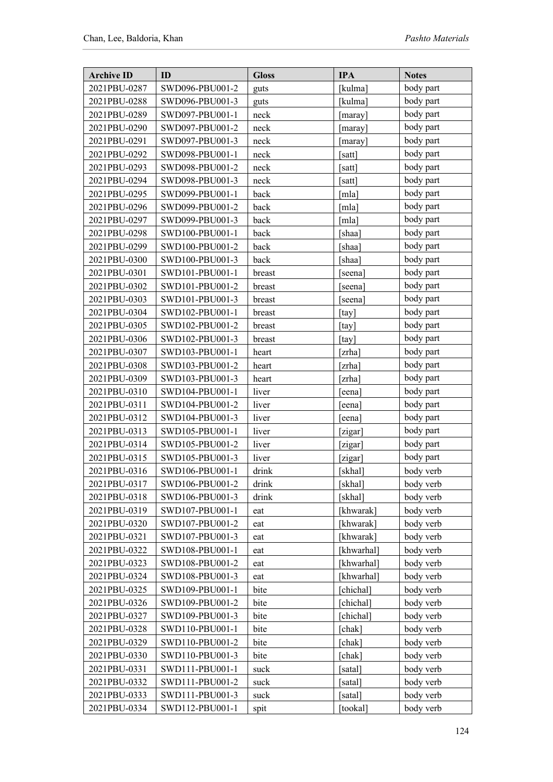| <b>Archive ID</b> | ID              | <b>Gloss</b> | <b>IPA</b> | <b>Notes</b> |
|-------------------|-----------------|--------------|------------|--------------|
| 2021PBU-0287      | SWD096-PBU001-2 | guts         | [kulma]    | body part    |
| 2021PBU-0288      | SWD096-PBU001-3 | guts         | [kulma]    | body part    |
| 2021PBU-0289      | SWD097-PBU001-1 | neck         | [maray]    | body part    |
| 2021PBU-0290      | SWD097-PBU001-2 | neck         | maray]     | body part    |
| 2021PBU-0291      | SWD097-PBU001-3 | neck         | maray]     | body part    |
| 2021PBU-0292      | SWD098-PBU001-1 | neck         | satt       | body part    |
| 2021PBU-0293      | SWD098-PBU001-2 | neck         | satt]      | body part    |
| 2021PBU-0294      | SWD098-PBU001-3 | neck         | satt       | body part    |
| 2021PBU-0295      | SWD099-PBU001-1 | back         | mlal       | body part    |
| 2021PBU-0296      | SWD099-PBU001-2 | back         | [mla]      | body part    |
| 2021PBU-0297      | SWD099-PBU001-3 | back         | [mla]      | body part    |
| 2021PBU-0298      | SWD100-PBU001-1 | back         | ˈshaa]     | body part    |
| 2021PBU-0299      | SWD100-PBU001-2 | back         | [shaa]     | body part    |
| 2021PBU-0300      | SWD100-PBU001-3 | back         | [shaa]     | body part    |
| 2021PBU-0301      | SWD101-PBU001-1 | breast       | seena]     | body part    |
| 2021PBU-0302      | SWD101-PBU001-2 | breast       | seena      | body part    |
| 2021PBU-0303      | SWD101-PBU001-3 | breast       | [seena]    | body part    |
| 2021PBU-0304      | SWD102-PBU001-1 | breast       | [tay]      | body part    |
| 2021PBU-0305      | SWD102-PBU001-2 | breast       | [tay]      | body part    |
| 2021PBU-0306      | SWD102-PBU001-3 | breast       | [tay]      | body part    |
| 2021PBU-0307      | SWD103-PBU001-1 | heart        | [zrha]     | body part    |
| 2021PBU-0308      | SWD103-PBU001-2 | heart        | [zrha]     | body part    |
| 2021PBU-0309      | SWD103-PBU001-3 | heart        | [zrha]     | body part    |
| 2021PBU-0310      | SWD104-PBU001-1 | liver        | eena]      | body part    |
| 2021PBU-0311      | SWD104-PBU001-2 | liver        | eena]      | body part    |
| 2021PBU-0312      | SWD104-PBU001-3 | liver        | eena]      | body part    |
| 2021PBU-0313      | SWD105-PBU001-1 | liver        | zigar]     | body part    |
| 2021PBU-0314      | SWD105-PBU001-2 | liver        | [zigar]    | body part    |
| 2021PBU-0315      | SWD105-PBU001-3 | liver        | [zigar]    | body part    |
| 2021PBU-0316      | SWD106-PBU001-1 | drink        | [skhal]    | body verb    |
| 2021PBU-0317      | SWD106-PBU001-2 | drink        | [skhal]    | body verb    |
| 2021PBU-0318      | SWD106-PBU001-3 | drink        | [skhal]    | body verb    |
| 2021PBU-0319      | SWD107-PBU001-1 | eat          | [khwarak]  | body verb    |
| 2021PBU-0320      | SWD107-PBU001-2 | eat          | [khwarak]  | body verb    |
| 2021PBU-0321      | SWD107-PBU001-3 | eat          | [khwarak]  | body verb    |
| 2021PBU-0322      | SWD108-PBU001-1 | eat          | [khwarhal] | body verb    |
| 2021PBU-0323      | SWD108-PBU001-2 | eat          | [khwarhal] | body verb    |
| 2021PBU-0324      | SWD108-PBU001-3 | eat          | [khwarhal] | body verb    |
| 2021PBU-0325      | SWD109-PBU001-1 | bite         | chichal]   | body verb    |
| 2021PBU-0326      | SWD109-PBU001-2 | bite         | [chichal]  | body verb    |
| 2021PBU-0327      | SWD109-PBU001-3 | bite         | [chichal]  | body verb    |
| 2021PBU-0328      | SWD110-PBU001-1 | bite         | chak]      | body verb    |
| 2021PBU-0329      | SWD110-PBU001-2 | bite         | [chak]     | body verb    |
| 2021PBU-0330      | SWD110-PBU001-3 | bite         | [chak]     | body verb    |
| 2021PBU-0331      | SWD111-PBU001-1 | suck         | satal]     | body verb    |
| 2021PBU-0332      | SWD111-PBU001-2 | suck         | satal]     | body verb    |
| 2021PBU-0333      | SWD111-PBU001-3 | suck         | satal]     | body verb    |
| 2021PBU-0334      | SWD112-PBU001-1 | spit         | [tookal]   | body verb    |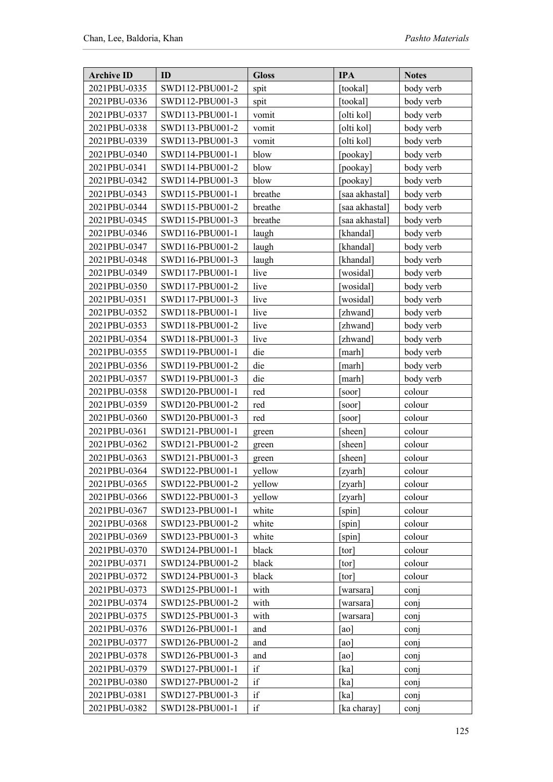| <b>Archive ID</b> | ID              | <b>Gloss</b> | <b>IPA</b>        | <b>Notes</b>     |
|-------------------|-----------------|--------------|-------------------|------------------|
| 2021PBU-0335      | SWD112-PBU001-2 | spit         | tookal]           | body verb        |
| 2021PBU-0336      | SWD112-PBU001-3 | spit         | [tookal]          | body verb        |
| 2021PBU-0337      | SWD113-PBU001-1 | vomit        | [olti kol]        | body verb        |
| 2021PBU-0338      | SWD113-PBU001-2 | vomit        | [olti kol]        | body verb        |
| 2021PBU-0339      | SWD113-PBU001-3 | vomit        | [olti kol]        | body verb        |
| 2021PBU-0340      | SWD114-PBU001-1 | blow         | [pookay]          | body verb        |
| 2021PBU-0341      | SWD114-PBU001-2 | blow         | [pookay]          | body verb        |
| 2021PBU-0342      | SWD114-PBU001-3 | blow         | [pookay]          | body verb        |
| 2021PBU-0343      | SWD115-PBU001-1 | breathe      | saa akhastal]     | body verb        |
| 2021PBU-0344      | SWD115-PBU001-2 | breathe      | [saa akhastal]    | body verb        |
| 2021PBU-0345      | SWD115-PBU001-3 | breathe      | [saa akhastal]    | body verb        |
| 2021PBU-0346      | SWD116-PBU001-1 | laugh        | [khandal]         | body verb        |
| 2021PBU-0347      | SWD116-PBU001-2 | laugh        | [khandal]         | body verb        |
| 2021PBU-0348      | SWD116-PBU001-3 | laugh        | [khandal]         | body verb        |
| 2021PBU-0349      | SWD117-PBU001-1 | live         | [wosidal]         | body verb        |
| 2021PBU-0350      | SWD117-PBU001-2 | live         | wosidal]          | body verb        |
| 2021PBU-0351      | SWD117-PBU001-3 | live         | [wosidal]         | body verb        |
| 2021PBU-0352      | SWD118-PBU001-1 | live         | [zhwand]          | body verb        |
| 2021PBU-0353      | SWD118-PBU001-2 | live         | [zhwand]          | body verb        |
| 2021PBU-0354      | SWD118-PBU001-3 | live         | [zhwand]          | body verb        |
| 2021PBU-0355      | SWD119-PBU001-1 | die          | [marh]            | body verb        |
| 2021PBU-0356      | SWD119-PBU001-2 | die          | [marh]            | body verb        |
| 2021PBU-0357      | SWD119-PBU001-3 | die          | marh]             | body verb        |
| 2021PBU-0358      | SWD120-PBU001-1 | red          | [soor]            | colour           |
| 2021PBU-0359      | SWD120-PBU001-2 | red          | [soor]            | colour           |
| 2021PBU-0360      | SWD120-PBU001-3 | red          | [soor]            | colour           |
| 2021PBU-0361      | SWD121-PBU001-1 | green        | [sheen]           | colour           |
| 2021PBU-0362      | SWD121-PBU001-2 | green        | [sheen]           | colour           |
| 2021PBU-0363      | SWD121-PBU001-3 | green        | [sheen]           | colour           |
| 2021PBU-0364      | SWD122-PBU001-1 | yellow       | [zyarh]           | colour           |
| 2021PBU-0365      | SWD122-PBU001-2 | yellow       | zyarh             | colour           |
| 2021PBU-0366      | SWD122-PBU001-3 | yellow       | [zyarh]           | colour           |
| 2021PBU-0367      | SWD123-PBU001-1 | white        | [spin]            | colour           |
| 2021PBU-0368      | SWD123-PBU001-2 | white        | [spin]            | colour           |
| 2021PBU-0369      | SWD123-PBU001-3 | white        | [spin]            | colour           |
| 2021PBU-0370      | SWD124-PBU001-1 | black        | [tor]             | colour           |
| 2021PBU-0371      | SWD124-PBU001-2 | black        | [tor]             | colour           |
| 2021PBU-0372      | SWD124-PBU001-3 | black        | [tor]             | colour           |
| 2021PBU-0373      | SWD125-PBU001-1 | with         | warsara]          | conj             |
| 2021PBU-0374      | SWD125-PBU001-2 | with         | [warsara]         | conj             |
| 2021PBU-0375      | SWD125-PBU001-3 | with         | warsara]          | conj             |
| 2021PBU-0376      | SWD126-PBU001-1 | and          | [ao]              | con <sub>1</sub> |
| 2021PBU-0377      | SWD126-PBU001-2 | and          | [ao]              | conj             |
| 2021PBU-0378      | SWD126-PBU001-3 | and          | [a <sub>o</sub> ] | conj             |
| 2021PBU-0379      | SWD127-PBU001-1 | if           | [ka]              | conj             |
| 2021PBU-0380      | SWD127-PBU001-2 | if           | [ka]              | conj             |
| 2021PBU-0381      | SWD127-PBU001-3 | if           | [ka]              | con <sub>1</sub> |
| 2021PBU-0382      | SWD128-PBU001-1 | if           | [ka charay]       | conj             |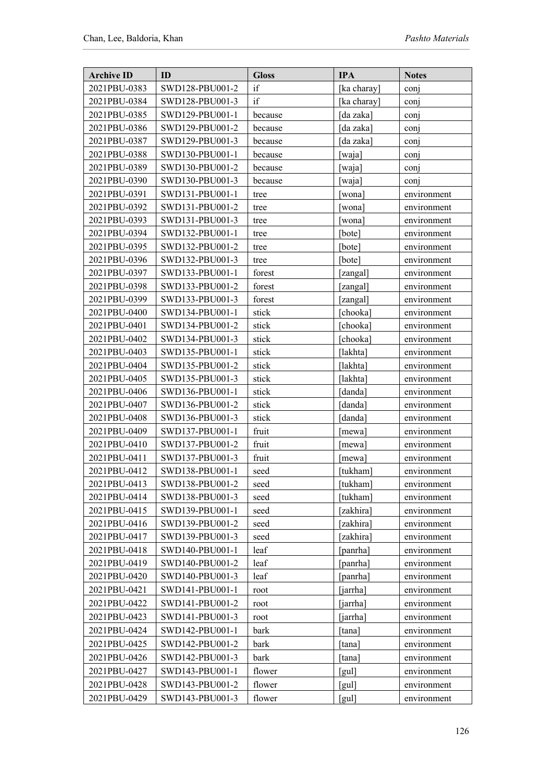| <b>Archive ID</b> | ID              | <b>Gloss</b> | <b>IPA</b>                 | <b>Notes</b> |
|-------------------|-----------------|--------------|----------------------------|--------------|
| 2021PBU-0383      | SWD128-PBU001-2 | if           | [ka charay]                | con          |
| 2021PBU-0384      | SWD128-PBU001-3 | if           | [ka charay]                | conj         |
| 2021PBU-0385      | SWD129-PBU001-1 | because      | [da zaka]                  | conj         |
| 2021PBU-0386      | SWD129-PBU001-2 | because      | da zaka]                   | conj         |
| 2021PBU-0387      | SWD129-PBU001-3 | because      | [da zaka]                  | conj         |
| 2021PBU-0388      | SWD130-PBU001-1 | because      | [waja]                     | conj         |
| 2021PBU-0389      | SWD130-PBU001-2 | because      | waja]                      | con          |
| 2021PBU-0390      | SWD130-PBU001-3 | because      | waja]                      | conj         |
| 2021PBU-0391      | SWD131-PBU001-1 | tree         | wona]                      | environment  |
| 2021PBU-0392      | SWD131-PBU001-2 | tree         | wona]                      | environment  |
| 2021PBU-0393      | SWD131-PBU001-3 | tree         | [wona]                     | environment  |
| 2021PBU-0394      | SWD132-PBU001-1 | tree         | bote]                      | environment  |
| 2021PBU-0395      | SWD132-PBU001-2 | tree         | [bote]                     | environment  |
| 2021PBU-0396      | SWD132-PBU001-3 | tree         | [bote]                     | environment  |
| 2021PBU-0397      | SWD133-PBU001-1 | forest       | [zangal]                   | environment  |
| 2021PBU-0398      | SWD133-PBU001-2 | forest       | [zangal]                   | environment  |
| 2021PBU-0399      | SWD133-PBU001-3 | forest       | [zangal]                   | environment  |
| 2021PBU-0400      | SWD134-PBU001-1 | stick        | chooka]                    | environment  |
| 2021PBU-0401      | SWD134-PBU001-2 | stick        | [chooka]                   | environment  |
| 2021PBU-0402      | SWD134-PBU001-3 | stick        | [chooka]                   | environment  |
| 2021PBU-0403      | SWD135-PBU001-1 | stick        | [lakhta]                   | environment  |
| 2021PBU-0404      | SWD135-PBU001-2 | stick        | [lakhta]                   | environment  |
| 2021PBU-0405      | SWD135-PBU001-3 | stick        | [lakhta]                   | environment  |
| 2021PBU-0406      | SWD136-PBU001-1 | stick        | [danda]                    | environment  |
| 2021PBU-0407      | SWD136-PBU001-2 | stick        | [danda]                    | environment  |
| 2021PBU-0408      | SWD136-PBU001-3 | stick        | [danda]                    | environment  |
| 2021PBU-0409      | SWD137-PBU001-1 | fruit        | mewa]                      | environment  |
| 2021PBU-0410      | SWD137-PBU001-2 | fruit        | mewa]                      | environment  |
| 2021PBU-0411      | SWD137-PBU001-3 | fruit        | [mewa]                     | environment  |
| 2021PBU-0412      | SWD138-PBU001-1 | seed         | [tukham]                   | environment  |
| 2021PBU-0413      | SWD138-PBU001-2 | seed         | [tukham]                   | environment  |
| 2021PBU-0414      | SWD138-PBU001-3 | seed         | [tukham]                   | environment  |
| 2021PBU-0415      | SWD139-PBU001-1 | seed         | [zakhira]                  | environment  |
| 2021PBU-0416      | SWD139-PBU001-2 | seed         | zakhira]                   | environment  |
| 2021PBU-0417      | SWD139-PBU001-3 | seed         | [zakhira]                  | environment  |
| 2021PBU-0418      | SWD140-PBU001-1 | leaf         | [panrha]                   | environment  |
| 2021PBU-0419      | SWD140-PBU001-2 | leaf         | [panrha]                   | environment  |
| 2021PBU-0420      | SWD140-PBU001-3 | leaf         | panrha]                    | environment  |
| 2021PBU-0421      | SWD141-PBU001-1 | root         | [jarrha]                   | environment  |
| 2021PBU-0422      | SWD141-PBU001-2 | root         | [jarrha]                   | environment  |
| 2021PBU-0423      | SWD141-PBU001-3 | root         | [jarrha]                   | environment  |
| 2021PBU-0424      | SWD142-PBU001-1 | bark         | [tana]                     | environment  |
| 2021PBU-0425      | SWD142-PBU001-2 | bark         | [tana]                     | environment  |
| 2021PBU-0426      | SWD142-PBU001-3 | bark         | [tana]                     | environment  |
| 2021PBU-0427      | SWD143-PBU001-1 | flower       | $\lceil \text{gul} \rceil$ | environment  |
| 2021PBU-0428      | SWD143-PBU001-2 | flower       | $\lceil \text{gul} \rceil$ | environment  |
| 2021PBU-0429      | SWD143-PBU001-3 | flower       | [gul]                      | environment  |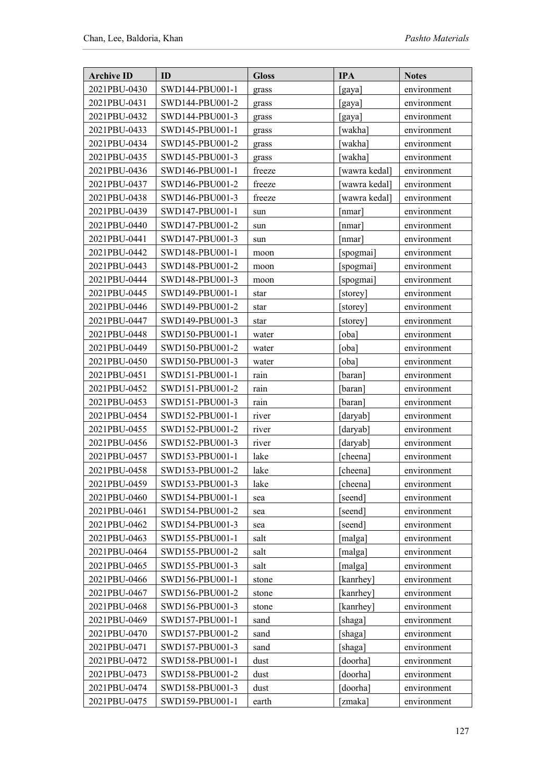| <b>Archive ID</b> | ID              | <b>Gloss</b> | <b>IPA</b>   | <b>Notes</b> |
|-------------------|-----------------|--------------|--------------|--------------|
| 2021PBU-0430      | SWD144-PBU001-1 | grass        | [gaya]       | environment  |
| 2021PBU-0431      | SWD144-PBU001-2 | grass        | [gaya]       | environment  |
| 2021PBU-0432      | SWD144-PBU001-3 | grass        | [gaya]       | environment  |
| 2021PBU-0433      | SWD145-PBU001-1 | grass        | [wakha]      | environment  |
| 2021PBU-0434      | SWD145-PBU001-2 | grass        | [wakha]      | environment  |
| 2021PBU-0435      | SWD145-PBU001-3 | grass        | [wakha]      | environment  |
| 2021PBU-0436      | SWD146-PBU001-1 | freeze       | wawra kedal] | environment  |
| 2021PBU-0437      | SWD146-PBU001-2 | freeze       | wawra kedal] | environment  |
| 2021PBU-0438      | SWD146-PBU001-3 | freeze       | wawra kedal] | environment  |
| 2021PBU-0439      | SWD147-PBU001-1 | sun          | [nmar]       | environment  |
| 2021PBU-0440      | SWD147-PBU001-2 | sun          | [nmar]       | environment  |
| 2021PBU-0441      | SWD147-PBU001-3 | sun          | nmar]        | environment  |
| 2021PBU-0442      | SWD148-PBU001-1 | moon         | [spogmai]    | environment  |
| 2021PBU-0443      | SWD148-PBU001-2 | moon         | [spogmai]    | environment  |
| 2021PBU-0444      | SWD148-PBU001-3 | moon         | [spogmai]    | environment  |
| 2021PBU-0445      | SWD149-PBU001-1 | star         | [storey]     | environment  |
| 2021PBU-0446      | SWD149-PBU001-2 | star         | [storey]     | environment  |
| 2021PBU-0447      | SWD149-PBU001-3 | star         | [storey]     | environment  |
| 2021PBU-0448      | SWD150-PBU001-1 | water        | [oba]        | environment  |
| 2021PBU-0449      | SWD150-PBU001-2 | water        | [oba]        | environment  |
| 2021PBU-0450      | SWD150-PBU001-3 | water        | [oba]        | environment  |
| 2021PBU-0451      | SWD151-PBU001-1 | rain         | [baran]      | environment  |
| 2021PBU-0452      | SWD151-PBU001-2 | rain         | [baran]      | environment  |
| 2021PBU-0453      | SWD151-PBU001-3 | rain         | [baran]      | environment  |
| 2021PBU-0454      | SWD152-PBU001-1 | river        | [daryab]     | environment  |
| 2021PBU-0455      | SWD152-PBU001-2 | river        | [daryab]     | environment  |
| 2021PBU-0456      | SWD152-PBU001-3 | river        | [daryab]     | environment  |
| 2021PBU-0457      | SWD153-PBU001-1 | lake         | [cheena]     | environment  |
| 2021PBU-0458      | SWD153-PBU001-2 | lake         | [cheena]     | environment  |
| 2021PBU-0459      | SWD153-PBU001-3 | lake         | [cheena]     | environment  |
| 2021PBU-0460      | SWD154-PBU001-1 | sea          | [seend]      | environment  |
| 2021PBU-0461      | SWD154-PBU001-2 | sea          | [seend]      | environment  |
| 2021PBU-0462      | SWD154-PBU001-3 | sea          | [seend]      | environment  |
| 2021PBU-0463      | SWD155-PBU001-1 | salt         | [malga]      | environment  |
| 2021PBU-0464      | SWD155-PBU001-2 | salt         | [malga]      | environment  |
| 2021PBU-0465      | SWD155-PBU001-3 | salt         | [malga]      | environment  |
| 2021PBU-0466      | SWD156-PBU001-1 | stone        | [kanrhey]    | environment  |
| 2021PBU-0467      | SWD156-PBU001-2 | stone        | [kanrhey]    | environment  |
| 2021PBU-0468      | SWD156-PBU001-3 | stone        | [kanrhey]    | environment  |
| 2021PBU-0469      | SWD157-PBU001-1 | sand         | [shaga]      | environment  |
| 2021PBU-0470      | SWD157-PBU001-2 | sand         | [shaga]      | environment  |
| 2021PBU-0471      | SWD157-PBU001-3 | sand         | [shaga]      | environment  |
| 2021PBU-0472      | SWD158-PBU001-1 | dust         | [doorha]     | environment  |
| 2021PBU-0473      | SWD158-PBU001-2 | dust         | [doorha]     | environment  |
| 2021PBU-0474      | SWD158-PBU001-3 | dust         | [doorha]     | environment  |
| 2021PBU-0475      | SWD159-PBU001-1 | earth        | [zmaka]      | environment  |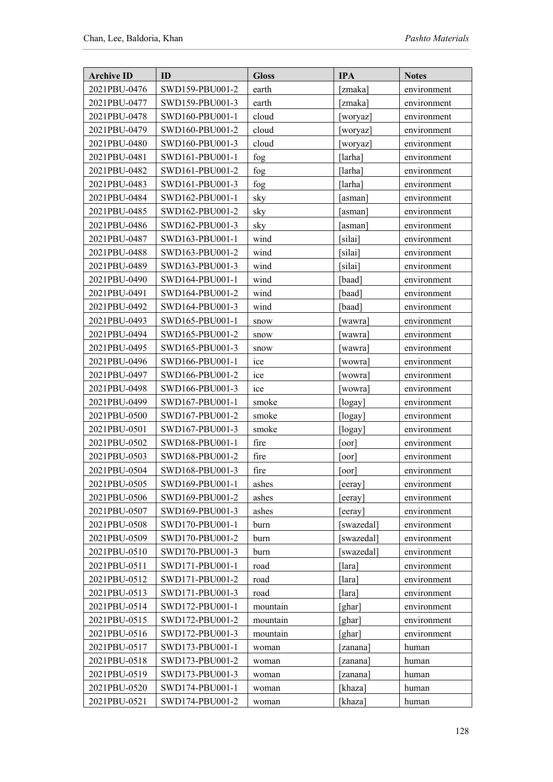| <b>Archive ID</b> | ID              | <b>Gloss</b> | <b>IPA</b>         | <b>Notes</b> |
|-------------------|-----------------|--------------|--------------------|--------------|
| 2021PBU-0476      | SWD159-PBU001-2 | earth        | [zmaka]            | environment  |
| 2021PBU-0477      | SWD159-PBU001-3 | earth        | [zmaka]            | environment  |
| 2021PBU-0478      | SWD160-PBU001-1 | cloud        | woryaz]            | environment  |
| 2021PBU-0479      | SWD160-PBU001-2 | cloud        | woryaz]            | environment  |
| 2021PBU-0480      | SWD160-PBU001-3 | cloud        | [woryaz]           | environment  |
| 2021PBU-0481      | SWD161-PBU001-1 | fog          | [larha]            | environment  |
| 2021PBU-0482      | SWD161-PBU001-2 | fog          | [larha]            | environment  |
| 2021PBU-0483      | SWD161-PBU001-3 | fog          | [larha]            | environment  |
| 2021PBU-0484      | SWD162-PBU001-1 | sky          | [asman]            | environment  |
| 2021PBU-0485      | SWD162-PBU001-2 | sky          | [asman]            | environment  |
| 2021PBU-0486      | SWD162-PBU001-3 | sky          | [asman]            | environment  |
| 2021PBU-0487      | SWD163-PBU001-1 | wind         | silai              | environment  |
| 2021PBU-0488      | SWD163-PBU001-2 | wind         | [silai]            | environment  |
| 2021PBU-0489      | SWD163-PBU001-3 | wind         | [silai]            | environment  |
| 2021PBU-0490      | SWD164-PBU001-1 | wind         | [baad]             | environment  |
| 2021PBU-0491      | SWD164-PBU001-2 | wind         | [baad]             | environment  |
| 2021PBU-0492      | SWD164-PBU001-3 | wind         | [baad]             | environment  |
| 2021PBU-0493      | SWD165-PBU001-1 | snow         | [wawra]            | environment  |
| 2021PBU-0494      | SWD165-PBU001-2 | snow         | [wawra]            | environment  |
| 2021PBU-0495      | SWD165-PBU001-3 | snow         | wawra]             | environment  |
| 2021PBU-0496      | SWD166-PBU001-1 | ice          | wowra]             | environment  |
| 2021PBU-0497      | SWD166-PBU001-2 | ice          | [wowra]            | environment  |
| 2021PBU-0498      | SWD166-PBU001-3 | ice          | [wowra]            | environment  |
| 2021PBU-0499      | SWD167-PBU001-1 | smoke        | [logay]            | environment  |
| 2021PBU-0500      | SWD167-PBU001-2 | smoke        | [logay]            | environment  |
| 2021PBU-0501      | SWD167-PBU001-3 | smoke        | [logay]            | environment  |
| 2021PBU-0502      | SWD168-PBU001-1 | fire         | [00]               | environment  |
| 2021PBU-0503      | SWD168-PBU001-2 | fire         | $\overline{1}$ oor | environment  |
| 2021PBU-0504      | SWD168-PBU001-3 | fire         | $\overline{100}$   | environment  |
| 2021PBU-0505      | SWD169-PBU001-1 | ashes        | eeray              | environment  |
| 2021PBU-0506      | SWD169-PBU001-2 | ashes        | eeray]             | environment  |
| 2021PBU-0507      | SWD169-PBU001-3 | ashes        | [eeray]            | environment  |
| 2021PBU-0508      | SWD170-PBU001-1 | burn         | [swazedal]         | environment  |
| 2021PBU-0509      | SWD170-PBU001-2 | burn         | swazedal]          | environment  |
| 2021PBU-0510      | SWD170-PBU001-3 | burn         | [swazedal]         | environment  |
| 2021PBU-0511      | SWD171-PBU001-1 | road         | [lara]             | environment  |
| 2021PBU-0512      | SWD171-PBU001-2 | road         | [lara]             | environment  |
| 2021PBU-0513      | SWD171-PBU001-3 | road         | [lara]             | environment  |
| 2021PBU-0514      | SWD172-PBU001-1 | mountain     | [ghar]             | environment  |
| 2021PBU-0515      | SWD172-PBU001-2 | mountain     | [ghar]             | environment  |
| 2021PBU-0516      | SWD172-PBU001-3 | mountain     | [ghar]             | environment  |
| 2021PBU-0517      | SWD173-PBU001-1 | woman        | zanana]            | human        |
| 2021PBU-0518      | SWD173-PBU001-2 | woman        | zanana             | human        |
| 2021PBU-0519      | SWD173-PBU001-3 | woman        | [zanana]           | human        |
| 2021PBU-0520      | SWD174-PBU001-1 | woman        | [khaza]            | human        |
| 2021PBU-0521      | SWD174-PBU001-2 | woman        | [khaza]            | human        |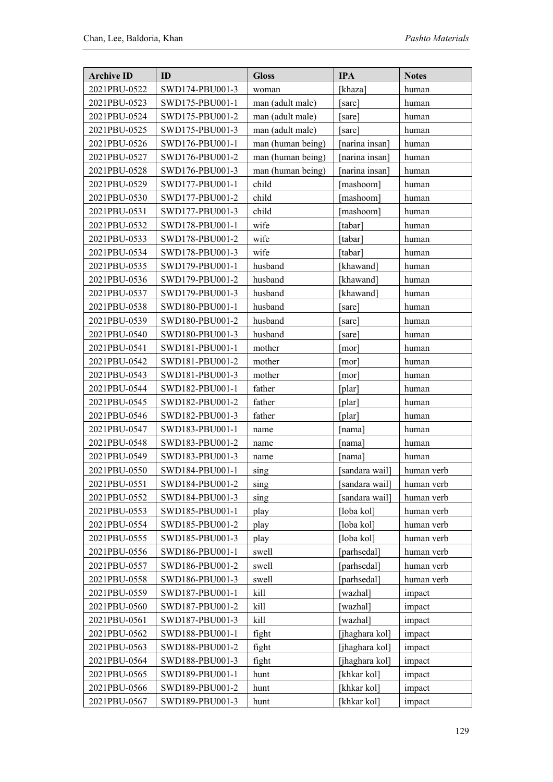| <b>Archive ID</b> | ID              | <b>Gloss</b>      | <b>IPA</b>     | <b>Notes</b> |
|-------------------|-----------------|-------------------|----------------|--------------|
| 2021PBU-0522      | SWD174-PBU001-3 | woman             | [khaza]        | human        |
| 2021PBU-0523      | SWD175-PBU001-1 | man (adult male)  | [sare]         | human        |
| 2021PBU-0524      | SWD175-PBU001-2 | man (adult male)  | [sare]         | human        |
| 2021PBU-0525      | SWD175-PBU001-3 | man (adult male)  | [sare]         | human        |
| 2021PBU-0526      | SWD176-PBU001-1 | man (human being) | [narina insan] | human        |
| 2021PBU-0527      | SWD176-PBU001-2 | man (human being) | [narina insan] | human        |
| 2021PBU-0528      | SWD176-PBU001-3 | man (human being) | [narina insan] | human        |
| 2021PBU-0529      | SWD177-PBU001-1 | child             | [mashoom]      | human        |
| 2021PBU-0530      | SWD177-PBU001-2 | child             | [mashoom]      | human        |
| 2021PBU-0531      | SWD177-PBU001-3 | child             | [mashoom]      | human        |
| 2021PBU-0532      | SWD178-PBU001-1 | wife              | [tabar]        | human        |
| 2021PBU-0533      | SWD178-PBU001-2 | wife              | tabar]         | human        |
| 2021PBU-0534      | SWD178-PBU001-3 | wife              | [tabar]        | human        |
| 2021PBU-0535      | SWD179-PBU001-1 | husband           | [khawand]      | human        |
| 2021PBU-0536      | SWD179-PBU001-2 | husband           | [khawand]      | human        |
| 2021PBU-0537      | SWD179-PBU001-3 | husband           | [khawand]      | human        |
| 2021PBU-0538      | SWD180-PBU001-1 | husband           | [sare]         | human        |
| 2021PBU-0539      | SWD180-PBU001-2 | husband           | [sare]         | human        |
| 2021PBU-0540      | SWD180-PBU001-3 | husband           | [sare]         | human        |
| 2021PBU-0541      | SWD181-PBU001-1 | mother            | [mor]          | human        |
| 2021PBU-0542      | SWD181-PBU001-2 | mother            | [mor]          | human        |
| 2021PBU-0543      | SWD181-PBU001-3 | mother            | [mor]          | human        |
| 2021PBU-0544      | SWD182-PBU001-1 | father            | $[$ plar $]$   | human        |
| 2021PBU-0545      | SWD182-PBU001-2 | father            | $[$ plar $]$   | human        |
| 2021PBU-0546      | SWD182-PBU001-3 | father            | [plar]         | human        |
| 2021PBU-0547      | SWD183-PBU001-1 | name              | [nama]         | human        |
| 2021PBU-0548      | SWD183-PBU001-2 | name              | [nama]         | human        |
| 2021PBU-0549      | SWD183-PBU001-3 | name              | [nama]         | human        |
| 2021PBU-0550      | SWD184-PBU001-1 | sing              | [sandara wail] | human verb   |
| 2021PBU-0551      | SWD184-PBU001-2 | sing              | sandara wail]  | human verb   |
| 2021PBU-0552      | SWD184-PBU001-3 | sing              | [sandara wail] | human verb   |
| 2021PBU-0553      | SWD185-PBU001-1 | play              | [loba kol]     | human verb   |
| 2021PBU-0554      | SWD185-PBU001-2 | play              | [loba kol]     | human verb   |
| 2021PBU-0555      | SWD185-PBU001-3 | play              | [loba kol]     | human verb   |
| 2021PBU-0556      | SWD186-PBU001-1 | swell             | [parhsedal]    | human verb   |
| 2021PBU-0557      | SWD186-PBU001-2 | swell             | [parhsedal]    | human verb   |
| 2021PBU-0558      | SWD186-PBU001-3 | swell             | [parhsedal]    | human verb   |
| 2021PBU-0559      | SWD187-PBU001-1 | kill              | wazhal]        | impact       |
| 2021PBU-0560      | SWD187-PBU001-2 | kill              | wazhal]        | impact       |
| 2021PBU-0561      | SWD187-PBU001-3 | kill              | [wazhal]       | impact       |
| 2021PBU-0562      | SWD188-PBU001-1 | fight             | [jhaghara kol] | impact       |
| 2021PBU-0563      | SWD188-PBU001-2 | fight             | [jhaghara kol] | impact       |
| 2021PBU-0564      | SWD188-PBU001-3 | fight             | [jhaghara kol] | impact       |
| 2021PBU-0565      | SWD189-PBU001-1 | hunt              | [khkar kol]    | impact       |
| 2021PBU-0566      | SWD189-PBU001-2 | hunt              | [khkar kol]    | impact       |
| 2021PBU-0567      | SWD189-PBU001-3 | hunt              | [khkar kol]    | impact       |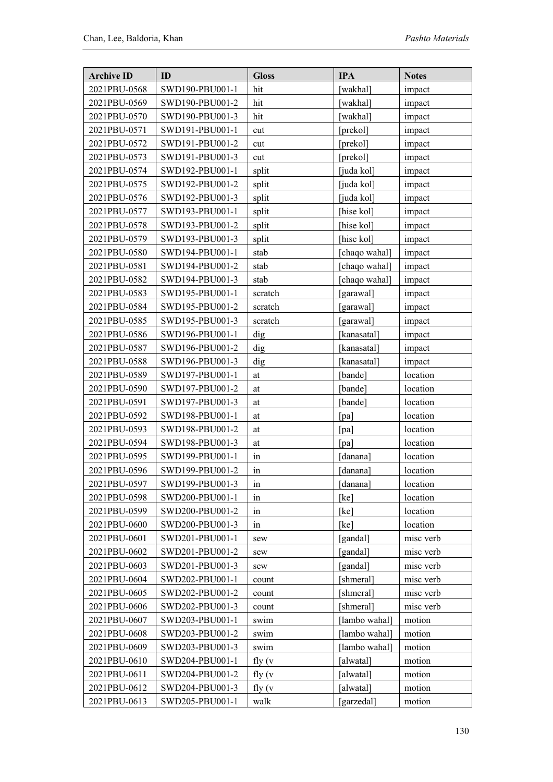| <b>Archive ID</b> | ID              | <b>Gloss</b> | <b>IPA</b>    | <b>Notes</b> |
|-------------------|-----------------|--------------|---------------|--------------|
| 2021PBU-0568      | SWD190-PBU001-1 | hit          | wakhal]       | impact       |
| 2021PBU-0569      | SWD190-PBU001-2 | hit          | [wakhal]      | impact       |
| 2021PBU-0570      | SWD190-PBU001-3 | hit          | [wakhal]      | impact       |
| 2021PBU-0571      | SWD191-PBU001-1 | cut          | [prekol]      | impact       |
| 2021PBU-0572      | SWD191-PBU001-2 | cut          | [prekol]      | impact       |
| 2021PBU-0573      | SWD191-PBU001-3 | cut          | [prekol]      | impact       |
| 2021PBU-0574      | SWD192-PBU001-1 | split        | [juda kol]    | impact       |
| 2021PBU-0575      | SWD192-PBU001-2 | split        | [juda kol]    | impact       |
| 2021PBU-0576      | SWD192-PBU001-3 | split        | [juda kol]    | impact       |
| 2021PBU-0577      | SWD193-PBU001-1 | split        | [hise kol]    | impact       |
| 2021PBU-0578      | SWD193-PBU001-2 | split        | [hise kol]    | impact       |
| 2021PBU-0579      | SWD193-PBU001-3 | split        | [hise kol]    | impact       |
| 2021PBU-0580      | SWD194-PBU001-1 | stab         | [chaqo wahal] | impact       |
| 2021PBU-0581      | SWD194-PBU001-2 | stab         | [chaqo wahal] | impact       |
| 2021PBU-0582      | SWD194-PBU001-3 | stab         | [chaqo wahal] | impact       |
| 2021PBU-0583      | SWD195-PBU001-1 | scratch      | [garawal]     | impact       |
| 2021PBU-0584      | SWD195-PBU001-2 | scratch      | [garawal]     | impact       |
| 2021PBU-0585      | SWD195-PBU001-3 | scratch      | [garawal]     | impact       |
| 2021PBU-0586      | SWD196-PBU001-1 | dig          | [kanasatal]   | impact       |
| 2021PBU-0587      | SWD196-PBU001-2 | dig          | [kanasatal]   | impact       |
| 2021PBU-0588      | SWD196-PBU001-3 | dig          | [kanasatal]   | impact       |
| 2021PBU-0589      | SWD197-PBU001-1 | at           | [bande]       | location     |
| 2021PBU-0590      | SWD197-PBU001-2 | at           | [bande]       | location     |
| 2021PBU-0591      | SWD197-PBU001-3 | at           | [bande]       | location     |
| 2021PBU-0592      | SWD198-PBU001-1 | at           | [pa]          | location     |
| 2021PBU-0593      | SWD198-PBU001-2 | at           | [pa]          | location     |
| 2021PBU-0594      | SWD198-PBU001-3 | at           | [pa]          | location     |
| 2021PBU-0595      | SWD199-PBU001-1 | in           | [danana]      | location     |
| 2021PBU-0596      | SWD199-PBU001-2 | in           | [danana]      | location     |
| 2021PBU-0597      | SWD199-PBU001-3 | 1n           | [danana]      | location     |
| 2021PBU-0598      | SWD200-PBU001-1 | in           | [kel]         | location     |
| 2021PBU-0599      | SWD200-PBU001-2 | in           | [kel]         | location     |
| 2021PBU-0600      | SWD200-PBU001-3 | in           | [ke]          | location     |
| 2021PBU-0601      | SWD201-PBU001-1 | sew          | [gandal]      | misc verb    |
| 2021PBU-0602      | SWD201-PBU001-2 | sew          | [gandal]      | misc verb    |
| 2021PBU-0603      | SWD201-PBU001-3 | sew          | [gandal]      | misc verb    |
| 2021PBU-0604      | SWD202-PBU001-1 | count        | [shmeral]     | misc verb    |
| 2021PBU-0605      | SWD202-PBU001-2 | count        | [shmeral]     | misc verb    |
| 2021PBU-0606      | SWD202-PBU001-3 | count        | [shmeral]     | misc verb    |
| 2021PBU-0607      | SWD203-PBU001-1 | swim         | [lambo wahal] | motion       |
| 2021PBU-0608      | SWD203-PBU001-2 | swim         | [lambo wahal] | motion       |
| 2021PBU-0609      | SWD203-PBU001-3 | swim         | [lambo wahal] | motion       |
| 2021PBU-0610      | SWD204-PBU001-1 | fly $(v$     | [alwatal]     | motion       |
| 2021PBU-0611      | SWD204-PBU001-2 | fly $(v$     | [alwatal]     | motion       |
| 2021PBU-0612      | SWD204-PBU001-3 | fly $(v$     | [alwatal]     | motion       |
| 2021PBU-0613      | SWD205-PBU001-1 | walk         | [garzedal]    | motion       |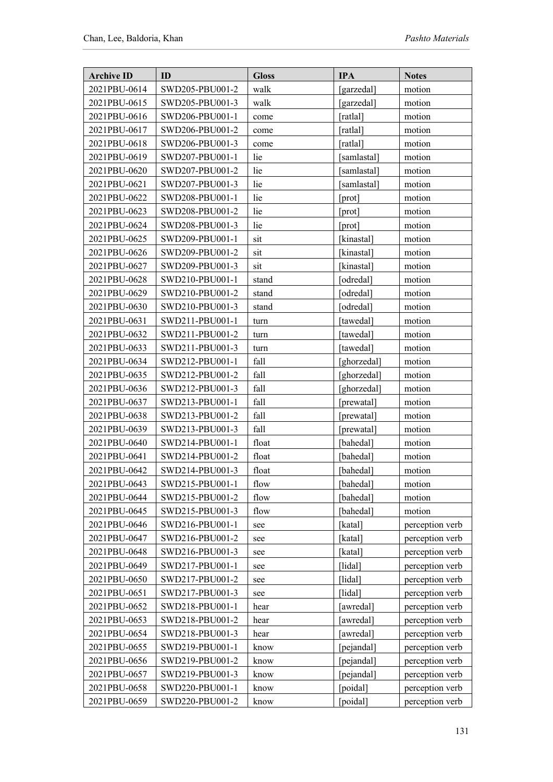| <b>Archive ID</b> | ID              | <b>Gloss</b> | <b>IPA</b>  | <b>Notes</b>    |
|-------------------|-----------------|--------------|-------------|-----------------|
| 2021PBU-0614      | SWD205-PBU001-2 | walk         | [garzedal]  | motion          |
| 2021PBU-0615      | SWD205-PBU001-3 | walk         | [garzedal]  | motion          |
| 2021PBU-0616      | SWD206-PBU001-1 | come         | [ratlal]    | motion          |
| 2021PBU-0617      | SWD206-PBU001-2 | come         | [ratlal]    | motion          |
| 2021PBU-0618      | SWD206-PBU001-3 | come         | [ratlal]    | motion          |
| 2021PBU-0619      | SWD207-PBU001-1 | lie          | [samlastal] | motion          |
| 2021PBU-0620      | SWD207-PBU001-2 | lie          | [samlastal] | motion          |
| 2021PBU-0621      | SWD207-PBU001-3 | lie          | [samlastal] | motion          |
| 2021PBU-0622      | SWD208-PBU001-1 | lie          | [prot]      | motion          |
| 2021PBU-0623      | SWD208-PBU001-2 | lie          | [prot]      | motion          |
| 2021PBU-0624      | SWD208-PBU001-3 | lie          | [prot]      | motion          |
| 2021PBU-0625      | SWD209-PBU001-1 | sit          | [kinastal]  | motion          |
| 2021PBU-0626      | SWD209-PBU001-2 | sit          | [kinastal]  | motion          |
| 2021PBU-0627      | SWD209-PBU001-3 | sit          | [kinastal]  | motion          |
| 2021PBU-0628      | SWD210-PBU001-1 | stand        | [odredal]   | motion          |
| 2021PBU-0629      | SWD210-PBU001-2 | stand        | [odredal]   | motion          |
| 2021PBU-0630      | SWD210-PBU001-3 | stand        | [odredal]   | motion          |
| 2021PBU-0631      | SWD211-PBU001-1 | turn         | [tawedal]   | motion          |
| 2021PBU-0632      | SWD211-PBU001-2 | turn         | [tawedal]   | motion          |
| 2021PBU-0633      | SWD211-PBU001-3 | turn         | [tawedal]   | motion          |
| 2021PBU-0634      | SWD212-PBU001-1 | fall         | [ghorzedal] | motion          |
| 2021PBU-0635      | SWD212-PBU001-2 | fall         | [ghorzedal] | motion          |
| 2021PBU-0636      | SWD212-PBU001-3 | fall         | [ghorzedal] | motion          |
| 2021PBU-0637      | SWD213-PBU001-1 | fall         | [prewatal]  | motion          |
| 2021PBU-0638      | SWD213-PBU001-2 | fall         | [prewatal]  | motion          |
| 2021PBU-0639      | SWD213-PBU001-3 | fall         | [prewatal]  | motion          |
| 2021PBU-0640      | SWD214-PBU001-1 | float        | [bahedal]   | motion          |
| 2021PBU-0641      | SWD214-PBU001-2 | float        | [bahedal]   | motion          |
| 2021PBU-0642      | SWD214-PBU001-3 | float        | [bahedal]   | motion          |
| 2021PBU-0643      | SWD215-PBU001-1 | flow         | [bahedal]   | motion          |
| 2021PBU-0644      | SWD215-PBU001-2 | flow         | [bahedal]   | motion          |
| 2021PBU-0645      | SWD215-PBU001-3 | flow         | [bahedal]   | motion          |
| 2021PBU-0646      | SWD216-PBU001-1 | see          | [katal]     | perception verb |
| 2021PBU-0647      | SWD216-PBU001-2 | see          | [katal]     | perception verb |
| 2021PBU-0648      | SWD216-PBU001-3 | see          | [katal]     | perception verb |
| 2021PBU-0649      | SWD217-PBU001-1 | see          | [lidal]     | perception verb |
| 2021PBU-0650      | SWD217-PBU001-2 | see          | [lidal]     | perception verb |
| 2021PBU-0651      | SWD217-PBU001-3 | see          | [lidal]     | perception verb |
| 2021PBU-0652      | SWD218-PBU001-1 | hear         | [awredal]   | perception verb |
| 2021PBU-0653      | SWD218-PBU001-2 | hear         | [awredal]   | perception verb |
| 2021PBU-0654      | SWD218-PBU001-3 | hear         | [awredal]   | perception verb |
| 2021PBU-0655      | SWD219-PBU001-1 | know         | [pejandal]  | perception verb |
| 2021PBU-0656      | SWD219-PBU001-2 | know         | [pejandal]  | perception verb |
| 2021PBU-0657      | SWD219-PBU001-3 | know         | [pejandal]  | perception verb |
| 2021PBU-0658      | SWD220-PBU001-1 | know         | [poidal]    | perception verb |
| 2021PBU-0659      | SWD220-PBU001-2 | know         | [poidal]    | perception verb |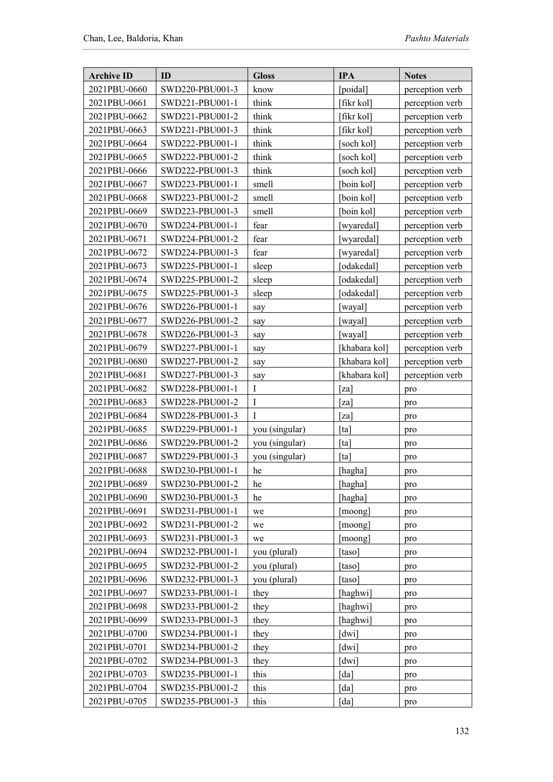| <b>Archive ID</b> | ID              | <b>Gloss</b>   | <b>IPA</b>         | <b>Notes</b>    |
|-------------------|-----------------|----------------|--------------------|-----------------|
| 2021PBU-0660      | SWD220-PBU001-3 | know           | [poidal]           | perception verb |
| 2021PBU-0661      | SWD221-PBU001-1 | think          | [fikr kol]         | perception verb |
| 2021PBU-0662      | SWD221-PBU001-2 | think          | [fikr kol]         | perception verb |
| 2021PBU-0663      | SWD221-PBU001-3 | think          | [fikr kol]         | perception verb |
| 2021PBU-0664      | SWD222-PBU001-1 | think          | soch kol           | perception verb |
| 2021PBU-0665      | SWD222-PBU001-2 | think          | [soch kol]         | perception verb |
| 2021PBU-0666      | SWD222-PBU001-3 | think          | [soch kol]         | perception verb |
| 2021PBU-0667      | SWD223-PBU001-1 | smell          | [boin kol]         | perception verb |
| 2021PBU-0668      | SWD223-PBU001-2 | smell          | [boin kol]         | perception verb |
| 2021PBU-0669      | SWD223-PBU001-3 | smell          | [boin kol]         | perception verb |
| 2021PBU-0670      | SWD224-PBU001-1 | fear           | [wyaredal]         | perception verb |
| 2021PBU-0671      | SWD224-PBU001-2 | fear           | [wyaredal]         | perception verb |
| 2021PBU-0672      | SWD224-PBU001-3 | fear           | [wyaredal]         | perception verb |
| 2021PBU-0673      | SWD225-PBU001-1 | sleep          | odakedal]          | perception verb |
| 2021PBU-0674      | SWD225-PBU001-2 | sleep          | [odakedal]         | perception verb |
| 2021PBU-0675      | SWD225-PBU001-3 | sleep          | [odakedal]         | perception verb |
| 2021PBU-0676      | SWD226-PBU001-1 | say            | [wayal]            | perception verb |
| 2021PBU-0677      | SWD226-PBU001-2 | say            | [wayal]            | perception verb |
| 2021PBU-0678      | SWD226-PBU001-3 | say            | [wayal]            | perception verb |
| 2021PBU-0679      | SWD227-PBU001-1 | say            | [khabara kol]      | perception verb |
| 2021PBU-0680      | SWD227-PBU001-2 | say            | [khabara kol]      | perception verb |
| 2021PBU-0681      | SWD227-PBU001-3 | say            | [khabara kol]      | perception verb |
| 2021PBU-0682      | SWD228-PBU001-1 | $\bf{I}$       | [za]               | pro             |
| 2021PBU-0683      | SWD228-PBU001-2 | $\rm I$        | [za]               | pro             |
| 2021PBU-0684      | SWD228-PBU001-3 | I              | [za]               | pro             |
| 2021PBU-0685      | SWD229-PBU001-1 | you (singular) | [ta]               | pro             |
| 2021PBU-0686      | SWD229-PBU001-2 | you (singular) | [ta]               | pro             |
| 2021PBU-0687      | SWD229-PBU001-3 | you (singular) | [ta]               | pro             |
| 2021PBU-0688      | SWD230-PBU001-1 | he             | [hagha]            | pro             |
| 2021PBU-0689      | SWD230-PBU001-2 | he             | [hagha]            | pro             |
| 2021PBU-0690      | SWD230-PBU001-3 | he             | [hagha]            | pro             |
| 2021PBU-0691      | SWD231-PBU001-1 | we             | [moong]            | pro             |
| 2021PBU-0692      | SWD231-PBU001-2 | we             | [moong]            | pro             |
| 2021PBU-0693      | SWD231-PBU001-3 | we             | [moong]            | pro             |
| 2021PBU-0694      | SWD232-PBU001-1 | you (plural)   | [taso]             | pro             |
| 2021PBU-0695      | SWD232-PBU001-2 | you (plural)   | [taso]             | pro             |
| 2021PBU-0696      | SWD232-PBU001-3 | you (plural)   | [taso]             | pro             |
| 2021PBU-0697      | SWD233-PBU001-1 | they           | [haghwi]           | pro             |
| 2021PBU-0698      | SWD233-PBU001-2 | they           | [haghwi]           | pro             |
| 2021PBU-0699      | SWD233-PBU001-3 | they           | [haghwi]           | pro             |
| 2021PBU-0700      | SWD234-PBU001-1 | they           | [dwi]              | pro             |
| 2021PBU-0701      | SWD234-PBU001-2 | they           | [dwi]              | pro             |
| 2021PBU-0702      | SWD234-PBU001-3 | they           | [dwi]              | pro             |
| 2021PBU-0703      | SWD235-PBU001-1 | this           | $\lceil da \rceil$ | pro             |
| 2021PBU-0704      | SWD235-PBU001-2 | this           | $\lceil da \rceil$ | pro             |
| 2021PBU-0705      | SWD235-PBU001-3 | this           | $\lceil da \rceil$ | pro             |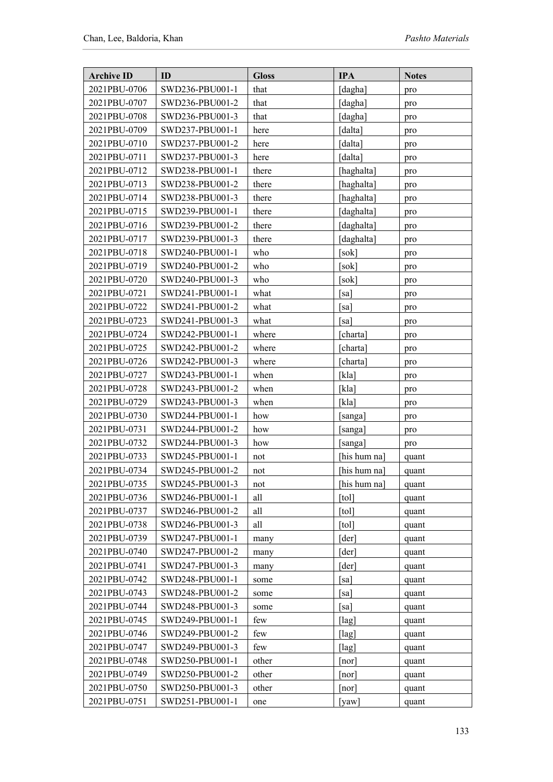| <b>Archive ID</b> | ID              | <b>Gloss</b> | <b>IPA</b>           | <b>Notes</b> |
|-------------------|-----------------|--------------|----------------------|--------------|
| 2021PBU-0706      | SWD236-PBU001-1 | that         | [dagha]              | pro          |
| 2021PBU-0707      | SWD236-PBU001-2 | that         | [dagha]              | pro          |
| 2021PBU-0708      | SWD236-PBU001-3 | that         | [dagha]              | pro          |
| 2021PBU-0709      | SWD237-PBU001-1 | here         | [dalta]              | pro          |
| 2021PBU-0710      | SWD237-PBU001-2 | here         | [dalta]              | pro          |
| 2021PBU-0711      | SWD237-PBU001-3 | here         | [dalta]              | pro          |
| 2021PBU-0712      | SWD238-PBU001-1 | there        | [haghalta]           | pro          |
| 2021PBU-0713      | SWD238-PBU001-2 | there        | [haghalta]           | pro          |
| 2021PBU-0714      | SWD238-PBU001-3 | there        | [haghalta]           | pro          |
| 2021PBU-0715      | SWD239-PBU001-1 | there        | [daghalta]           | pro          |
| 2021PBU-0716      | SWD239-PBU001-2 | there        | [daghalta]           | pro          |
| 2021PBU-0717      | SWD239-PBU001-3 | there        | [daghalta]           | pro          |
| 2021PBU-0718      | SWD240-PBU001-1 | who          | [sok]                | pro          |
| 2021PBU-0719      | SWD240-PBU001-2 | who          | [sok]                | pro          |
| 2021PBU-0720      | SWD240-PBU001-3 | who          | [sok]                | pro          |
| 2021PBU-0721      | SWD241-PBU001-1 | what         | [sa]                 | pro          |
| 2021PBU-0722      | SWD241-PBU001-2 | what         | [sa]                 | pro          |
| 2021PBU-0723      | SWD241-PBU001-3 | what         | [sa]                 | pro          |
| 2021PBU-0724      | SWD242-PBU001-1 | where        | charta]              | pro          |
| 2021PBU-0725      | SWD242-PBU001-2 | where        | [charta]             | pro          |
| 2021PBU-0726      | SWD242-PBU001-3 | where        | [charta]             | pro          |
| 2021PBU-0727      | SWD243-PBU001-1 | when         | [kla]                | pro          |
| 2021PBU-0728      | SWD243-PBU001-2 | when         | [kla]                | pro          |
| 2021PBU-0729      | SWD243-PBU001-3 | when         | [kla]                | pro          |
| 2021PBU-0730      | SWD244-PBU001-1 | how          | [sanga]              | pro          |
| 2021PBU-0731      | SWD244-PBU001-2 | how          | [sanga]              | pro          |
| 2021PBU-0732      | SWD244-PBU001-3 | how          | [sanga]              | pro          |
| 2021PBU-0733      | SWD245-PBU001-1 | not          | [his hum na]         | quant        |
| 2021PBU-0734      | SWD245-PBU001-2 | not          | [his hum na]         | quant        |
| 2021PBU-0735      | SWD245-PBU001-3 | not          | [his hum na]         | quant        |
| 2021PBU-0736      | SWD246-PBU001-1 | all          | [tol]                | quant        |
| 2021PBU-0737      | SWD246-PBU001-2 | all          | [tol]                | quant        |
| 2021PBU-0738      | SWD246-PBU001-3 | all          | [tol]                | quant        |
| 2021PBU-0739      | SWD247-PBU001-1 | many         | [der]                | quant        |
| 2021PBU-0740      | SWD247-PBU001-2 | many         | [der]                | quant        |
| 2021PBU-0741      | SWD247-PBU001-3 | many         | [der]                | quant        |
| 2021PBU-0742      | SWD248-PBU001-1 | some         | sa]                  | quant        |
| 2021PBU-0743      | SWD248-PBU001-2 | some         | [sa]                 | quant        |
| 2021PBU-0744      | SWD248-PBU001-3 | some         | [sa]                 | quant        |
| 2021PBU-0745      | SWD249-PBU001-1 | few          | [lag]                | quant        |
| 2021PBU-0746      | SWD249-PBU001-2 | few          | [lag]                | quant        |
| 2021PBU-0747      | SWD249-PBU001-3 | few          | $\lceil \log \rceil$ | quant        |
| 2021PBU-0748      | SWD250-PBU001-1 | other        | [ <sub>nor</sub> ]   | quant        |
| 2021PBU-0749      | SWD250-PBU001-2 | other        | [nor]                | quant        |
| 2021PBU-0750      | SWD250-PBU001-3 | other        | [nor]                | quant        |
| 2021PBU-0751      | SWD251-PBU001-1 | one          | [yaw]                | quant        |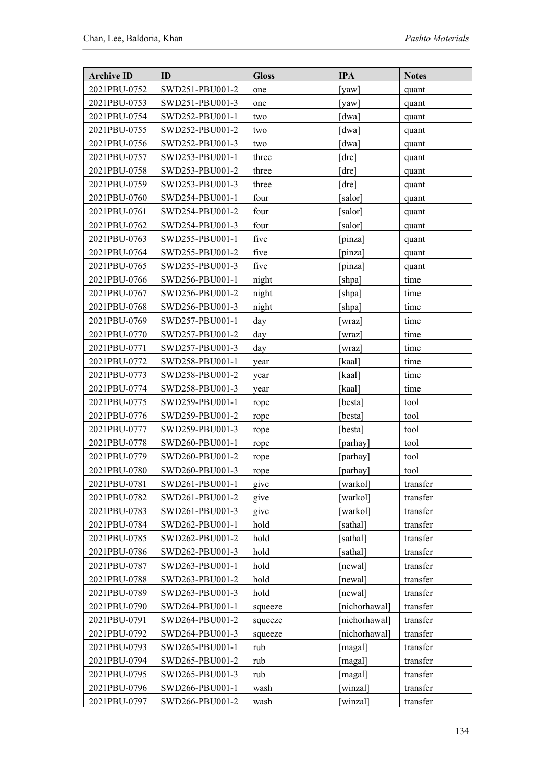| <b>Archive ID</b> | ID              | <b>Gloss</b> | <b>IPA</b>    | <b>Notes</b> |
|-------------------|-----------------|--------------|---------------|--------------|
| 2021PBU-0752      | SWD251-PBU001-2 | one          | [yaw]         | quant        |
| 2021PBU-0753      | SWD251-PBU001-3 | one          | [yaw]         | quant        |
| 2021PBU-0754      | SWD252-PBU001-1 | two          | [dwa]         | quant        |
| 2021PBU-0755      | SWD252-PBU001-2 | two          | [dwa]         | quant        |
| 2021PBU-0756      | SWD252-PBU001-3 | two          | [dwa]         | quant        |
| 2021PBU-0757      | SWD253-PBU001-1 | three        | [dre]         | quant        |
| 2021PBU-0758      | SWD253-PBU001-2 | three        | [dre]         | quant        |
| 2021PBU-0759      | SWD253-PBU001-3 | three        | [dre]         | quant        |
| 2021PBU-0760      | SWD254-PBU001-1 | four         | [salor]       | quant        |
| 2021PBU-0761      | SWD254-PBU001-2 | four         | [salor]       | quant        |
| 2021PBU-0762      | SWD254-PBU001-3 | four         | [salor]       | quant        |
| 2021PBU-0763      | SWD255-PBU001-1 | five         | [pinza]       | quant        |
| 2021PBU-0764      | SWD255-PBU001-2 | five         | [pinza]       | quant        |
| 2021PBU-0765      | SWD255-PBU001-3 | five         | [pinza]       | quant        |
| 2021PBU-0766      | SWD256-PBU001-1 | night        | [shpa]        | time         |
| 2021PBU-0767      | SWD256-PBU001-2 | night        | [shpa]        | time         |
| 2021PBU-0768      | SWD256-PBU001-3 | night        | [shpa]        | time         |
| 2021PBU-0769      | SWD257-PBU001-1 | day          | [wraz]        | time         |
| 2021PBU-0770      | SWD257-PBU001-2 | day          | wraz]         | time         |
| 2021PBU-0771      | SWD257-PBU001-3 | day          | wraz]         | time         |
| 2021PBU-0772      | SWD258-PBU001-1 | year         | [kaal]        | time         |
| 2021PBU-0773      | SWD258-PBU001-2 | year         | [kaal]        | time         |
| 2021PBU-0774      | SWD258-PBU001-3 | year         | [kaal]        | time         |
| 2021PBU-0775      | SWD259-PBU001-1 | rope         | [besta]       | tool         |
| 2021PBU-0776      | SWD259-PBU001-2 | rope         | [besta]       | tool         |
| 2021PBU-0777      | SWD259-PBU001-3 | rope         | [besta]       | tool         |
| 2021PBU-0778      | SWD260-PBU001-1 | rope         | [parhay]      | tool         |
| 2021PBU-0779      | SWD260-PBU001-2 | rope         | [parhay]      | tool         |
| 2021PBU-0780      | SWD260-PBU001-3 | rope         | [parhay]      | tool         |
| 2021PBU-0781      | SWD261-PBU001-1 | give         | [warkol]      | transfer     |
| 2021PBU-0782      | SWD261-PBU001-2 | give         | [warkol]      | transfer     |
| 2021PBU-0783      | SWD261-PBU001-3 | give         | [warkol]      | transfer     |
| 2021PBU-0784      | SWD262-PBU001-1 | hold         | [sathal]      | transfer     |
| 2021PBU-0785      | SWD262-PBU001-2 | hold         | [sathal]      | transfer     |
| 2021PBU-0786      | SWD262-PBU001-3 | hold         | [sathal]      | transfer     |
| 2021PBU-0787      | SWD263-PBU001-1 | hold         | [newal]       | transfer     |
| 2021PBU-0788      | SWD263-PBU001-2 | hold         | [newal]       | transfer     |
| 2021PBU-0789      | SWD263-PBU001-3 | hold         | [newal]       | transfer     |
| 2021PBU-0790      | SWD264-PBU001-1 | squeeze      | [nichorhawal] | transfer     |
| 2021PBU-0791      | SWD264-PBU001-2 | squeeze      | [nichorhawal] | transfer     |
| 2021PBU-0792      | SWD264-PBU001-3 | squeeze      | [nichorhawal] | transfer     |
| 2021PBU-0793      | SWD265-PBU001-1 | rub          | [magal]       | transfer     |
| 2021PBU-0794      | SWD265-PBU001-2 | rub          | [magal]       | transfer     |
| 2021PBU-0795      | SWD265-PBU001-3 | rub          | [magal]       | transfer     |
| 2021PBU-0796      | SWD266-PBU001-1 | wash         | [winzal]      | transfer     |
| 2021PBU-0797      | SWD266-PBU001-2 | wash         | winzal]       | transfer     |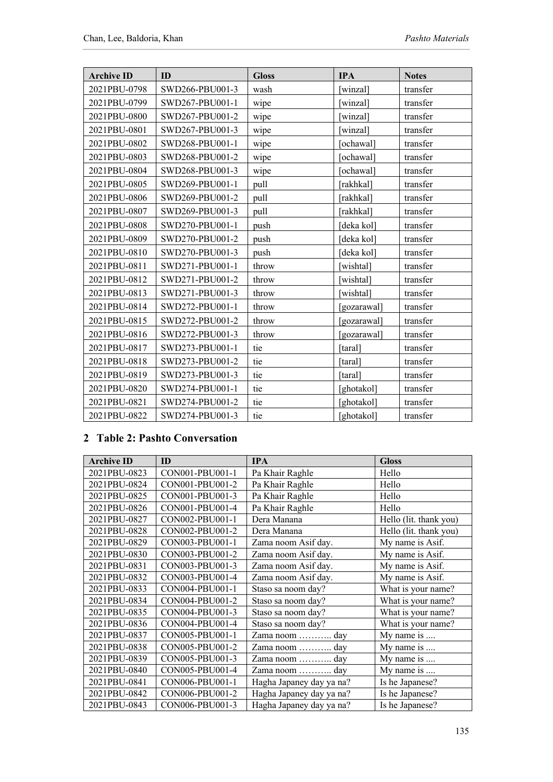| <b>Archive ID</b> | <b>ID</b>       | <b>Gloss</b> | <b>IPA</b>  | <b>Notes</b> |
|-------------------|-----------------|--------------|-------------|--------------|
| 2021PBU-0798      | SWD266-PBU001-3 | wash         | winzal]     | transfer     |
| 2021PBU-0799      | SWD267-PBU001-1 | wipe         | winzal]     | transfer     |
| 2021PBU-0800      | SWD267-PBU001-2 | wipe         | [winzal]    | transfer     |
| 2021PBU-0801      | SWD267-PBU001-3 | wipe         | winzal]     | transfer     |
| 2021PBU-0802      | SWD268-PBU001-1 | wipe         | ochawal]    | transfer     |
| 2021PBU-0803      | SWD268-PBU001-2 | wipe         | ochawal]    | transfer     |
| 2021PBU-0804      | SWD268-PBU001-3 | wipe         | ochawal]    | transfer     |
| 2021PBU-0805      | SWD269-PBU001-1 | pull         | [rakhkal]   | transfer     |
| 2021PBU-0806      | SWD269-PBU001-2 | pull         | [rakhkal]   | transfer     |
| 2021PBU-0807      | SWD269-PBU001-3 | pull         | [rakhkal]   | transfer     |
| 2021PBU-0808      | SWD270-PBU001-1 | push         | [deka kol]  | transfer     |
| 2021PBU-0809      | SWD270-PBU001-2 | push         | deka kol]   | transfer     |
| 2021PBU-0810      | SWD270-PBU001-3 | push         | deka kol]   | transfer     |
| 2021PBU-0811      | SWD271-PBU001-1 | throw        | wishtal]    | transfer     |
| 2021PBU-0812      | SWD271-PBU001-2 | throw        | wishtal]    | transfer     |
| 2021PBU-0813      | SWD271-PBU001-3 | throw        | [wishtal]   | transfer     |
| 2021PBU-0814      | SWD272-PBU001-1 | throw        | [gozarawal] | transfer     |
| 2021PBU-0815      | SWD272-PBU001-2 | throw        | [gozarawal] | transfer     |
| 2021PBU-0816      | SWD272-PBU001-3 | throw        | [gozarawal] | transfer     |
| 2021PBU-0817      | SWD273-PBU001-1 | tie          | [taral]     | transfer     |
| 2021PBU-0818      | SWD273-PBU001-2 | tie          | [taral]     | transfer     |
| 2021PBU-0819      | SWD273-PBU001-3 | tie          | taral]      | transfer     |
| 2021PBU-0820      | SWD274-PBU001-1 | tie          | [ghotakol]  | transfer     |
| 2021PBU-0821      | SWD274-PBU001-2 | tie          | [ghotakol]  | transfer     |
| 2021PBU-0822      | SWD274-PBU001-3 | tie          | [ghotakol]  | transfer     |

#### **2 Table 2: Pashto Conversation**

| <b>Archive ID</b> | ID              | <b>IPA</b>               | <b>Gloss</b>           |
|-------------------|-----------------|--------------------------|------------------------|
| 2021PBU-0823      | CON001-PBU001-1 | Pa Khair Raghle          | Hello                  |
| 2021PBU-0824      | CON001-PBU001-2 | Pa Khair Raghle          | Hello                  |
| 2021PBU-0825      | CON001-PBU001-3 | Pa Khair Raghle          | Hello                  |
| 2021PBU-0826      | CON001-PBU001-4 | Pa Khair Raghle          | Hello                  |
| 2021PBU-0827      | CON002-PBU001-1 | Dera Manana              | Hello (lit. thank you) |
| 2021PBU-0828      | CON002-PBU001-2 | Dera Manana              | Hello (lit. thank you) |
| 2021PBU-0829      | CON003-PBU001-1 | Zama noom Asif day.      | My name is Asif.       |
| 2021PBU-0830      | CON003-PBU001-2 | Zama noom Asif day.      | My name is Asif.       |
| 2021PBU-0831      | CON003-PBU001-3 | Zama noom Asif day.      | My name is Asif.       |
| 2021PBU-0832      | CON003-PBU001-4 | Zama noom Asif day.      | My name is Asif.       |
| 2021PBU-0833      | CON004-PBU001-1 | Staso sa noom day?       | What is your name?     |
| 2021PBU-0834      | CON004-PBU001-2 | Staso sa noom day?       | What is your name?     |
| 2021PBU-0835      | CON004-PBU001-3 | Staso sa noom day?       | What is your name?     |
| 2021PBU-0836      | CON004-PBU001-4 | Staso sa noom day?       | What is your name?     |
| 2021PBU-0837      | CON005-PBU001-1 | Zama noom  day           | My name is             |
| 2021PBU-0838      | CON005-PBU001-2 | Zama noom  day           | My name is             |
| 2021PBU-0839      | CON005-PBU001-3 | Zama noom  day           | My name is             |
| 2021PBU-0840      | CON005-PBU001-4 | Zama noom  day           | My name is             |
| 2021PBU-0841      | CON006-PBU001-1 | Hagha Japaney day ya na? | Is he Japanese?        |
| 2021PBU-0842      | CON006-PBU001-2 | Hagha Japaney day ya na? | Is he Japanese?        |
| 2021PBU-0843      | CON006-PBU001-3 | Hagha Japaney day ya na? | Is he Japanese?        |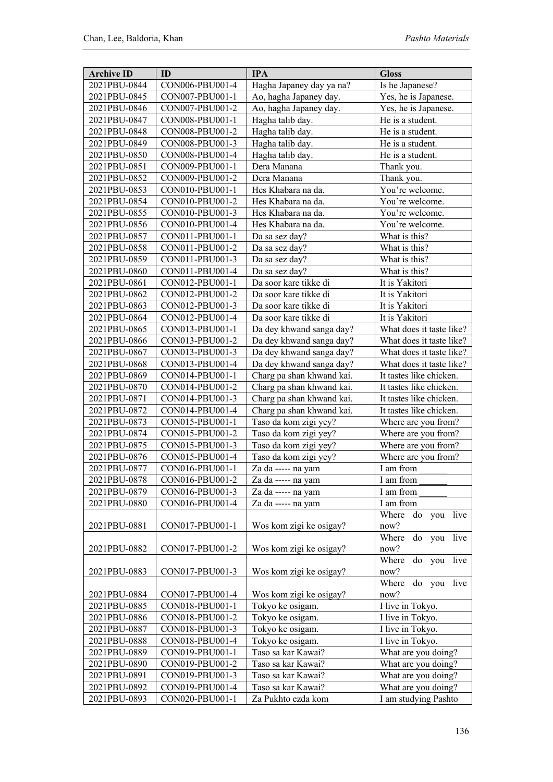| <b>Archive ID</b> | ID              | <b>IPA</b>                | <b>Gloss</b>               |
|-------------------|-----------------|---------------------------|----------------------------|
| 2021PBU-0844      | CON006-PBU001-4 | Hagha Japaney day ya na?  | Is he Japanese?            |
| 2021PBU-0845      | CON007-PBU001-1 | Ao, hagha Japaney day.    | Yes, he is Japanese.       |
| 2021PBU-0846      | CON007-PBU001-2 | Ao, hagha Japaney day.    | Yes, he is Japanese.       |
| 2021PBU-0847      | CON008-PBU001-1 | Hagha talib day.          | He is a student.           |
| 2021PBU-0848      | CON008-PBU001-2 | Hagha talib day.          | He is a student.           |
| 2021PBU-0849      | CON008-PBU001-3 | Hagha talib day.          | He is a student.           |
| 2021PBU-0850      | CON008-PBU001-4 | Hagha talib day.          | He is a student.           |
| 2021PBU-0851      | CON009-PBU001-1 | Dera Manana               | Thank you.                 |
| 2021PBU-0852      | CON009-PBU001-2 | Dera Manana               | Thank you.                 |
| 2021PBU-0853      | CON010-PBU001-1 | Hes Khabara na da.        | You're welcome.            |
| 2021PBU-0854      | CON010-PBU001-2 | Hes Khabara na da.        | You're welcome.            |
| 2021PBU-0855      | CON010-PBU001-3 | Hes Khabara na da.        | You're welcome.            |
| 2021PBU-0856      | CON010-PBU001-4 | Hes Khabara na da.        | You're welcome.            |
| 2021PBU-0857      | CON011-PBU001-1 | Da sa sez day?            | What is this?              |
| 2021PBU-0858      | CON011-PBU001-2 | Da sa sez day?            | What is this?              |
| 2021PBU-0859      | CON011-PBU001-3 | Da sa sez day?            | What is this?              |
| 2021PBU-0860      | CON011-PBU001-4 | Da sa sez day?            | What is this?              |
| 2021PBU-0861      | CON012-PBU001-1 | Da soor kare tikke di     | It is Yakitori             |
| 2021PBU-0862      | CON012-PBU001-2 | Da soor kare tikke di     | It is Yakitori             |
| 2021PBU-0863      | CON012-PBU001-3 | Da soor kare tikke di     | It is Yakitori             |
| 2021PBU-0864      | CON012-PBU001-4 | Da soor kare tikke di     | It is Yakitori             |
| 2021PBU-0865      | CON013-PBU001-1 | Da dey khwand sanga day?  | What does it taste like?   |
| 2021PBU-0866      | CON013-PBU001-2 | Da dey khwand sanga day?  | What does it taste like?   |
| 2021PBU-0867      | CON013-PBU001-3 | Da dey khwand sanga day?  | What does it taste like?   |
| 2021PBU-0868      | CON013-PBU001-4 | Da dey khwand sanga day?  | What does it taste like?   |
| 2021PBU-0869      | CON014-PBU001-1 | Charg pa shan khwand kai. | It tastes like chicken.    |
| 2021PBU-0870      | CON014-PBU001-2 | Charg pa shan khwand kai. | It tastes like chicken.    |
| 2021PBU-0871      | CON014-PBU001-3 | Charg pa shan khwand kai. | It tastes like chicken.    |
| 2021PBU-0872      | CON014-PBU001-4 | Charg pa shan khwand kai. | It tastes like chicken.    |
| 2021PBU-0873      | CON015-PBU001-1 | Taso da kom zigi yey?     | Where are you from?        |
| 2021PBU-0874      | CON015-PBU001-2 | Taso da kom zigi yey?     | Where are you from?        |
| 2021PBU-0875      | CON015-PBU001-3 | Taso da kom zigi yey?     | Where are you from?        |
| 2021PBU-0876      | CON015-PBU001-4 | Taso da kom zigi yey?     | Where are you from?        |
| 2021PBU-0877      | CON016-PBU001-1 | Za da ----- na yam        | I am from                  |
| 2021PBU-0878      | CON016-PBU001-2 | Za da ----- na yam        | I am from                  |
| 2021PBU-0879      | CON016-PBU001-3 | Za da ----- na yam        | I am from                  |
| 2021PBU-0880      | CON016-PBU001-4 | Za da ----- na yam        | I am from                  |
|                   |                 |                           | Where do you live          |
| 2021PBU-0881      | CON017-PBU001-1 | Wos kom zigi ke osigay?   | now?                       |
|                   |                 |                           | live<br>Where do<br>you    |
| 2021PBU-0882      | CON017-PBU001-2 | Wos kom zigi ke osigay?   | now?                       |
|                   |                 |                           | Where<br>live<br>do<br>you |
| 2021PBU-0883      | CON017-PBU001-3 | Wos kom zigi ke osigay?   | now?                       |
|                   |                 |                           | Where<br>do you<br>live    |
| 2021PBU-0884      | CON017-PBU001-4 | Wos kom zigi ke osigay?   | now?                       |
| 2021PBU-0885      | CON018-PBU001-1 | Tokyo ke osigam.          | I live in Tokyo.           |
| 2021PBU-0886      | CON018-PBU001-2 | Tokyo ke osigam.          | I live in Tokyo.           |
| 2021PBU-0887      | CON018-PBU001-3 | Tokyo ke osigam.          | I live in Tokyo.           |
| 2021PBU-0888      | CON018-PBU001-4 | Tokyo ke osigam.          | I live in Tokyo.           |
| 2021PBU-0889      | CON019-PBU001-1 | Taso sa kar Kawai?        | What are you doing?        |
| 2021PBU-0890      | CON019-PBU001-2 | Taso sa kar Kawai?        | What are you doing?        |
| 2021PBU-0891      | CON019-PBU001-3 | Taso sa kar Kawai?        | What are you doing?        |
| 2021PBU-0892      | CON019-PBU001-4 | Taso sa kar Kawai?        | What are you doing?        |
| 2021PBU-0893      | CON020-PBU001-1 | Za Pukhto ezda kom        | I am studying Pashto       |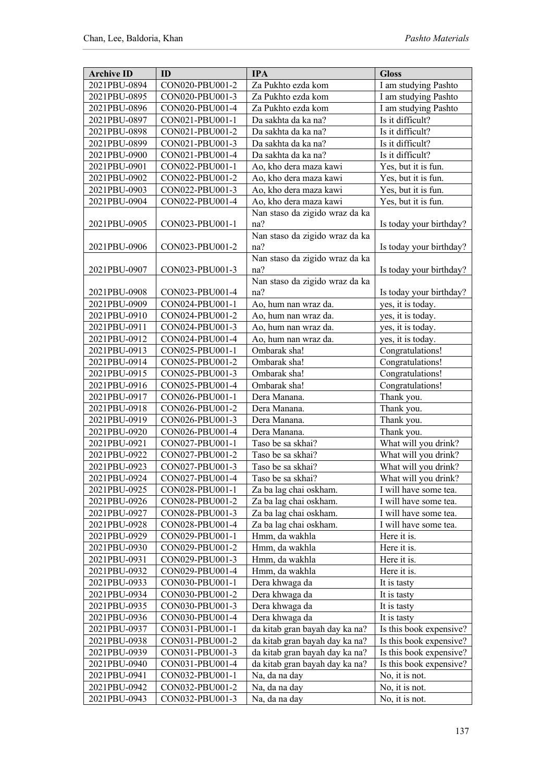| <b>Archive ID</b> | ID              | <b>IPA</b>                     | <b>Gloss</b>            |
|-------------------|-----------------|--------------------------------|-------------------------|
| 2021PBU-0894      | CON020-PBU001-2 | Za Pukhto ezda kom             | I am studying Pashto    |
| 2021PBU-0895      | CON020-PBU001-3 | Za Pukhto ezda kom             | I am studying Pashto    |
| 2021PBU-0896      | CON020-PBU001-4 | Za Pukhto ezda kom             | I am studying Pashto    |
| 2021PBU-0897      | CON021-PBU001-1 | Da sakhta da ka na?            | Is it difficult?        |
| 2021PBU-0898      | CON021-PBU001-2 | Da sakhta da ka na?            | Is it difficult?        |
| 2021PBU-0899      | CON021-PBU001-3 | Da sakhta da ka na?            | Is it difficult?        |
| 2021PBU-0900      | CON021-PBU001-4 | Da sakhta da ka na?            | Is it difficult?        |
| 2021PBU-0901      | CON022-PBU001-1 | Ao, kho dera maza kawi         | Yes, but it is fun.     |
| 2021PBU-0902      | CON022-PBU001-2 | Ao, kho dera maza kawi         | Yes, but it is fun.     |
| 2021PBU-0903      | CON022-PBU001-3 | Ao, kho dera maza kawi         | Yes, but it is fun.     |
| 2021PBU-0904      | CON022-PBU001-4 | Ao, kho dera maza kawi         | Yes, but it is fun.     |
|                   |                 | Nan staso da zigido wraz da ka |                         |
| 2021PBU-0905      | CON023-PBU001-1 | na?                            | Is today your birthday? |
|                   |                 | Nan staso da zigido wraz da ka |                         |
| 2021PBU-0906      | CON023-PBU001-2 | na?                            | Is today your birthday? |
|                   |                 | Nan staso da zigido wraz da ka |                         |
| 2021PBU-0907      | CON023-PBU001-3 | na?                            | Is today your birthday? |
|                   |                 | Nan staso da zigido wraz da ka |                         |
| 2021PBU-0908      | CON023-PBU001-4 | na?                            | Is today your birthday? |
| 2021PBU-0909      | CON024-PBU001-1 | Ao, hum nan wraz da.           | yes, it is today.       |
| 2021PBU-0910      | CON024-PBU001-2 | Ao, hum nan wraz da.           |                         |
| 2021PBU-0911      |                 | Ao, hum nan wraz da.           | yes, it is today.       |
| 2021PBU-0912      | CON024-PBU001-3 |                                | yes, it is today.       |
|                   | CON024-PBU001-4 | Ao, hum nan wraz da.           | yes, it is today.       |
| 2021PBU-0913      | CON025-PBU001-1 | Ombarak sha!                   | Congratulations!        |
| 2021PBU-0914      | CON025-PBU001-2 | Ombarak sha!                   | Congratulations!        |
| 2021PBU-0915      | CON025-PBU001-3 | Ombarak sha!                   | Congratulations!        |
| 2021PBU-0916      | CON025-PBU001-4 | Ombarak sha!                   | Congratulations!        |
| 2021PBU-0917      | CON026-PBU001-1 | Dera Manana.                   | Thank you.              |
| 2021PBU-0918      | CON026-PBU001-2 | Dera Manana.                   | Thank you.              |
| 2021PBU-0919      | CON026-PBU001-3 | Dera Manana.                   | Thank you.              |
| 2021PBU-0920      | CON026-PBU001-4 | Dera Manana.                   | Thank you.              |
| 2021PBU-0921      | CON027-PBU001-1 | Taso be sa skhai?              | What will you drink?    |
| 2021PBU-0922      | CON027-PBU001-2 | Taso be sa skhai?              | What will you drink?    |
| 2021PBU-0923      | CON027-PBU001-3 | Taso be sa skhai?              | What will you drink?    |
| 2021PBU-0924      | CON027-PBU001-4 | Taso be sa skhai?              | What will you drink?    |
| 2021PBU-0925      | CON028-PBU001-1 | Za ba lag chai oskham.         | I will have some tea.   |
| 2021PBU-0926      | CON028-PBU001-2 | Za ba lag chai oskham.         | I will have some tea.   |
| 2021PBU-0927      | CON028-PBU001-3 | Za ba lag chai oskham.         | I will have some tea.   |
| 2021PBU-0928      | CON028-PBU001-4 | Za ba lag chai oskham.         | I will have some tea.   |
| 2021PBU-0929      | CON029-PBU001-1 | Hmm, da wakhla                 | Here it is.             |
| 2021PBU-0930      | CON029-PBU001-2 | Hmm, da wakhla                 | Here it is.             |
| 2021PBU-0931      | CON029-PBU001-3 | Hmm, da wakhla                 | Here it is.             |
| 2021PBU-0932      | CON029-PBU001-4 | Hmm, da wakhla                 | Here it is.             |
| 2021PBU-0933      | CON030-PBU001-1 | Dera khwaga da                 | It is tasty             |
| 2021PBU-0934      | CON030-PBU001-2 | Dera khwaga da                 | It is tasty             |
| 2021PBU-0935      | CON030-PBU001-3 | Dera khwaga da                 | It is tasty             |
| 2021PBU-0936      | CON030-PBU001-4 | Dera khwaga da                 | It is tasty             |
| 2021PBU-0937      | CON031-PBU001-1 | da kitab gran bayah day ka na? | Is this book expensive? |
| 2021PBU-0938      | CON031-PBU001-2 | da kitab gran bayah day ka na? | Is this book expensive? |
| 2021PBU-0939      | CON031-PBU001-3 | da kitab gran bayah day ka na? | Is this book expensive? |
| 2021PBU-0940      | CON031-PBU001-4 | da kitab gran bayah day ka na? | Is this book expensive? |
| 2021PBU-0941      | CON032-PBU001-1 | Na, da na day                  | No, it is not.          |
| 2021PBU-0942      | CON032-PBU001-2 | Na, da na day                  | No, it is not.          |
| 2021PBU-0943      | CON032-PBU001-3 | Na, da na day                  | No, it is not.          |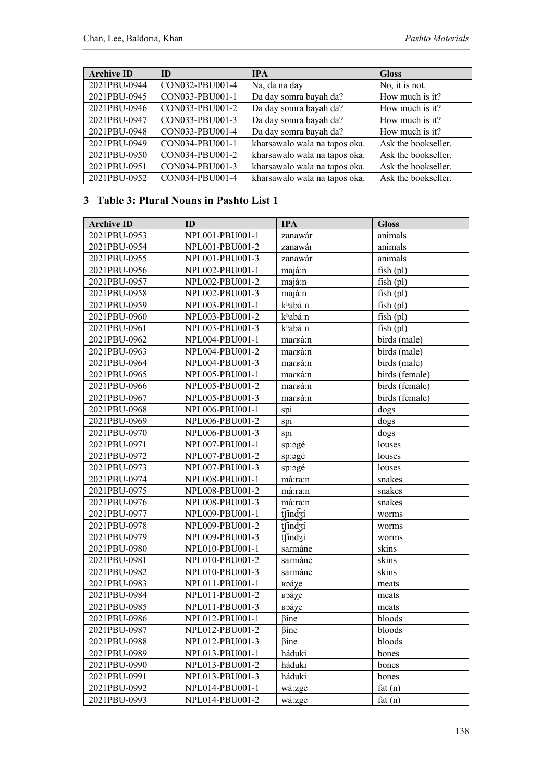| <b>Archive ID</b> | <b>ID</b>       | <b>IPA</b>                    | <b>Gloss</b>        |
|-------------------|-----------------|-------------------------------|---------------------|
| 2021PBU-0944      | CON032-PBU001-4 | Na, da na day                 | No, it is not.      |
| 2021PBU-0945      | CON033-PBU001-1 | Da day somra bayah da?        | How much is it?     |
| 2021PBU-0946      | CON033-PBU001-2 | Da day somra bayah da?        | How much is it?     |
| 2021PBU-0947      | CON033-PBU001-3 | Da day somra bayah da?        | How much is it?     |
| 2021PBU-0948      | CON033-PBU001-4 | Da day somra bayah da?        | How much is it?     |
| 2021PBU-0949      | CON034-PBU001-1 | kharsawalo wala na tapos oka. | Ask the bookseller. |
| 2021PBU-0950      | CON034-PBU001-2 | kharsawalo wala na tapos oka. | Ask the bookseller. |
| 2021PBU-0951      | CON034-PBU001-3 | kharsawalo wala na tapos oka. | Ask the bookseller. |
| 2021PBU-0952      | CON034-PBU001-4 | kharsawalo wala na tapos oka. | Ask the bookseller. |

#### **3 Table 3: Plural Nouns in Pashto List 1**

| <b>Archive ID</b> | ID              | <b>IPA</b>     | <b>Gloss</b>   |
|-------------------|-----------------|----------------|----------------|
| 2021PBU-0953      | NPL001-PBU001-1 | zanawár        | animals        |
| 2021PBU-0954      | NPL001-PBU001-2 | zanawár        | animals        |
| 2021PBU-0955      | NPL001-PBU001-3 | zanawár        | animals        |
| 2021PBU-0956      | NPL002-PBU001-1 | majá:n         | $fish$ (pl)    |
| 2021PBU-0957      | NPL002-PBU001-2 | majá:n         | $fish$ (pl)    |
| 2021PBU-0958      | NPL002-PBU001-3 | majá:n         | $fish$ (pl)    |
| 2021PBU-0959      | NPL003-PBU001-1 | khabá:n        | $fish$ (pl)    |
| 2021PBU-0960      | NPL003-PBU001-2 | khabá:n        | $fish$ (pl)    |
| 2021PBU-0961      | NPL003-PBU001-3 | khabá:n        | $fish$ (pl)    |
| 2021PBU-0962      | NPL004-PBU001-1 | marká:n        | birds (male)   |
| 2021PBU-0963      | NPL004-PBU001-2 | marká:n        | birds (male)   |
| 2021PBU-0964      | NPL004-PBU001-3 | marká:n        | birds (male)   |
| 2021PBU-0965      | NPL005-PBU001-1 | marká:n        | birds (female) |
| 2021PBU-0966      | NPL005-PBU001-2 | marká:n        | birds (female) |
| 2021PBU-0967      | NPL005-PBU001-3 | marká:n        | birds (female) |
| 2021PBU-0968      | NPL006-PBU001-1 | spi            | dogs           |
| 2021PBU-0969      | NPL006-PBU001-2 | spi            | dogs           |
| 2021PBU-0970      | NPL006-PBU001-3 | spi            | dogs           |
| 2021PBU-0971      | NPL007-PBU001-1 | sp:əgé         | louses         |
| 2021PBU-0972      | NPL007-PBU001-2 | sp:2gé         | louses         |
| 2021PBU-0973      | NPL007-PBU001-3 | sp:əgé         | louses         |
| 2021PBU-0974      | NPL008-PBU001-1 | má:ra:n        | snakes         |
| 2021PBU-0975      | NPL008-PBU001-2 | má:ra:n        | snakes         |
| 2021PBU-0976      | NPL008-PBU001-3 | má:ra:n        | snakes         |
| 2021PBU-0977      | NPL009-PBU001-1 | tfind3í        | worms          |
| 2021PBU-0978      | NPL009-PBU001-2 | tfindzí        | worms          |
| 2021PBU-0979      | NPL009-PBU001-3 | tfind3i        | worms          |
| 2021PBU-0980      | NPL010-PBU001-1 | sarmáne        | skins          |
| 2021PBU-0981      | NPL010-PBU001-2 | sarmáne        | skins          |
| 2021PBU-0982      | NPL010-PBU001-3 | sarmáne        | skins          |
| 2021PBU-0983      | NPL011-PBU001-1 | <b>к</b> эа́χе | meats          |
| 2021PBU-0984      | NPL011-PBU001-2 | коа́хе         | meats          |
| 2021PBU-0985      | NPL011-PBU001-3 | <b>к</b> эа́χе | meats          |
| 2021PBU-0986      | NPL012-PBU001-1 | βíne           | bloods         |
| 2021PBU-0987      | NPL012-PBU001-2 | βíne           | bloods         |
| 2021PBU-0988      | NPL012-PBU001-3 | βíne           | bloods         |
| 2021PBU-0989      | NPL013-PBU001-1 | háduki         | bones          |
| 2021PBU-0990      | NPL013-PBU001-2 | háduki         | bones          |
| 2021PBU-0991      | NPL013-PBU001-3 | háduki         | bones          |
| 2021PBU-0992      | NPL014-PBU001-1 | wá:zge         | fat $(n)$      |
| 2021PBU-0993      | NPL014-PBU001-2 | wá:zge         | fat $(n)$      |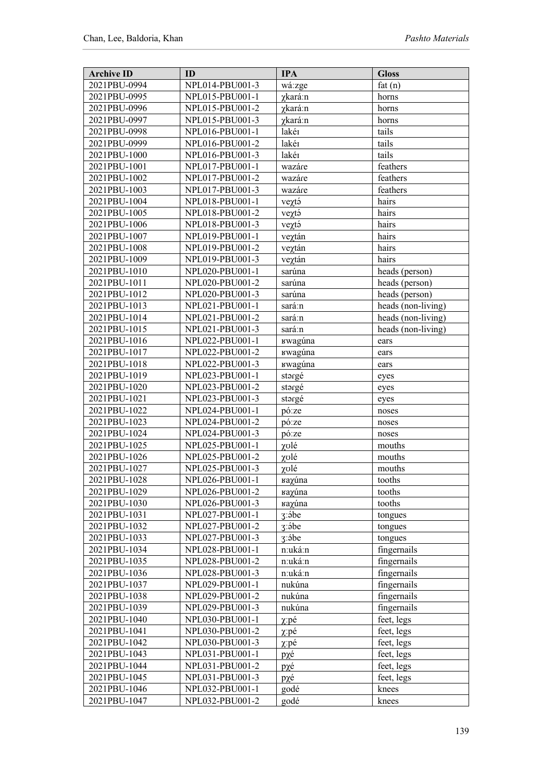| 2021PBU-0994<br>NPL014-PBU001-3<br>wá:zge<br>fat(n)<br>2021PBU-0995<br>NPL015-PBU001-1<br>γkará:n<br>horns<br>2021PBU-0996<br>NPL015-PBU001-2<br>γkará:n<br>horns<br>2021PBU-0997<br>NPL015-PBU001-3<br>γkará:n<br>horns<br>tails<br>2021PBU-0998<br>NPL016-PBU001-1<br>lakér<br>tails<br>lakér<br>2021PBU-0999<br>NPL016-PBU001-2<br>lakér<br>tails<br>2021PBU-1000<br>NPL016-PBU001-3<br>2021PBU-1001<br>NPL017-PBU001-1<br>feathers<br>wazáre<br>2021PBU-1002<br>NPL017-PBU001-2<br>feathers<br>wazáre<br>feathers<br>2021PBU-1003<br>NPL017-PBU001-3<br>wazáre<br>2021PBU-1004<br>NPL018-PBU001-1<br>hairs<br>veχtá<br>2021PBU-1005<br>NPL018-PBU001-2<br>veχtá<br>hairs<br>2021PBU-1006<br>NPL018-PBU001-3<br>hairs<br>veχtá<br>hairs<br>2021PBU-1007<br>NPL019-PBU001-1<br>veχtán<br>2021PBU-1008<br>NPL019-PBU001-2<br>veytán<br>hairs<br>2021PBU-1009<br>NPL019-PBU001-3<br>veχtán<br>hairs<br>2021PBU-1010<br>sarúna<br>NPL020-PBU001-1<br>heads (person)<br>2021PBU-1011<br>sarúna<br>heads (person)<br>NPL020-PBU001-2<br>sarúna<br>heads (person)<br>2021PBU-1012<br>NPL020-PBU001-3<br>heads (non-living)<br>2021PBU-1013<br>NPL021-PBU001-1<br>sará:n<br>heads (non-living)<br>2021PBU-1014<br>NPL021-PBU001-2<br>sará:n<br>heads (non-living)<br>2021PBU-1015<br>NPL021-PBU001-3<br>sará:n<br>2021PBU-1016<br>NPL022-PBU001-1<br><b><i>Bwaguna</i></b><br>ears<br>2021PBU-1017<br>NPL022-PBU001-2<br><b><i>Bwaguna</i></b><br>ears<br>2021PBU-1018<br>NPL022-PBU001-3<br><b><i>Bwaguna</i></b><br>ears<br>2021PBU-1019<br>NPL023-PBU001-1<br>stargé<br>eyes<br>2021PBU-1020<br>NPL023-PBU001-2<br>stargé<br>eyes<br>2021PBU-1021<br>NPL023-PBU001-3<br>stargé<br>eyes<br>2021PBU-1022<br>NPL024-PBU001-1<br>pó:ze<br>noses<br>2021PBU-1023<br>NPL024-PBU001-2<br>pó:ze<br>noses<br>2021PBU-1024<br>NPL024-PBU001-3<br>pó:ze<br>noses<br>2021PBU-1025<br>NPL025-PBU001-1<br>χυlé<br>mouths<br>χυlé<br>2021PBU-1026<br>NPL025-PBU001-2<br>mouths<br>2021PBU-1027<br>NPL025-PBU001-3<br>χυlé<br>mouths<br>2021PBU-1028<br>NPL026-PBU001-1<br>tooths<br>raχúna<br>2021PBU-1029<br>NPL026-PBU001-2<br>tooths<br>κaγúna<br>2021PBU-1030<br>NPL026-PBU001-3<br>κaχúna<br>tooths<br>2021PBU-1031<br>NPL027-PBU001-1<br>3:5be<br>tongues<br>2021PBU-1032<br>NPL027-PBU001-2<br>3:5be<br>tongues<br>2021PBU-1033<br>NPL027-PBU001-3<br>3:5be<br>tongues<br>2021PBU-1034<br>n:uká:n<br>fingernails<br>NPL028-PBU001-1<br>fingernails<br>2021PBU-1035<br>NPL028-PBU001-2<br>n:uká:n<br>fingernails<br>2021PBU-1036<br>NPL028-PBU001-3<br>n:uká:n<br>fingernails<br>2021PBU-1037<br>NPL029-PBU001-1<br>nukúna<br>fingernails<br>nukúna<br>2021PBU-1038<br>NPL029-PBU001-2<br>fingernails<br>2021PBU-1039<br>NPL029-PBU001-3<br>nukúna<br>feet, legs<br>2021PBU-1040<br>NPL030-PBU001-1<br>$\chi$ : pé<br>feet, legs<br>2021PBU-1041<br>NPL030-PBU001-2<br>$\chi$ : pé<br>2021PBU-1042<br>NPL030-PBU001-3<br>feet, legs<br>$\chi$ : pé<br>2021PBU-1043<br>NPL031-PBU001-1<br>feet, legs<br>pχé<br>2021PBU-1044<br>feet, legs<br>NPL031-PBU001-2<br>pχé<br>2021PBU-1045<br>NPL031-PBU001-3<br>pχé<br>feet, legs<br>godé<br>2021PBU-1046<br>NPL032-PBU001-1<br>knees<br>godé<br>2021PBU-1047<br>NPL032-PBU001-2<br>knees | <b>Archive ID</b> | ID | <b>IPA</b> | <b>Gloss</b> |
|-------------------------------------------------------------------------------------------------------------------------------------------------------------------------------------------------------------------------------------------------------------------------------------------------------------------------------------------------------------------------------------------------------------------------------------------------------------------------------------------------------------------------------------------------------------------------------------------------------------------------------------------------------------------------------------------------------------------------------------------------------------------------------------------------------------------------------------------------------------------------------------------------------------------------------------------------------------------------------------------------------------------------------------------------------------------------------------------------------------------------------------------------------------------------------------------------------------------------------------------------------------------------------------------------------------------------------------------------------------------------------------------------------------------------------------------------------------------------------------------------------------------------------------------------------------------------------------------------------------------------------------------------------------------------------------------------------------------------------------------------------------------------------------------------------------------------------------------------------------------------------------------------------------------------------------------------------------------------------------------------------------------------------------------------------------------------------------------------------------------------------------------------------------------------------------------------------------------------------------------------------------------------------------------------------------------------------------------------------------------------------------------------------------------------------------------------------------------------------------------------------------------------------------------------------------------------------------------------------------------------------------------------------------------------------------------------------------------------------------------------------------------------------------------------------------------------------------------------------------------------------------------------------------------------------------------------------------------------------------------------------------------------------------------------------------------------------------------------------------------------------------------------------------------------------------------------------------------------|-------------------|----|------------|--------------|
|                                                                                                                                                                                                                                                                                                                                                                                                                                                                                                                                                                                                                                                                                                                                                                                                                                                                                                                                                                                                                                                                                                                                                                                                                                                                                                                                                                                                                                                                                                                                                                                                                                                                                                                                                                                                                                                                                                                                                                                                                                                                                                                                                                                                                                                                                                                                                                                                                                                                                                                                                                                                                                                                                                                                                                                                                                                                                                                                                                                                                                                                                                                                                                                                                         |                   |    |            |              |
|                                                                                                                                                                                                                                                                                                                                                                                                                                                                                                                                                                                                                                                                                                                                                                                                                                                                                                                                                                                                                                                                                                                                                                                                                                                                                                                                                                                                                                                                                                                                                                                                                                                                                                                                                                                                                                                                                                                                                                                                                                                                                                                                                                                                                                                                                                                                                                                                                                                                                                                                                                                                                                                                                                                                                                                                                                                                                                                                                                                                                                                                                                                                                                                                                         |                   |    |            |              |
|                                                                                                                                                                                                                                                                                                                                                                                                                                                                                                                                                                                                                                                                                                                                                                                                                                                                                                                                                                                                                                                                                                                                                                                                                                                                                                                                                                                                                                                                                                                                                                                                                                                                                                                                                                                                                                                                                                                                                                                                                                                                                                                                                                                                                                                                                                                                                                                                                                                                                                                                                                                                                                                                                                                                                                                                                                                                                                                                                                                                                                                                                                                                                                                                                         |                   |    |            |              |
|                                                                                                                                                                                                                                                                                                                                                                                                                                                                                                                                                                                                                                                                                                                                                                                                                                                                                                                                                                                                                                                                                                                                                                                                                                                                                                                                                                                                                                                                                                                                                                                                                                                                                                                                                                                                                                                                                                                                                                                                                                                                                                                                                                                                                                                                                                                                                                                                                                                                                                                                                                                                                                                                                                                                                                                                                                                                                                                                                                                                                                                                                                                                                                                                                         |                   |    |            |              |
|                                                                                                                                                                                                                                                                                                                                                                                                                                                                                                                                                                                                                                                                                                                                                                                                                                                                                                                                                                                                                                                                                                                                                                                                                                                                                                                                                                                                                                                                                                                                                                                                                                                                                                                                                                                                                                                                                                                                                                                                                                                                                                                                                                                                                                                                                                                                                                                                                                                                                                                                                                                                                                                                                                                                                                                                                                                                                                                                                                                                                                                                                                                                                                                                                         |                   |    |            |              |
|                                                                                                                                                                                                                                                                                                                                                                                                                                                                                                                                                                                                                                                                                                                                                                                                                                                                                                                                                                                                                                                                                                                                                                                                                                                                                                                                                                                                                                                                                                                                                                                                                                                                                                                                                                                                                                                                                                                                                                                                                                                                                                                                                                                                                                                                                                                                                                                                                                                                                                                                                                                                                                                                                                                                                                                                                                                                                                                                                                                                                                                                                                                                                                                                                         |                   |    |            |              |
|                                                                                                                                                                                                                                                                                                                                                                                                                                                                                                                                                                                                                                                                                                                                                                                                                                                                                                                                                                                                                                                                                                                                                                                                                                                                                                                                                                                                                                                                                                                                                                                                                                                                                                                                                                                                                                                                                                                                                                                                                                                                                                                                                                                                                                                                                                                                                                                                                                                                                                                                                                                                                                                                                                                                                                                                                                                                                                                                                                                                                                                                                                                                                                                                                         |                   |    |            |              |
|                                                                                                                                                                                                                                                                                                                                                                                                                                                                                                                                                                                                                                                                                                                                                                                                                                                                                                                                                                                                                                                                                                                                                                                                                                                                                                                                                                                                                                                                                                                                                                                                                                                                                                                                                                                                                                                                                                                                                                                                                                                                                                                                                                                                                                                                                                                                                                                                                                                                                                                                                                                                                                                                                                                                                                                                                                                                                                                                                                                                                                                                                                                                                                                                                         |                   |    |            |              |
|                                                                                                                                                                                                                                                                                                                                                                                                                                                                                                                                                                                                                                                                                                                                                                                                                                                                                                                                                                                                                                                                                                                                                                                                                                                                                                                                                                                                                                                                                                                                                                                                                                                                                                                                                                                                                                                                                                                                                                                                                                                                                                                                                                                                                                                                                                                                                                                                                                                                                                                                                                                                                                                                                                                                                                                                                                                                                                                                                                                                                                                                                                                                                                                                                         |                   |    |            |              |
|                                                                                                                                                                                                                                                                                                                                                                                                                                                                                                                                                                                                                                                                                                                                                                                                                                                                                                                                                                                                                                                                                                                                                                                                                                                                                                                                                                                                                                                                                                                                                                                                                                                                                                                                                                                                                                                                                                                                                                                                                                                                                                                                                                                                                                                                                                                                                                                                                                                                                                                                                                                                                                                                                                                                                                                                                                                                                                                                                                                                                                                                                                                                                                                                                         |                   |    |            |              |
|                                                                                                                                                                                                                                                                                                                                                                                                                                                                                                                                                                                                                                                                                                                                                                                                                                                                                                                                                                                                                                                                                                                                                                                                                                                                                                                                                                                                                                                                                                                                                                                                                                                                                                                                                                                                                                                                                                                                                                                                                                                                                                                                                                                                                                                                                                                                                                                                                                                                                                                                                                                                                                                                                                                                                                                                                                                                                                                                                                                                                                                                                                                                                                                                                         |                   |    |            |              |
|                                                                                                                                                                                                                                                                                                                                                                                                                                                                                                                                                                                                                                                                                                                                                                                                                                                                                                                                                                                                                                                                                                                                                                                                                                                                                                                                                                                                                                                                                                                                                                                                                                                                                                                                                                                                                                                                                                                                                                                                                                                                                                                                                                                                                                                                                                                                                                                                                                                                                                                                                                                                                                                                                                                                                                                                                                                                                                                                                                                                                                                                                                                                                                                                                         |                   |    |            |              |
|                                                                                                                                                                                                                                                                                                                                                                                                                                                                                                                                                                                                                                                                                                                                                                                                                                                                                                                                                                                                                                                                                                                                                                                                                                                                                                                                                                                                                                                                                                                                                                                                                                                                                                                                                                                                                                                                                                                                                                                                                                                                                                                                                                                                                                                                                                                                                                                                                                                                                                                                                                                                                                                                                                                                                                                                                                                                                                                                                                                                                                                                                                                                                                                                                         |                   |    |            |              |
|                                                                                                                                                                                                                                                                                                                                                                                                                                                                                                                                                                                                                                                                                                                                                                                                                                                                                                                                                                                                                                                                                                                                                                                                                                                                                                                                                                                                                                                                                                                                                                                                                                                                                                                                                                                                                                                                                                                                                                                                                                                                                                                                                                                                                                                                                                                                                                                                                                                                                                                                                                                                                                                                                                                                                                                                                                                                                                                                                                                                                                                                                                                                                                                                                         |                   |    |            |              |
|                                                                                                                                                                                                                                                                                                                                                                                                                                                                                                                                                                                                                                                                                                                                                                                                                                                                                                                                                                                                                                                                                                                                                                                                                                                                                                                                                                                                                                                                                                                                                                                                                                                                                                                                                                                                                                                                                                                                                                                                                                                                                                                                                                                                                                                                                                                                                                                                                                                                                                                                                                                                                                                                                                                                                                                                                                                                                                                                                                                                                                                                                                                                                                                                                         |                   |    |            |              |
|                                                                                                                                                                                                                                                                                                                                                                                                                                                                                                                                                                                                                                                                                                                                                                                                                                                                                                                                                                                                                                                                                                                                                                                                                                                                                                                                                                                                                                                                                                                                                                                                                                                                                                                                                                                                                                                                                                                                                                                                                                                                                                                                                                                                                                                                                                                                                                                                                                                                                                                                                                                                                                                                                                                                                                                                                                                                                                                                                                                                                                                                                                                                                                                                                         |                   |    |            |              |
|                                                                                                                                                                                                                                                                                                                                                                                                                                                                                                                                                                                                                                                                                                                                                                                                                                                                                                                                                                                                                                                                                                                                                                                                                                                                                                                                                                                                                                                                                                                                                                                                                                                                                                                                                                                                                                                                                                                                                                                                                                                                                                                                                                                                                                                                                                                                                                                                                                                                                                                                                                                                                                                                                                                                                                                                                                                                                                                                                                                                                                                                                                                                                                                                                         |                   |    |            |              |
|                                                                                                                                                                                                                                                                                                                                                                                                                                                                                                                                                                                                                                                                                                                                                                                                                                                                                                                                                                                                                                                                                                                                                                                                                                                                                                                                                                                                                                                                                                                                                                                                                                                                                                                                                                                                                                                                                                                                                                                                                                                                                                                                                                                                                                                                                                                                                                                                                                                                                                                                                                                                                                                                                                                                                                                                                                                                                                                                                                                                                                                                                                                                                                                                                         |                   |    |            |              |
|                                                                                                                                                                                                                                                                                                                                                                                                                                                                                                                                                                                                                                                                                                                                                                                                                                                                                                                                                                                                                                                                                                                                                                                                                                                                                                                                                                                                                                                                                                                                                                                                                                                                                                                                                                                                                                                                                                                                                                                                                                                                                                                                                                                                                                                                                                                                                                                                                                                                                                                                                                                                                                                                                                                                                                                                                                                                                                                                                                                                                                                                                                                                                                                                                         |                   |    |            |              |
|                                                                                                                                                                                                                                                                                                                                                                                                                                                                                                                                                                                                                                                                                                                                                                                                                                                                                                                                                                                                                                                                                                                                                                                                                                                                                                                                                                                                                                                                                                                                                                                                                                                                                                                                                                                                                                                                                                                                                                                                                                                                                                                                                                                                                                                                                                                                                                                                                                                                                                                                                                                                                                                                                                                                                                                                                                                                                                                                                                                                                                                                                                                                                                                                                         |                   |    |            |              |
|                                                                                                                                                                                                                                                                                                                                                                                                                                                                                                                                                                                                                                                                                                                                                                                                                                                                                                                                                                                                                                                                                                                                                                                                                                                                                                                                                                                                                                                                                                                                                                                                                                                                                                                                                                                                                                                                                                                                                                                                                                                                                                                                                                                                                                                                                                                                                                                                                                                                                                                                                                                                                                                                                                                                                                                                                                                                                                                                                                                                                                                                                                                                                                                                                         |                   |    |            |              |
|                                                                                                                                                                                                                                                                                                                                                                                                                                                                                                                                                                                                                                                                                                                                                                                                                                                                                                                                                                                                                                                                                                                                                                                                                                                                                                                                                                                                                                                                                                                                                                                                                                                                                                                                                                                                                                                                                                                                                                                                                                                                                                                                                                                                                                                                                                                                                                                                                                                                                                                                                                                                                                                                                                                                                                                                                                                                                                                                                                                                                                                                                                                                                                                                                         |                   |    |            |              |
|                                                                                                                                                                                                                                                                                                                                                                                                                                                                                                                                                                                                                                                                                                                                                                                                                                                                                                                                                                                                                                                                                                                                                                                                                                                                                                                                                                                                                                                                                                                                                                                                                                                                                                                                                                                                                                                                                                                                                                                                                                                                                                                                                                                                                                                                                                                                                                                                                                                                                                                                                                                                                                                                                                                                                                                                                                                                                                                                                                                                                                                                                                                                                                                                                         |                   |    |            |              |
|                                                                                                                                                                                                                                                                                                                                                                                                                                                                                                                                                                                                                                                                                                                                                                                                                                                                                                                                                                                                                                                                                                                                                                                                                                                                                                                                                                                                                                                                                                                                                                                                                                                                                                                                                                                                                                                                                                                                                                                                                                                                                                                                                                                                                                                                                                                                                                                                                                                                                                                                                                                                                                                                                                                                                                                                                                                                                                                                                                                                                                                                                                                                                                                                                         |                   |    |            |              |
|                                                                                                                                                                                                                                                                                                                                                                                                                                                                                                                                                                                                                                                                                                                                                                                                                                                                                                                                                                                                                                                                                                                                                                                                                                                                                                                                                                                                                                                                                                                                                                                                                                                                                                                                                                                                                                                                                                                                                                                                                                                                                                                                                                                                                                                                                                                                                                                                                                                                                                                                                                                                                                                                                                                                                                                                                                                                                                                                                                                                                                                                                                                                                                                                                         |                   |    |            |              |
|                                                                                                                                                                                                                                                                                                                                                                                                                                                                                                                                                                                                                                                                                                                                                                                                                                                                                                                                                                                                                                                                                                                                                                                                                                                                                                                                                                                                                                                                                                                                                                                                                                                                                                                                                                                                                                                                                                                                                                                                                                                                                                                                                                                                                                                                                                                                                                                                                                                                                                                                                                                                                                                                                                                                                                                                                                                                                                                                                                                                                                                                                                                                                                                                                         |                   |    |            |              |
|                                                                                                                                                                                                                                                                                                                                                                                                                                                                                                                                                                                                                                                                                                                                                                                                                                                                                                                                                                                                                                                                                                                                                                                                                                                                                                                                                                                                                                                                                                                                                                                                                                                                                                                                                                                                                                                                                                                                                                                                                                                                                                                                                                                                                                                                                                                                                                                                                                                                                                                                                                                                                                                                                                                                                                                                                                                                                                                                                                                                                                                                                                                                                                                                                         |                   |    |            |              |
|                                                                                                                                                                                                                                                                                                                                                                                                                                                                                                                                                                                                                                                                                                                                                                                                                                                                                                                                                                                                                                                                                                                                                                                                                                                                                                                                                                                                                                                                                                                                                                                                                                                                                                                                                                                                                                                                                                                                                                                                                                                                                                                                                                                                                                                                                                                                                                                                                                                                                                                                                                                                                                                                                                                                                                                                                                                                                                                                                                                                                                                                                                                                                                                                                         |                   |    |            |              |
|                                                                                                                                                                                                                                                                                                                                                                                                                                                                                                                                                                                                                                                                                                                                                                                                                                                                                                                                                                                                                                                                                                                                                                                                                                                                                                                                                                                                                                                                                                                                                                                                                                                                                                                                                                                                                                                                                                                                                                                                                                                                                                                                                                                                                                                                                                                                                                                                                                                                                                                                                                                                                                                                                                                                                                                                                                                                                                                                                                                                                                                                                                                                                                                                                         |                   |    |            |              |
|                                                                                                                                                                                                                                                                                                                                                                                                                                                                                                                                                                                                                                                                                                                                                                                                                                                                                                                                                                                                                                                                                                                                                                                                                                                                                                                                                                                                                                                                                                                                                                                                                                                                                                                                                                                                                                                                                                                                                                                                                                                                                                                                                                                                                                                                                                                                                                                                                                                                                                                                                                                                                                                                                                                                                                                                                                                                                                                                                                                                                                                                                                                                                                                                                         |                   |    |            |              |
|                                                                                                                                                                                                                                                                                                                                                                                                                                                                                                                                                                                                                                                                                                                                                                                                                                                                                                                                                                                                                                                                                                                                                                                                                                                                                                                                                                                                                                                                                                                                                                                                                                                                                                                                                                                                                                                                                                                                                                                                                                                                                                                                                                                                                                                                                                                                                                                                                                                                                                                                                                                                                                                                                                                                                                                                                                                                                                                                                                                                                                                                                                                                                                                                                         |                   |    |            |              |
|                                                                                                                                                                                                                                                                                                                                                                                                                                                                                                                                                                                                                                                                                                                                                                                                                                                                                                                                                                                                                                                                                                                                                                                                                                                                                                                                                                                                                                                                                                                                                                                                                                                                                                                                                                                                                                                                                                                                                                                                                                                                                                                                                                                                                                                                                                                                                                                                                                                                                                                                                                                                                                                                                                                                                                                                                                                                                                                                                                                                                                                                                                                                                                                                                         |                   |    |            |              |
|                                                                                                                                                                                                                                                                                                                                                                                                                                                                                                                                                                                                                                                                                                                                                                                                                                                                                                                                                                                                                                                                                                                                                                                                                                                                                                                                                                                                                                                                                                                                                                                                                                                                                                                                                                                                                                                                                                                                                                                                                                                                                                                                                                                                                                                                                                                                                                                                                                                                                                                                                                                                                                                                                                                                                                                                                                                                                                                                                                                                                                                                                                                                                                                                                         |                   |    |            |              |
|                                                                                                                                                                                                                                                                                                                                                                                                                                                                                                                                                                                                                                                                                                                                                                                                                                                                                                                                                                                                                                                                                                                                                                                                                                                                                                                                                                                                                                                                                                                                                                                                                                                                                                                                                                                                                                                                                                                                                                                                                                                                                                                                                                                                                                                                                                                                                                                                                                                                                                                                                                                                                                                                                                                                                                                                                                                                                                                                                                                                                                                                                                                                                                                                                         |                   |    |            |              |
|                                                                                                                                                                                                                                                                                                                                                                                                                                                                                                                                                                                                                                                                                                                                                                                                                                                                                                                                                                                                                                                                                                                                                                                                                                                                                                                                                                                                                                                                                                                                                                                                                                                                                                                                                                                                                                                                                                                                                                                                                                                                                                                                                                                                                                                                                                                                                                                                                                                                                                                                                                                                                                                                                                                                                                                                                                                                                                                                                                                                                                                                                                                                                                                                                         |                   |    |            |              |
|                                                                                                                                                                                                                                                                                                                                                                                                                                                                                                                                                                                                                                                                                                                                                                                                                                                                                                                                                                                                                                                                                                                                                                                                                                                                                                                                                                                                                                                                                                                                                                                                                                                                                                                                                                                                                                                                                                                                                                                                                                                                                                                                                                                                                                                                                                                                                                                                                                                                                                                                                                                                                                                                                                                                                                                                                                                                                                                                                                                                                                                                                                                                                                                                                         |                   |    |            |              |
|                                                                                                                                                                                                                                                                                                                                                                                                                                                                                                                                                                                                                                                                                                                                                                                                                                                                                                                                                                                                                                                                                                                                                                                                                                                                                                                                                                                                                                                                                                                                                                                                                                                                                                                                                                                                                                                                                                                                                                                                                                                                                                                                                                                                                                                                                                                                                                                                                                                                                                                                                                                                                                                                                                                                                                                                                                                                                                                                                                                                                                                                                                                                                                                                                         |                   |    |            |              |
|                                                                                                                                                                                                                                                                                                                                                                                                                                                                                                                                                                                                                                                                                                                                                                                                                                                                                                                                                                                                                                                                                                                                                                                                                                                                                                                                                                                                                                                                                                                                                                                                                                                                                                                                                                                                                                                                                                                                                                                                                                                                                                                                                                                                                                                                                                                                                                                                                                                                                                                                                                                                                                                                                                                                                                                                                                                                                                                                                                                                                                                                                                                                                                                                                         |                   |    |            |              |
|                                                                                                                                                                                                                                                                                                                                                                                                                                                                                                                                                                                                                                                                                                                                                                                                                                                                                                                                                                                                                                                                                                                                                                                                                                                                                                                                                                                                                                                                                                                                                                                                                                                                                                                                                                                                                                                                                                                                                                                                                                                                                                                                                                                                                                                                                                                                                                                                                                                                                                                                                                                                                                                                                                                                                                                                                                                                                                                                                                                                                                                                                                                                                                                                                         |                   |    |            |              |
|                                                                                                                                                                                                                                                                                                                                                                                                                                                                                                                                                                                                                                                                                                                                                                                                                                                                                                                                                                                                                                                                                                                                                                                                                                                                                                                                                                                                                                                                                                                                                                                                                                                                                                                                                                                                                                                                                                                                                                                                                                                                                                                                                                                                                                                                                                                                                                                                                                                                                                                                                                                                                                                                                                                                                                                                                                                                                                                                                                                                                                                                                                                                                                                                                         |                   |    |            |              |
|                                                                                                                                                                                                                                                                                                                                                                                                                                                                                                                                                                                                                                                                                                                                                                                                                                                                                                                                                                                                                                                                                                                                                                                                                                                                                                                                                                                                                                                                                                                                                                                                                                                                                                                                                                                                                                                                                                                                                                                                                                                                                                                                                                                                                                                                                                                                                                                                                                                                                                                                                                                                                                                                                                                                                                                                                                                                                                                                                                                                                                                                                                                                                                                                                         |                   |    |            |              |
|                                                                                                                                                                                                                                                                                                                                                                                                                                                                                                                                                                                                                                                                                                                                                                                                                                                                                                                                                                                                                                                                                                                                                                                                                                                                                                                                                                                                                                                                                                                                                                                                                                                                                                                                                                                                                                                                                                                                                                                                                                                                                                                                                                                                                                                                                                                                                                                                                                                                                                                                                                                                                                                                                                                                                                                                                                                                                                                                                                                                                                                                                                                                                                                                                         |                   |    |            |              |
|                                                                                                                                                                                                                                                                                                                                                                                                                                                                                                                                                                                                                                                                                                                                                                                                                                                                                                                                                                                                                                                                                                                                                                                                                                                                                                                                                                                                                                                                                                                                                                                                                                                                                                                                                                                                                                                                                                                                                                                                                                                                                                                                                                                                                                                                                                                                                                                                                                                                                                                                                                                                                                                                                                                                                                                                                                                                                                                                                                                                                                                                                                                                                                                                                         |                   |    |            |              |
|                                                                                                                                                                                                                                                                                                                                                                                                                                                                                                                                                                                                                                                                                                                                                                                                                                                                                                                                                                                                                                                                                                                                                                                                                                                                                                                                                                                                                                                                                                                                                                                                                                                                                                                                                                                                                                                                                                                                                                                                                                                                                                                                                                                                                                                                                                                                                                                                                                                                                                                                                                                                                                                                                                                                                                                                                                                                                                                                                                                                                                                                                                                                                                                                                         |                   |    |            |              |
|                                                                                                                                                                                                                                                                                                                                                                                                                                                                                                                                                                                                                                                                                                                                                                                                                                                                                                                                                                                                                                                                                                                                                                                                                                                                                                                                                                                                                                                                                                                                                                                                                                                                                                                                                                                                                                                                                                                                                                                                                                                                                                                                                                                                                                                                                                                                                                                                                                                                                                                                                                                                                                                                                                                                                                                                                                                                                                                                                                                                                                                                                                                                                                                                                         |                   |    |            |              |
|                                                                                                                                                                                                                                                                                                                                                                                                                                                                                                                                                                                                                                                                                                                                                                                                                                                                                                                                                                                                                                                                                                                                                                                                                                                                                                                                                                                                                                                                                                                                                                                                                                                                                                                                                                                                                                                                                                                                                                                                                                                                                                                                                                                                                                                                                                                                                                                                                                                                                                                                                                                                                                                                                                                                                                                                                                                                                                                                                                                                                                                                                                                                                                                                                         |                   |    |            |              |
|                                                                                                                                                                                                                                                                                                                                                                                                                                                                                                                                                                                                                                                                                                                                                                                                                                                                                                                                                                                                                                                                                                                                                                                                                                                                                                                                                                                                                                                                                                                                                                                                                                                                                                                                                                                                                                                                                                                                                                                                                                                                                                                                                                                                                                                                                                                                                                                                                                                                                                                                                                                                                                                                                                                                                                                                                                                                                                                                                                                                                                                                                                                                                                                                                         |                   |    |            |              |
|                                                                                                                                                                                                                                                                                                                                                                                                                                                                                                                                                                                                                                                                                                                                                                                                                                                                                                                                                                                                                                                                                                                                                                                                                                                                                                                                                                                                                                                                                                                                                                                                                                                                                                                                                                                                                                                                                                                                                                                                                                                                                                                                                                                                                                                                                                                                                                                                                                                                                                                                                                                                                                                                                                                                                                                                                                                                                                                                                                                                                                                                                                                                                                                                                         |                   |    |            |              |
|                                                                                                                                                                                                                                                                                                                                                                                                                                                                                                                                                                                                                                                                                                                                                                                                                                                                                                                                                                                                                                                                                                                                                                                                                                                                                                                                                                                                                                                                                                                                                                                                                                                                                                                                                                                                                                                                                                                                                                                                                                                                                                                                                                                                                                                                                                                                                                                                                                                                                                                                                                                                                                                                                                                                                                                                                                                                                                                                                                                                                                                                                                                                                                                                                         |                   |    |            |              |
|                                                                                                                                                                                                                                                                                                                                                                                                                                                                                                                                                                                                                                                                                                                                                                                                                                                                                                                                                                                                                                                                                                                                                                                                                                                                                                                                                                                                                                                                                                                                                                                                                                                                                                                                                                                                                                                                                                                                                                                                                                                                                                                                                                                                                                                                                                                                                                                                                                                                                                                                                                                                                                                                                                                                                                                                                                                                                                                                                                                                                                                                                                                                                                                                                         |                   |    |            |              |
|                                                                                                                                                                                                                                                                                                                                                                                                                                                                                                                                                                                                                                                                                                                                                                                                                                                                                                                                                                                                                                                                                                                                                                                                                                                                                                                                                                                                                                                                                                                                                                                                                                                                                                                                                                                                                                                                                                                                                                                                                                                                                                                                                                                                                                                                                                                                                                                                                                                                                                                                                                                                                                                                                                                                                                                                                                                                                                                                                                                                                                                                                                                                                                                                                         |                   |    |            |              |
|                                                                                                                                                                                                                                                                                                                                                                                                                                                                                                                                                                                                                                                                                                                                                                                                                                                                                                                                                                                                                                                                                                                                                                                                                                                                                                                                                                                                                                                                                                                                                                                                                                                                                                                                                                                                                                                                                                                                                                                                                                                                                                                                                                                                                                                                                                                                                                                                                                                                                                                                                                                                                                                                                                                                                                                                                                                                                                                                                                                                                                                                                                                                                                                                                         |                   |    |            |              |
|                                                                                                                                                                                                                                                                                                                                                                                                                                                                                                                                                                                                                                                                                                                                                                                                                                                                                                                                                                                                                                                                                                                                                                                                                                                                                                                                                                                                                                                                                                                                                                                                                                                                                                                                                                                                                                                                                                                                                                                                                                                                                                                                                                                                                                                                                                                                                                                                                                                                                                                                                                                                                                                                                                                                                                                                                                                                                                                                                                                                                                                                                                                                                                                                                         |                   |    |            |              |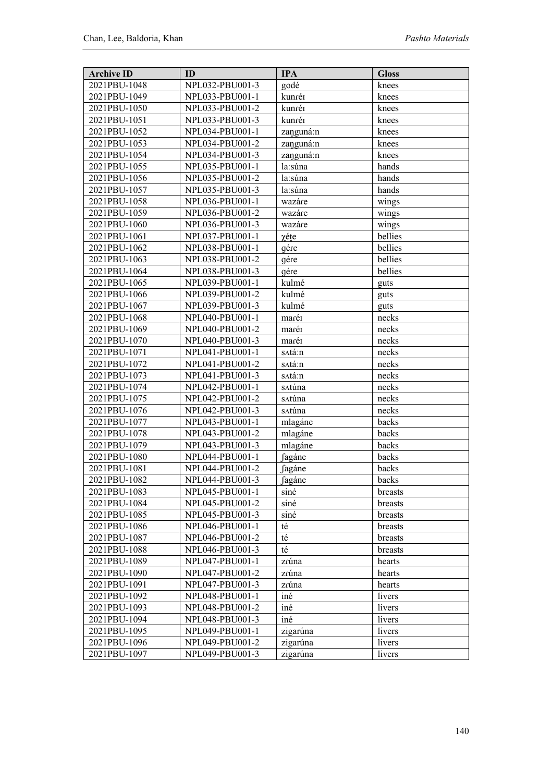| <b>Archive ID</b> | ID              | <b>IPA</b>          | <b>Gloss</b> |
|-------------------|-----------------|---------------------|--------------|
| 2021PBU-1048      | NPL032-PBU001-3 | godé                | knees        |
| 2021PBU-1049      | NPL033-PBU001-1 | kunréi              | knees        |
| 2021PBU-1050      | NPL033-PBU001-2 | kunréi              | knees        |
| 2021PBU-1051      | NPL033-PBU001-3 | kunréi              | knees        |
| 2021PBU-1052      | NPL034-PBU001-1 | zanguná:n           | knees        |
| 2021PBU-1053      | NPL034-PBU001-2 | zanguná:n           | knees        |
| 2021PBU-1054      | NPL034-PBU001-3 | zanguná:n           | knees        |
| 2021PBU-1055      | NPL035-PBU001-1 | la:súna             | hands        |
| 2021PBU-1056      | NPL035-PBU001-2 | la:súna             | hands        |
| 2021PBU-1057      | NPL035-PBU001-3 | la:súna             | hands        |
| 2021PBU-1058      | NPL036-PBU001-1 | wazáre              | wings        |
| 2021PBU-1059      | NPL036-PBU001-2 | wazáre              | wings        |
| 2021PBU-1060      | NPL036-PBU001-3 | wazáre              | wings        |
| 2021PBU-1061      | NPL037-PBU001-1 | χéte                | bellies      |
| 2021PBU-1062      | NPL038-PBU001-1 | gére                | bellies      |
| 2021PBU-1063      | NPL038-PBU001-2 | gére                | bellies      |
| 2021PBU-1064      | NPL038-PBU001-3 | gére                | bellies      |
| 2021PBU-1065      | NPL039-PBU001-1 | kulmé               | guts         |
| 2021PBU-1066      | NPL039-PBU001-2 | kulmé               | guts         |
| 2021PBU-1067      | NPL039-PBU001-3 | kulmé               | guts         |
| 2021PBU-1068      | NPL040-PBU001-1 | marén               | necks        |
| 2021PBU-1069      | NPL040-PBU001-2 | marén               | necks        |
| 2021PBU-1070      | NPL040-PBU001-3 | marén               | necks        |
| 2021PBU-1071      | NPL041-PBU001-1 | s∧tá:n              | necks        |
| 2021PBU-1072      | NPL041-PBU001-2 | s∧tá:n              | necks        |
| 2021PBU-1073      | NPL041-PBU001-3 | s∧tá:n              | necks        |
| 2021PBU-1074      | NPL042-PBU001-1 | satúna              | necks        |
| 2021PBU-1075      | NPL042-PBU001-2 | satúna              | necks        |
| 2021PBU-1076      | NPL042-PBU001-3 | satúna              | necks        |
| 2021PBU-1077      | NPL043-PBU001-1 | mlagáne             | backs        |
| 2021PBU-1078      | NPL043-PBU001-2 | mlagáne             | backs        |
| 2021PBU-1079      | NPL043-PBU001-3 | mlagáne             | backs        |
| 2021PBU-1080      | NPL044-PBU001-1 | fagáne              | backs        |
| 2021PBU-1081      | NPL044-PBU001-2 | fagáne              | backs        |
| 2021PBU-1082      | NPL044-PBU001-3 | ∫agáne              | backs        |
| 2021PBU-1083      | NPL045-PBU001-1 | siné                | breasts      |
| 2021PBU-1084      | NPL045-PBU001-2 | siné                | breasts      |
| 2021PBU-1085      | NPL045-PBU001-3 | siné                | breasts      |
| 2021PBU-1086      | NPL046-PBU001-1 | té                  | breasts      |
| 2021PBU-1087      | NPL046-PBU001-2 | $t\acute{\text{e}}$ | breasts      |
| 2021PBU-1088      | NPL046-PBU001-3 | té                  | breasts      |
| 2021PBU-1089      | NPL047-PBU001-1 | zrúna               | hearts       |
| 2021PBU-1090      | NPL047-PBU001-2 | zrúna               | hearts       |
| 2021PBU-1091      | NPL047-PBU001-3 | zrúna               | hearts       |
| 2021PBU-1092      | NPL048-PBU001-1 | iné                 | livers       |
| 2021PBU-1093      | NPL048-PBU001-2 | iné                 | livers       |
| 2021PBU-1094      | NPL048-PBU001-3 | iné                 | livers       |
| 2021PBU-1095      | NPL049-PBU001-1 | zigarúna            | livers       |
| 2021PBU-1096      | NPL049-PBU001-2 | zigarúna            | livers       |
| 2021PBU-1097      | NPL049-PBU001-3 | zigarúna            | livers       |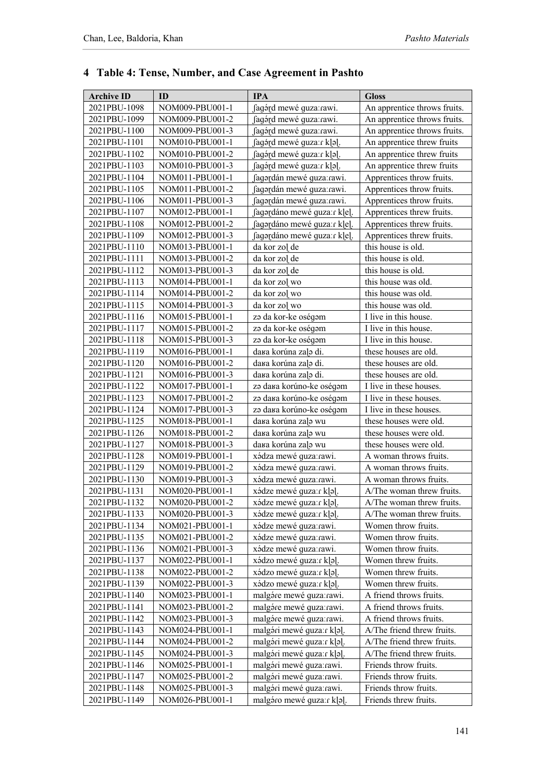| <b>Archive ID</b> | ID              | <b>IPA</b>                   | <b>Gloss</b>                 |
|-------------------|-----------------|------------------------------|------------------------------|
| 2021PBU-1098      | NOM009-PBU001-1 | fagórd mewé guza: rawi.      | An apprentice throws fruits. |
| 2021PBU-1099      | NOM009-PBU001-2 | fagórd mewé quza: rawi.      | An apprentice throws fruits. |
| 2021PBU-1100      | NOM009-PBU001-3 | fagórd mewé guza: rawi.      | An apprentice throws fruits. |
| 2021PBU-1101      | NOM010-PBU001-1 | fagord mewé quza: r k o .    | An apprentice threw fruits   |
| 2021PBU-1102      | NOM010-PBU001-2 | fagórd mewé guza: r k o .    | An apprentice threw fruits   |
| 2021PBU-1103      | NOM010-PBU001-3 | fagárd mewé guza: r k a .    | An apprentice threw fruits   |
| 2021PBU-1104      | NOM011-PBU001-1 | fagərdán mewé guza:rawi.     | Apprentices throw fruits.    |
| 2021PBU-1105      | NOM011-PBU001-2 | fagordán mewé guza:rawi.     | Apprentices throw fruits.    |
| 2021PBU-1106      | NOM011-PBU001-3 | fagordán mewé guza: rawi.    | Apprentices throw fruits.    |
| 2021PBU-1107      | NOM012-PBU001-1 | fagordáno mewé guza: r k[e]. | Apprentices threw fruits.    |
| 2021PBU-1108      | NOM012-PBU001-2 | fagordáno mewé quza: rklel.  | Apprentices threw fruits.    |
| 2021PBU-1109      | NOM012-PBU001-3 | fagordáno mewé quza: rklel.  | Apprentices threw fruits.    |
| 2021PBU-1110      | NOM013-PBU001-1 | da kor zol de                | this house is old.           |
| 2021PBU-1111      | NOM013-PBU001-2 | da kor zo] de                | this house is old.           |
| 2021PBU-1112      | NOM013-PBU001-3 | da kor zo] de                | this house is old.           |
| 2021PBU-1113      | NOM014-PBU001-1 | da kor zo] wo                | this house was old.          |
| 2021PBU-1114      | NOM014-PBU001-2 | da kor zol wo                | this house was old.          |
| 2021PBU-1115      | NOM014-PBU001-3 | da kor zo] wo                | this house was old.          |
| 2021PBU-1116      | NOM015-PBU001-1 | za da kor-ke oségam          | I live in this house.        |
| 2021PBU-1117      | NOM015-PBU001-2 | za da kor-ke oségam          | I live in this house.        |
| 2021PBU-1118      | NOM015-PBU001-3 | za da kor-ke oségam          | I live in this house.        |
| 2021PBU-1119      | NOM016-PBU001-1 | dara korúna zaļo di.         | these houses are old.        |
| 2021PBU-1120      | NOM016-PBU001-2 | dara korúna zaļo di.         | these houses are old.        |
| 2021PBU-1121      | NOM016-PBU001-3 | dara korúna zaļa di.         | these houses are old.        |
| 2021PBU-1122      | NOM017-PBU001-1 | za dara korúno-ke oségam     | I live in these houses.      |
| 2021PBU-1123      | NOM017-PBU001-2 | za dara korúno-ke oségam     | I live in these houses.      |
| 2021PBU-1124      | NOM017-PBU001-3 | za dara korúno-ke oségam     | I live in these houses.      |
| 2021PBU-1125      | NOM018-PBU001-1 | dara korúna zaļo wu          | these houses were old.       |
| 2021PBU-1126      | NOM018-PBU001-2 | dara korúna zaļa wu          | these houses were old.       |
| 2021PBU-1127      | NOM018-PBU001-3 | dara korúna zaļo wu          | these houses were old.       |
| 2021PBU-1128      | NOM019-PBU001-1 | xádza mewé quza: rawi.       | A woman throws fruits.       |
| 2021PBU-1129      | NOM019-PBU001-2 | xádza mewé guza:rawi.        | A woman throws fruits.       |
| 2021PBU-1130      | NOM019-PBU001-3 | xádza mewé quza:rawi.        | A woman throws fruits.       |
| 2021PBU-1131      | NOM020-PBU001-1 | xádze mewé guza: r k a .     | A/The woman threw fruits.    |
| 2021PBU-1132      | NOM020-PBU001-2 | xádze mewé guza: rk[a].      | A/The woman threw fruits.    |
| 2021PBU-1133      | NOM020-PBU001-3 | xádze mewé quza: r k a .     | A/The woman threw fruits.    |
| 2021PBU-1134      | NOM021-PBU001-1 | xádze mewé guza:rawi.        | Women throw fruits.          |
| 2021PBU-1135      | NOM021-PBU001-2 | xádze mewé guza:rawi.        | Women throw fruits.          |
| 2021PBU-1136      | NOM021-PBU001-3 | xádze mewé quza:rawi.        | Women throw fruits.          |
| 2021PBU-1137      | NOM022-PBU001-1 | xádzo mewé quza: r k a .     | Women threw fruits.          |
| 2021PBU-1138      | NOM022-PBU001-2 | xádzo mewé guza: r k a .     | Women threw fruits.          |
| 2021PBU-1139      | NOM022-PBU001-3 | xádzo mewé guza: r k[a].     | Women threw fruits.          |
| 2021PBU-1140      | NOM023-PBU001-1 | malgáre mewé quza: rawi.     | A friend throws fruits.      |
| 2021PBU-1141      | NOM023-PBU001-2 | malgóre mewé guza:rawi.      | A friend throws fruits.      |
| 2021PBU-1142      | NOM023-PBU001-3 | malgóre mewé quza:rawi.      | A friend throws fruits.      |
| 2021PBU-1143      | NOM024-PBU001-1 | malgóri mewé guza: r k[a].   | A/The friend threw fruits.   |
| 2021PBU-1144      | NOM024-PBU001-2 | malgóri mewé guza: r k o .   | A/The friend threw fruits.   |
| 2021PBU-1145      | NOM024-PBU001-3 | malgári mewé guza: r k a .   | A/The friend threw fruits.   |
| 2021PBU-1146      | NOM025-PBU001-1 | malgóri mewé quza:rawi.      | Friends throw fruits.        |
| 2021PBU-1147      | NOM025-PBU001-2 | malgóri mewé quza:rawi.      | Friends throw fruits.        |
| 2021PBU-1148      | NOM025-PBU001-3 | malgóri mewé guza:rawi.      | Friends throw fruits.        |
| 2021PBU-1149      | NOM026-PBU001-1 | malgáro mewé guza: r k[a].   | Friends threw fruits.        |

# **4 Table 4: Tense, Number, and Case Agreement in Pashto**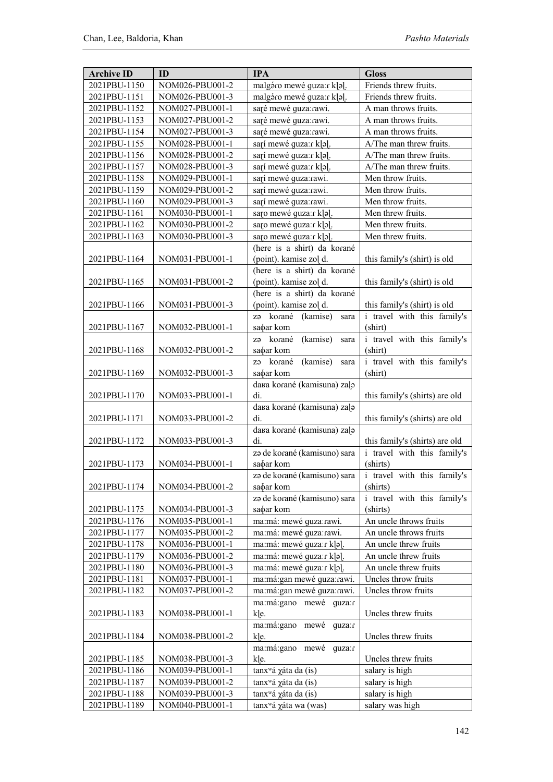| <b>Archive ID</b> | ID              | <b>IPA</b>                               | <b>Gloss</b>                   |
|-------------------|-----------------|------------------------------------------|--------------------------------|
| 2021PBU-1150      | NOM026-PBU001-2 | malgáro mewé guza: rk[a].                | Friends threw fruits.          |
| 2021PBU-1151      | NOM026-PBU001-3 | malgáro mewé guza: r k[a].               | Friends threw fruits.          |
| 2021PBU-1152      | NOM027-PBU001-1 | saré mewé guza:rawi.                     | A man throws fruits.           |
| 2021PBU-1153      | NOM027-PBU001-2 | saré mewé guza:rawi.                     | A man throws fruits.           |
| 2021PBU-1154      | NOM027-PBU001-3 | saré mewé quza:rawi.                     | A man throws fruits.           |
| 2021PBU-1155      | NOM028-PBU001-1 | sarí mewé guza: r k[a].                  | A/The man threw fruits.        |
| 2021PBU-1156      | NOM028-PBU001-2 | sarí mewé guza: rkol.                    | A/The man threw fruits.        |
| 2021PBU-1157      | NOM028-PBU001-3 | sarí mewé guza: r k a .                  | A/The man threw fruits.        |
| 2021PBU-1158      | NOM029-PBU001-1 | sarí mewé guza:rawi.                     | Men throw fruits.              |
| 2021PBU-1159      | NOM029-PBU001-2 | sarí mewé guza:rawi.                     | Men throw fruits.              |
| 2021PBU-1160      | NOM029-PBU001-3 | sarí mewé quza:rawi.                     | Men throw fruits.              |
| 2021PBU-1161      | NOM030-PBU001-1 | saro mewé guza: rkol.                    | Men threw fruits.              |
| 2021PBU-1162      | NOM030-PBU001-2 | saro mewé quza: r k a .                  | Men threw fruits.              |
| 2021PBU-1163      | NOM030-PBU001-3 | saro mewé guza: rklal.                   | Men threw fruits.              |
|                   |                 | (here is a shirt) da korané              |                                |
| 2021PBU-1164      | NOM031-PBU001-1 | (point). kamise zol d.                   | this family's (shirt) is old   |
|                   |                 | (here is a shirt) da korané              |                                |
| 2021PBU-1165      | NOM031-PBU001-2 | (point). kamise zol d.                   | this family's (shirt) is old   |
|                   |                 | (here is a shirt) da korané              |                                |
| 2021PBU-1166      | NOM031-PBU001-3 | (point). kamise zol d.                   | this family's (shirt) is old   |
|                   |                 | za korané<br>(kamise)<br>sara            | i travel with this family's    |
| 2021PBU-1167      | NOM032-PBU001-1 | sa <sub>d</sub> ar kom                   | (shirt)                        |
|                   |                 | (kamise)<br>za korané<br>sara            | i travel with this family's    |
| 2021PBU-1168      | NOM032-PBU001-2 | sa <sub>d</sub> ar kom                   | (shirt)                        |
|                   |                 | (kamise)<br>za korané<br>sara            | i travel with this family's    |
| 2021PBU-1169      | NOM032-PBU001-3 | sadar kom<br>dara korané (kamisuna) zaļa | (shirt)                        |
| 2021PBU-1170      | NOM033-PBU001-1 | di.                                      | this family's (shirts) are old |
|                   |                 | dara korané (kamisuna) zaļe              |                                |
| 2021PBU-1171      | NOM033-PBU001-2 | di.                                      | this family's (shirts) are old |
|                   |                 | dara korané (kamisuna) zaļa              |                                |
| 2021PBU-1172      | NOM033-PBU001-3 | di.                                      | this family's (shirts) are old |
|                   |                 | za de korané (kamisuno) sara             | i travel with this family's    |
| 2021PBU-1173      | NOM034-PBU001-1 | sa <sub>d</sub> ar kom                   | (shirts)                       |
|                   |                 | za de korané (kamisuno) sara             | i travel with this family's    |
| 2021PBU-1174      | NOM034-PBU001-2 | sa <sub>d</sub> ar kom                   | (shirts)                       |
|                   |                 | za de korané (kamisuno) sara             | i travel with this family's    |
| 2021PBU-1175      | NOM034-PBU001-3 | sa <sub>d</sub> ar kom                   | (shirts)                       |
| 2021PBU-1176      | NOM035-PBU001-1 | ma:má: mewé guza:rawi.                   | An uncle throws fruits         |
| 2021PBU-1177      | NOM035-PBU001-2 | ma:má: mewé guza:rawi.                   | An uncle throws fruits         |
| 2021PBU-1178      | NOM036-PBU001-1 | ma:má: mewé quza:r k a .                 | An uncle threw fruits          |
| 2021PBU-1179      | NOM036-PBU001-2 | ma:má: mewé guza: rk]a].                 | An uncle threw fruits          |
| 2021PBU-1180      | NOM036-PBU001-3 | ma:má: mewé quza:r k a .                 | An uncle threw fruits          |
| 2021PBU-1181      | NOM037-PBU001-1 | ma:má:gan mewé quza:rawi.                | Uncles throw fruits            |
| 2021PBU-1182      | NOM037-PBU001-2 | ma:má:gan mewé guza:rawi.                | Uncles throw fruits            |
|                   |                 | ma:má:gano mewé quza:r                   |                                |
| 2021PBU-1183      | NOM038-PBU001-1 | kle.                                     | Uncles threw fruits            |
|                   |                 | ma:má:gano mewé guza:r                   |                                |
| 2021PBU-1184      | NOM038-PBU001-2 | kle.<br>ma:má:gano mewé                  | Uncles threw fruits            |
| 2021PBU-1185      | NOM038-PBU001-3 | guza:r<br>k e.                           | Uncles threw fruits            |
| 2021PBU-1186      | NOM039-PBU001-1 | tanx <sup>w</sup> á χáta da (is)         | salary is high                 |
| 2021PBU-1187      | NOM039-PBU001-2 | tanx <sup>w</sup> á χáta da (is)         | salary is high                 |
| 2021PBU-1188      | NOM039-PBU001-3 | tanx <sup>w</sup> á χáta da (is)         | salary is high                 |
| 2021PBU-1189      | NOM040-PBU001-1 | tanx <sup>w</sup> á χáta wa (was)        | salary was high                |
|                   |                 |                                          |                                |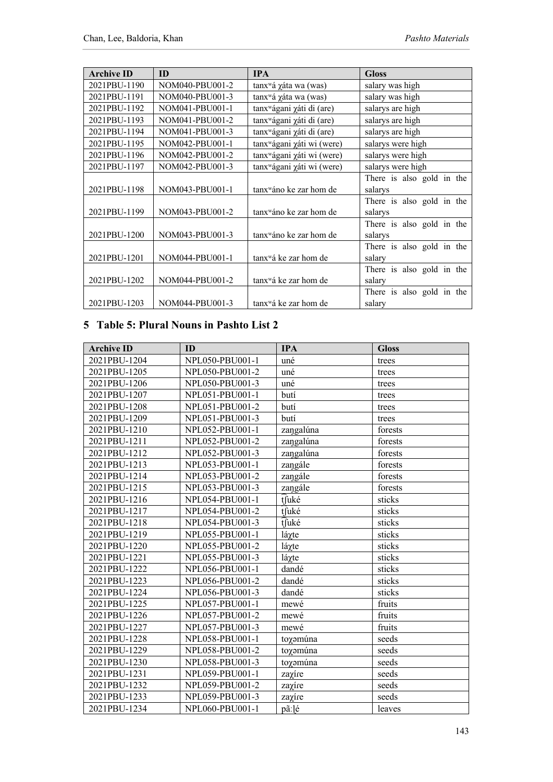| <b>Archive ID</b> | ID              | <b>IPA</b>                             | <b>Gloss</b>              |
|-------------------|-----------------|----------------------------------------|---------------------------|
| 2021PBU-1190      | NOM040-PBU001-2 | tanx <sup>w</sup> á γáta wa (was)      | salary was high           |
| 2021PBU-1191      | NOM040-PBU001-3 | tanx <sup>w</sup> á γáta wa (was)      | salary was high           |
| 2021PBU-1192      | NOM041-PBU001-1 | tanx <sup>w</sup> ágani χáti di (are)  | salarys are high          |
| 2021PBU-1193      | NOM041-PBU001-2 | tanx <sup>w</sup> ágani xáti di (are)  | salarys are high          |
| 2021PBU-1194      | NOM041-PBU001-3 | tanx <sup>w</sup> ágani χáti di (are)  | salarys are high          |
| 2021PBU-1195      | NOM042-PBU001-1 | tanx <sup>w</sup> ágani χáti wi (were) | salarys were high         |
| 2021PBU-1196      | NOM042-PBU001-2 | tanx <sup>w</sup> ágani χáti wi (were) | salarys were high         |
| 2021PBU-1197      | NOM042-PBU001-3 | tanx <sup>w</sup> ágani χáti wi (were) | salarys were high         |
|                   |                 |                                        | There is also gold in the |
| 2021PBU-1198      | NOM043-PBU001-1 | tanx <sup>w</sup> áno ke zar hom de    | salarys                   |
|                   |                 |                                        | There is also gold in the |
| 2021PBU-1199      | NOM043-PBU001-2 | tanx <sup>w</sup> áno ke zar hom de    | salarys                   |
|                   |                 |                                        | There is also gold in the |
| 2021PBU-1200      | NOM043-PBU001-3 | tanx <sup>w</sup> áno ke zar hom de    | salarys                   |
|                   |                 |                                        | There is also gold in the |
| 2021PBU-1201      | NOM044-PBU001-1 | tanx <sup>w</sup> á ke zar hom de      | salary                    |
|                   |                 |                                        | There is also gold in the |
| 2021PBU-1202      | NOM044-PBU001-2 | tanx <sup>w</sup> á ke zar hom de      | salary                    |
|                   |                 |                                        | There is also gold in the |
| 2021PBU-1203      | NOM044-PBU001-3 | tanx <sup>w</sup> á ke zar hom de      | salary                    |

### **5 Table 5: Plural Nouns in Pashto List 2**

| <b>Archive ID</b> | ID              | <b>IPA</b> | <b>Gloss</b> |
|-------------------|-----------------|------------|--------------|
| 2021PBU-1204      | NPL050-PBU001-1 | uné        | trees        |
| 2021PBU-1205      | NPL050-PBU001-2 | uné        | trees        |
| 2021PBU-1206      | NPL050-PBU001-3 | uné        | trees        |
| 2021PBU-1207      | NPL051-PBU001-1 | butí       | trees        |
| 2021PBU-1208      | NPL051-PBU001-2 | butí       | trees        |
| 2021PBU-1209      | NPL051-PBU001-3 | butí       | trees        |
| 2021PBU-1210      | NPL052-PBU001-1 | zangalúna  | forests      |
| 2021PBU-1211      | NPL052-PBU001-2 | zangalúna  | forests      |
| 2021PBU-1212      | NPL052-PBU001-3 | zangalúna  | forests      |
| 2021PBU-1213      | NPL053-PBU001-1 | zangále    | forests      |
| 2021PBU-1214      | NPL053-PBU001-2 | zangále    | forests      |
| 2021PBU-1215      | NPL053-PBU001-3 | zangále    | forests      |
| 2021PBU-1216      | NPL054-PBU001-1 | tfuké      | sticks       |
| 2021PBU-1217      | NPL054-PBU001-2 | tfuké      | sticks       |
| 2021PBU-1218      | NPL054-PBU001-3 | tfuké      | sticks       |
| 2021PBU-1219      | NPL055-PBU001-1 | láχte      | sticks       |
| 2021PBU-1220      | NPL055-PBU001-2 | láχte      | sticks       |
| 2021PBU-1221      | NPL055-PBU001-3 | láχte      | sticks       |
| 2021PBU-1222      | NPL056-PBU001-1 | dandé      | sticks       |
| 2021PBU-1223      | NPL056-PBU001-2 | dandé      | sticks       |
| 2021PBU-1224      | NPL056-PBU001-3 | dandé      | sticks       |
| 2021PBU-1225      | NPL057-PBU001-1 | mewé       | fruits       |
| 2021PBU-1226      | NPL057-PBU001-2 | mewé       | fruits       |
| 2021PBU-1227      | NPL057-PBU001-3 | mewé       | fruits       |
| 2021PBU-1228      | NPL058-PBU001-1 | toχemúna   | seeds        |
| 2021PBU-1229      | NPL058-PBU001-2 | toχemúna   | seeds        |
| 2021PBU-1230      | NPL058-PBU001-3 | toyomúna   | seeds        |
| 2021PBU-1231      | NPL059-PBU001-1 | zaχíre     | seeds        |
| 2021PBU-1232      | NPL059-PBU001-2 | zaχíre     | seeds        |
| 2021PBU-1233      | NPL059-PBU001-3 | zayíre     | seeds        |
| 2021PBU-1234      | NPL060-PBU001-1 | pã:]é      | leaves       |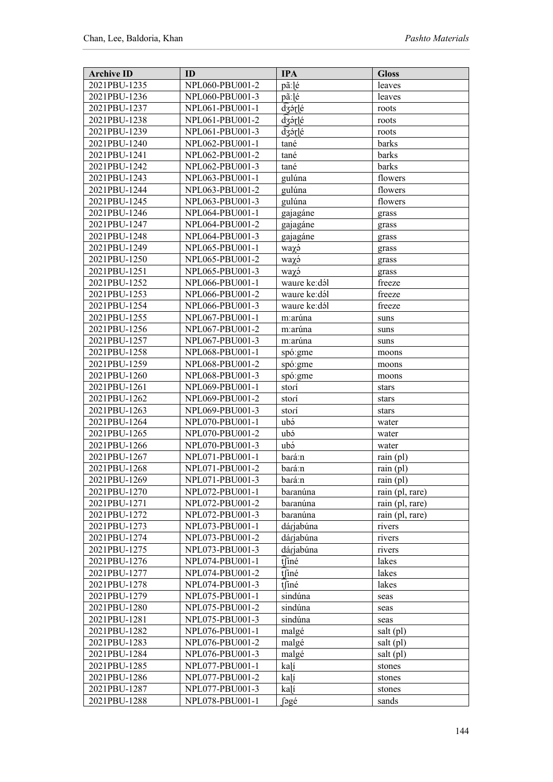| <b>Archive ID</b>            | ID                                 | <b>IPA</b>           | <b>Gloss</b>                       |
|------------------------------|------------------------------------|----------------------|------------------------------------|
| 2021PBU-1235                 | NPL060-PBU001-2                    | pã:]é                | leaves                             |
| 2021PBU-1236                 | NPL060-PBU001-3                    | pã:]é                | leaves                             |
| 2021PBU-1237                 | NPL061-PBU001-1                    | dzárlé               | roots                              |
| 2021PBU-1238                 | NPL061-PBU001-2                    | dzárlé               | roots                              |
| 2021PBU-1239                 | NPL061-PBU001-3                    | dzórlé               | roots                              |
| 2021PBU-1240                 | NPL062-PBU001-1                    | tané                 | barks                              |
| 2021PBU-1241                 | NPL062-PBU001-2                    | tané                 | barks                              |
| 2021PBU-1242                 | NPL062-PBU001-3                    | tané                 | barks                              |
| 2021PBU-1243                 | NPL063-PBU001-1                    | gulúna               | flowers                            |
| 2021PBU-1244                 | NPL063-PBU001-2                    | gulúna               | flowers                            |
| 2021PBU-1245                 | NPL063-PBU001-3                    | gulúna               | flowers                            |
| 2021PBU-1246                 | NPL064-PBU001-1                    | gajagáne             | grass                              |
| 2021PBU-1247                 | NPL064-PBU001-2                    | gajagáne             | grass                              |
| 2021PBU-1248                 | NPL064-PBU001-3                    | gajagáne             | grass                              |
| 2021PBU-1249                 | NPL065-PBU001-1                    | waχó                 | grass                              |
| 2021PBU-1250                 | NPL065-PBU001-2                    | waχэ                 | grass                              |
| 2021PBU-1251                 | NPL065-PBU001-3                    | waχó                 | grass                              |
| 2021PBU-1252                 | NPL066-PBU001-1                    | waure ke:dál         | freeze                             |
| 2021PBU-1253                 | NPL066-PBU001-2                    | waure ke:dál         | freeze                             |
| 2021PBU-1254                 | NPL066-PBU001-3                    | waure ke:dál         | freeze                             |
| 2021PBU-1255                 | NPL067-PBU001-1                    | m:arúna              | suns                               |
| 2021PBU-1256                 | NPL067-PBU001-2                    | m:arúna              | suns                               |
| 2021PBU-1257                 | NPL067-PBU001-3                    | m:arúna              | suns                               |
| 2021PBU-1258                 | NPL068-PBU001-1                    | spó:gme              | moons                              |
| 2021PBU-1259                 | NPL068-PBU001-2                    | spó: gme             | moons                              |
| 2021PBU-1260                 | NPL068-PBU001-3                    | spó:gme              | moons                              |
| 2021PBU-1261                 | NPL069-PBU001-1                    | storí                | stars                              |
| 2021PBU-1262                 | NPL069-PBU001-2                    | storí                | stars                              |
| 2021PBU-1263                 | NPL069-PBU001-3                    | storí                | stars                              |
| 2021PBU-1264                 | NPL070-PBU001-1                    | ubá                  | water                              |
| 2021PBU-1265                 | NPL070-PBU001-2                    | ubá                  | water                              |
| 2021PBU-1266                 | NPL070-PBU001-3                    | ubá                  | water                              |
| 2021PBU-1267                 | NPL071-PBU001-1                    | bará:n               | rain(pl)                           |
| 2021PBU-1268                 | NPL071-PBU001-2                    | bará∶n               | rain(pl)                           |
| 2021PBU-1269                 | NPL071-PBU001-3                    | bará:n               | rain $(pl)$                        |
| 2021PBU-1270                 | NPL072-PBU001-1                    | baranúna             | rain (pl, rare)                    |
| 2021PBU-1271<br>2021PBU-1272 | NPL072-PBU001-2<br>NPL072-PBU001-3 | baranúna<br>baranúna | rain (pl, rare)<br>rain (pl, rare) |
| 2021PBU-1273                 | NPL073-PBU001-1                    | dárjabúna            | rivers                             |
| 2021PBU-1274                 | NPL073-PBU001-2                    | dárjabúna            | rivers                             |
| 2021PBU-1275                 | NPL073-PBU001-3                    | dárjabúna            | rivers                             |
| 2021PBU-1276                 | NPL074-PBU001-1                    | tfiné                | lakes                              |
| 2021PBU-1277                 | NPL074-PBU001-2                    | tfiné                | lakes                              |
| 2021PBU-1278                 | NPL074-PBU001-3                    | tfiné                | lakes                              |
| 2021PBU-1279                 | NPL075-PBU001-1                    | sindúna              | seas                               |
| 2021PBU-1280                 | NPL075-PBU001-2                    | sindúna              | seas                               |
| 2021PBU-1281                 | NPL075-PBU001-3                    | sindúna              | seas                               |
| 2021PBU-1282                 | NPL076-PBU001-1                    | malgé                | salt (pl)                          |
| 2021PBU-1283                 | NPL076-PBU001-2                    | malgé                | salt (pl)                          |
| 2021PBU-1284                 | NPL076-PBU001-3                    | malgé                | salt (pl)                          |
| 2021PBU-1285                 | NPL077-PBU001-1                    | kalí                 | stones                             |
| 2021PBU-1286                 | NPL077-PBU001-2                    | kalí                 | stones                             |
| 2021PBU-1287                 | NPL077-PBU001-3                    | kalí                 | stones                             |
| 2021PBU-1288                 | NPL078-PBU001-1                    | ∫əgé                 | sands                              |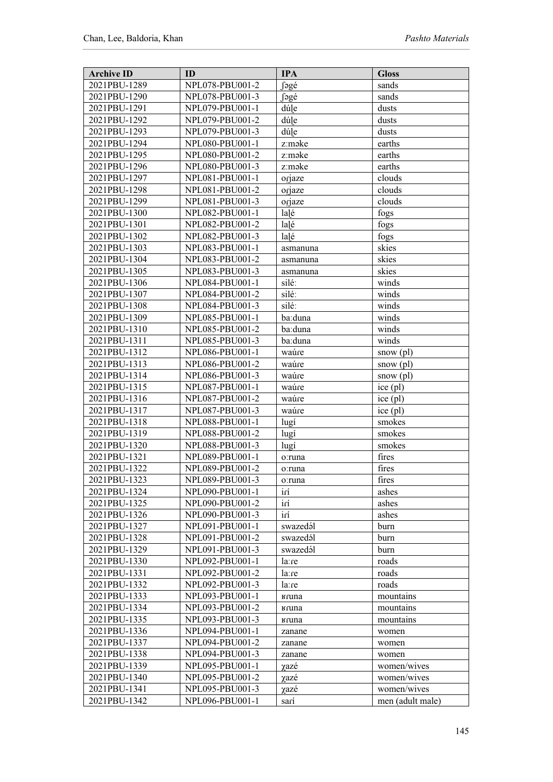| <b>Archive ID</b>            | ID                                 | <b>IPA</b>    | <b>Gloss</b>               |
|------------------------------|------------------------------------|---------------|----------------------------|
| 2021PBU-1289                 | NPL078-PBU001-2                    | fəgé          | sands                      |
| 2021PBU-1290                 | NPL078-PBU001-3                    | fəgé          | sands                      |
| 2021PBU-1291                 | NPL079-PBU001-1                    | dúle          | dusts                      |
| 2021PBU-1292                 | NPL079-PBU001-2                    | dúle          | dusts                      |
| 2021PBU-1293                 | NPL079-PBU001-3                    | dúle          | dusts                      |
| 2021PBU-1294                 | NPL080-PBU001-1                    | z:məke        | earths                     |
| 2021PBU-1295                 | NPL080-PBU001-2                    | z:məke        | earths                     |
| 2021PBU-1296                 | NPL080-PBU001-3                    | z:məke        | earths                     |
| 2021PBU-1297                 | NPL081-PBU001-1                    | orjaze        | clouds                     |
| 2021PBU-1298                 | NPL081-PBU001-2                    | orjaze        | clouds                     |
| 2021PBU-1299                 | NPL081-PBU001-3                    | orjaze        | clouds                     |
| 2021PBU-1300                 | NPL082-PBU001-1                    | lalé          | fogs                       |
| 2021PBU-1301                 | NPL082-PBU001-2                    | lalé          | fogs                       |
| 2021PBU-1302                 | NPL082-PBU001-3                    | la é          | fogs                       |
| 2021PBU-1303                 | NPL083-PBU001-1                    | asmanuna      | skies                      |
| 2021PBU-1304                 | NPL083-PBU001-2                    | asmanuna      | skies                      |
| 2021PBU-1305                 | NPL083-PBU001-3                    | asmanuna      | skies                      |
| 2021PBU-1306                 | NPL084-PBU001-1                    | silé:         | winds                      |
| 2021PBU-1307                 | NPL084-PBU001-2                    | silé:         | winds                      |
| 2021PBU-1308                 | NPL084-PBU001-3                    | silé:         | winds                      |
| 2021PBU-1309                 | NPL085-PBU001-1                    | ba:duna       | winds                      |
| 2021PBU-1310                 | NPL085-PBU001-2                    | ba:duna       | winds                      |
| 2021PBU-1311                 | NPL085-PBU001-3                    | ba:duna       | winds                      |
| 2021PBU-1312                 | NPL086-PBU001-1                    | waúre         | snow $\left($ pl $\right)$ |
| 2021PBU-1313                 | NPL086-PBU001-2                    | waúre         | snow $\left($ pl $\right)$ |
| 2021PBU-1314                 | NPL086-PBU001-3                    | waúre         | snow $\left($ pl $\right)$ |
| 2021PBU-1315                 | NPL087-PBU001-1                    | waúre         | ice (pl)                   |
| 2021PBU-1316                 | NPL087-PBU001-2                    | waúre         | ice (pl)                   |
| 2021PBU-1317                 | NPL087-PBU001-3                    | waúre         | ice (pl)                   |
| 2021PBU-1318                 | NPL088-PBU001-1                    | lugí          | smokes                     |
| 2021PBU-1319                 | NPL088-PBU001-2                    | lugí          | smokes                     |
| 2021PBU-1320                 | NPL088-PBU001-3                    | lugí          | smokes                     |
| 2021PBU-1321<br>2021PBU-1322 | NPL089-PBU001-1<br>NPL089-PBU001-2 | o:runa        | fires<br>fires             |
| 2021PBU-1323                 | NPL089-PBU001-3                    | o:runa        | fires                      |
| 2021PBU-1324                 | NPL090-PBU001-1                    | o:runa<br>irí | ashes                      |
| 2021PBU-1325                 | NPL090-PBU001-2                    | irí           | ashes                      |
| 2021PBU-1326                 | NPL090-PBU001-3                    | irí           | ashes                      |
| 2021PBU-1327                 | NPL091-PBU001-1                    | swazedál      | burn                       |
| 2021PBU-1328                 | NPL091-PBU001-2                    | swazedál      | burn                       |
| 2021PBU-1329                 | NPL091-PBU001-3                    | swazedál      | burn                       |
| 2021PBU-1330                 | NPL092-PBU001-1                    | la:re         | roads                      |
| 2021PBU-1331                 | NPL092-PBU001-2                    | la:re         | roads                      |
| 2021PBU-1332                 | NPL092-PBU001-3                    | la:re         | roads                      |
| 2021PBU-1333                 | NPL093-PBU001-1                    | <b>Kruna</b>  | mountains                  |
| 2021PBU-1334                 | NPL093-PBU001-2                    | kruna         | mountains                  |
| 2021PBU-1335                 | NPL093-PBU001-3                    | <b>Kruna</b>  | mountains                  |
| 2021PBU-1336                 | NPL094-PBU001-1                    | zanane        | women                      |
| 2021PBU-1337                 | NPL094-PBU001-2                    | zanane        | women                      |
| 2021PBU-1338                 | NPL094-PBU001-3                    | zanane        | women                      |
| 2021PBU-1339                 | NPL095-PBU001-1                    | γazé          | women/wives                |
| 2021PBU-1340                 | NPL095-PBU001-2                    | χazé          | women/wives                |
| 2021PBU-1341                 | NPL095-PBU001-3                    | χazé          | women/wives                |
| 2021PBU-1342                 | NPL096-PBU001-1                    | sarí          | men (adult male)           |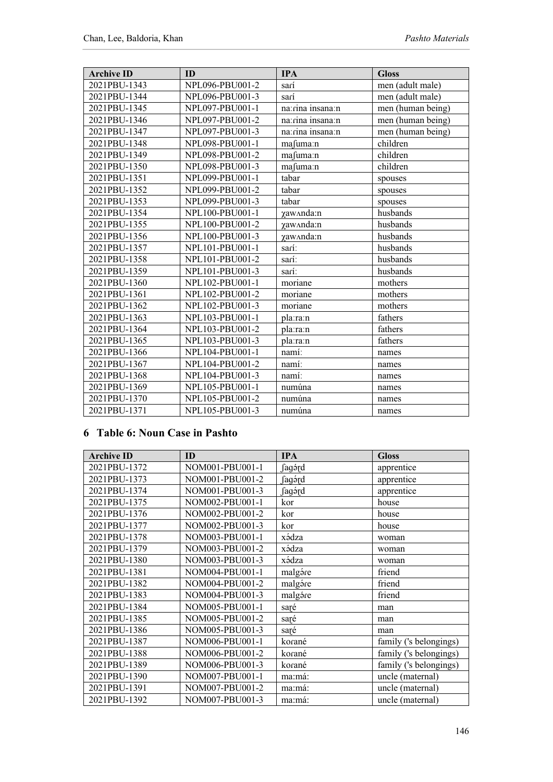| <b>Archive ID</b> | ID              | <b>IPA</b>         | <b>Gloss</b>      |
|-------------------|-----------------|--------------------|-------------------|
| 2021PBU-1343      | NPL096-PBU001-2 | sarí               | men (adult male)  |
| 2021PBU-1344      | NPL096-PBU001-3 | sarí               | men (adult male)  |
| 2021PBU-1345      | NPL097-PBU001-1 | na:rina insana:n   | men (human being) |
| 2021PBU-1346      | NPL097-PBU001-2 | na: rina insana: n | men (human being) |
| 2021PBU-1347      | NPL097-PBU001-3 | na: rina insana: n | men (human being) |
| 2021PBU-1348      | NPL098-PBU001-1 | mafuma:n           | children          |
| 2021PBU-1349      | NPL098-PBU001-2 | mafuma:n           | children          |
| 2021PBU-1350      | NPL098-PBU001-3 | mafuma:n           | children          |
| 2021PBU-1351      | NPL099-PBU001-1 | tabar              | spouses           |
| 2021PBU-1352      | NPL099-PBU001-2 | tabar              | spouses           |
| 2021PBU-1353      | NPL099-PBU001-3 | tabar              | spouses           |
| 2021PBU-1354      | NPL100-PBU001-1 | yaw^nda:n          | husbands          |
| 2021PBU-1355      | NPL100-PBU001-2 | yaw^nda:n          | husbands          |
| 2021PBU-1356      | NPL100-PBU001-3 | yaw^nda:n          | husbands          |
| 2021PBU-1357      | NPL101-PBU001-1 | sarí:              | husbands          |
| 2021PBU-1358      | NPL101-PBU001-2 | sarí:              | husbands          |
| 2021PBU-1359      | NPL101-PBU001-3 | sarí:              | husbands          |
| 2021PBU-1360      | NPL102-PBU001-1 | moriane            | mothers           |
| 2021PBU-1361      | NPL102-PBU001-2 | moriane            | mothers           |
| 2021PBU-1362      | NPL102-PBU001-3 | moriane            | mothers           |
| 2021PBU-1363      | NPL103-PBU001-1 | pla:ra:n           | fathers           |
| 2021PBU-1364      | NPL103-PBU001-2 | pla:ra:n           | fathers           |
| 2021PBU-1365      | NPL103-PBU001-3 | pla:ra:n           | fathers           |
| 2021PBU-1366      | NPL104-PBU001-1 | namí:              | names             |
| 2021PBU-1367      | NPL104-PBU001-2 | namí:              | names             |
| 2021PBU-1368      | NPL104-PBU001-3 | namí:              | names             |
| 2021PBU-1369      | NPL105-PBU001-1 | numúna             | names             |
| 2021PBU-1370      | NPL105-PBU001-2 | numúna             | names             |
| 2021PBU-1371      | NPL105-PBU001-3 | numúna             | names             |

#### **6 Table 6: Noun Case in Pashto**

| <b>Archive ID</b> | ID              | <b>IPA</b> | <b>Gloss</b>           |
|-------------------|-----------------|------------|------------------------|
| 2021PBU-1372      | NOM001-PBU001-1 | fagórd     | apprentice             |
| 2021PBU-1373      | NOM001-PBU001-2 | fagórd     | apprentice             |
| 2021PBU-1374      | NOM001-PBU001-3 | ∫agэ́rd    | apprentice             |
| 2021PBU-1375      | NOM002-PBU001-1 | kor        | house                  |
| 2021PBU-1376      | NOM002-PBU001-2 | kor        | house                  |
| 2021PBU-1377      | NOM002-PBU001-3 | kor        | house                  |
| 2021PBU-1378      | NOM003-PBU001-1 | xádza      | woman                  |
| 2021PBU-1379      | NOM003-PBU001-2 | xádza      | woman                  |
| 2021PBU-1380      | NOM003-PBU001-3 | xádza      | woman                  |
| 2021PBU-1381      | NOM004-PBU001-1 | malgáre    | friend                 |
| 2021PBU-1382      | NOM004-PBU001-2 | malgáre    | friend                 |
| 2021PBU-1383      | NOM004-PBU001-3 | malgáre    | friend                 |
| 2021PBU-1384      | NOM005-PBU001-1 | saré       | man                    |
| 2021PBU-1385      | NOM005-PBU001-2 | saré       | man                    |
| 2021PBU-1386      | NOM005-PBU001-3 | saré       | man                    |
| 2021PBU-1387      | NOM006-PBU001-1 | korané     | family ('s belongings) |
| 2021PBU-1388      | NOM006-PBU001-2 | korané     | family ('s belongings) |
| 2021PBU-1389      | NOM006-PBU001-3 | korané     | family ('s belongings) |
| 2021PBU-1390      | NOM007-PBU001-1 | ma:má:     | uncle (maternal)       |
| 2021PBU-1391      | NOM007-PBU001-2 | ma:má:     | uncle (maternal)       |
| 2021PBU-1392      | NOM007-PBU001-3 | ma:má:     | uncle (maternal)       |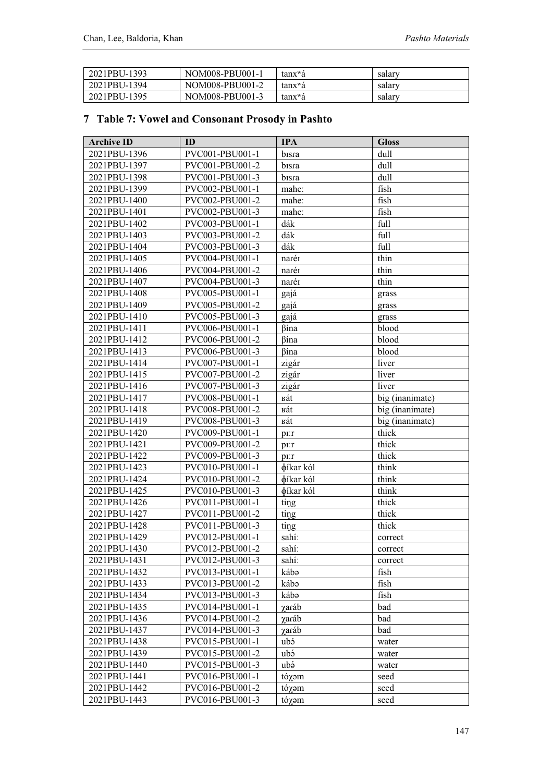| 2021PBU-1393 | NOM008-PBU001-1 | tanx <sup>w</sup> á | salary |
|--------------|-----------------|---------------------|--------|
| 2021PBU-1394 | NOM008-PBU001-2 | tanx <sup>w</sup> á | salary |
| 2021PBU-1395 | NOM008-PBU001-3 | tanx <sup>w</sup> á | salary |

### **7 Table 7: Vowel and Consonant Prosody in Pashto**

| <b>Archive ID</b> | ID              | <b>IPA</b> | <b>Gloss</b>    |
|-------------------|-----------------|------------|-----------------|
| 2021PBU-1396      | PVC001-PBU001-1 | bisra      | dull            |
| 2021PBU-1397      | PVC001-PBU001-2 | bisra      | dull            |
| 2021PBU-1398      | PVC001-PBU001-3 | bisra      | dull            |
| 2021PBU-1399      | PVC002-PBU001-1 | mahe:      | fish            |
| 2021PBU-1400      | PVC002-PBU001-2 | mahe:      | fish            |
| 2021PBU-1401      | PVC002-PBU001-3 | mahe:      | fish            |
| 2021PBU-1402      | PVC003-PBU001-1 | dák        | full            |
| 2021PBU-1403      | PVC003-PBU001-2 | dák        | full            |
| 2021PBU-1404      | PVC003-PBU001-3 | dák        | full            |
| 2021PBU-1405      | PVC004-PBU001-1 | naréi      | thin            |
| 2021PBU-1406      | PVC004-PBU001-2 | naréi      | thin            |
| 2021PBU-1407      | PVC004-PBU001-3 | naréi      | thin            |
| 2021PBU-1408      | PVC005-PBU001-1 | gajá       | grass           |
| 2021PBU-1409      | PVC005-PBU001-2 | gajá       | grass           |
| 2021PBU-1410      | PVC005-PBU001-3 | gajá       | grass           |
| 2021PBU-1411      | PVC006-PBU001-1 | βína       | blood           |
| 2021PBU-1412      | PVC006-PBU001-2 | βína       | blood           |
| 2021PBU-1413      | PVC006-PBU001-3 | βína       | blood           |
| 2021PBU-1414      | PVC007-PBU001-1 | zigár      | liver           |
| 2021PBU-1415      | PVC007-PBU001-2 | zigár      | liver           |
| 2021PBU-1416      | PVC007-PBU001-3 | zigár      | liver           |
| 2021PBU-1417      | PVC008-PBU001-1 | кát        | big (inanimate) |
| 2021PBU-1418      | PVC008-PBU001-2 | кát        | big (inanimate) |
| 2021PBU-1419      | PVC008-PBU001-3 | кát        | big (inanimate) |
| 2021PBU-1420      | PVC009-PBU001-1 | pr:r       | thick           |
| 2021PBU-1421      | PVC009-PBU001-2 | pr:r       | thick           |
| 2021PBU-1422      | PVC009-PBU001-3 | $PI$ : $r$ | thick           |
| 2021PBU-1423      | PVC010-PBU001-1 | φίkar kól  | think           |
| 2021PBU-1424      | PVC010-PBU001-2 | φίkar kól  | think           |
| 2021PBU-1425      | PVC010-PBU001-3 | φίkar kól  | think           |
| 2021PBU-1426      | PVC011-PBU001-1 | ting       | thick           |
| 2021PBU-1427      | PVC011-PBU001-2 | ting       | thick           |
| 2021PBU-1428      | PVC011-PBU001-3 | ting       | thick           |
| 2021PBU-1429      | PVC012-PBU001-1 | sahí:      | correct         |
| 2021PBU-1430      | PVC012-PBU001-2 | sahí:      | correct         |
| 2021PBU-1431      | PVC012-PBU001-3 | sahí:      | correct         |
| 2021PBU-1432      | PVC013-PBU001-1 | kábə       | fish            |
| 2021PBU-1433      | PVC013-PBU001-2 | kábə       | fish            |
| 2021PBU-1434      | PVC013-PBU001-3 | kábə       | fish            |
| 2021PBU-1435      | PVC014-PBU001-1 | χaráb      | bad             |
| 2021PBU-1436      | PVC014-PBU001-2 | γaráb      | bad             |
| 2021PBU-1437      | PVC014-PBU001-3 | γaráb      | bad             |
| 2021PBU-1438      | PVC015-PBU001-1 | ubá        | water           |
| 2021PBU-1439      | PVC015-PBU001-2 | ubá        | water           |
| 2021PBU-1440      | PVC015-PBU001-3 | ubə        | water           |
| 2021PBU-1441      | PVC016-PBU001-1 | tóχəm      | seed            |
| 2021PBU-1442      | PVC016-PBU001-2 | tóχəm      | seed            |
| 2021PBU-1443      | PVC016-PBU001-3 | tóχəm      | seed            |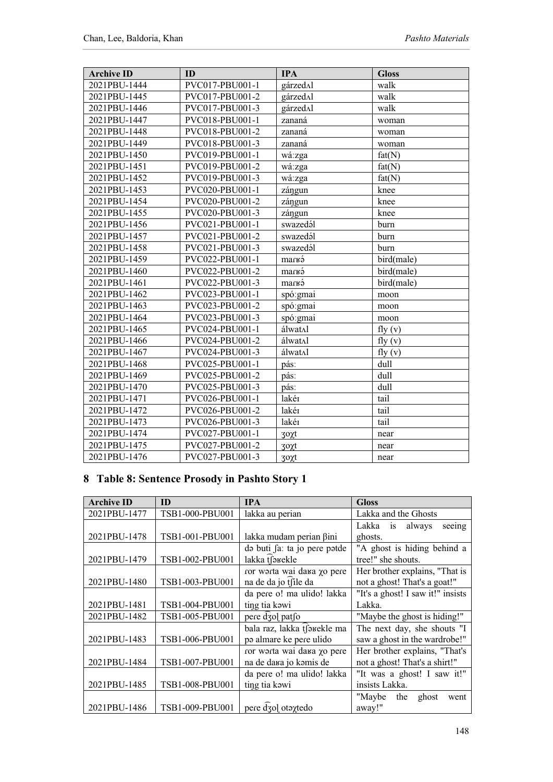| <b>Archive ID</b> | ID              | <b>IPA</b> | <b>Gloss</b> |
|-------------------|-----------------|------------|--------------|
| 2021PBU-1444      | PVC017-PBU001-1 | gárzedAl   | walk         |
| 2021PBU-1445      | PVC017-PBU001-2 | gárzedAl   | walk         |
| 2021PBU-1446      | PVC017-PBU001-3 | gárzedAl   | walk         |
| 2021PBU-1447      | PVC018-PBU001-1 | zananá     | woman        |
| 2021PBU-1448      | PVC018-PBU001-2 | zananá     | woman        |
| 2021PBU-1449      | PVC018-PBU001-3 | zananá     | woman        |
| 2021PBU-1450      | PVC019-PBU001-1 | wá:zga     | fat(N)       |
| 2021PBU-1451      | PVC019-PBU001-2 | wá:zga     | fat(N)       |
| 2021PBU-1452      | PVC019-PBU001-3 | wá:zga     | fat(N)       |
| 2021PBU-1453      | PVC020-PBU001-1 | zángun     | knee         |
| 2021PBU-1454      | PVC020-PBU001-2 | zángun     | knee         |
| 2021PBU-1455      | PVC020-PBU001-3 | zángun     | knee         |
| 2021PBU-1456      | PVC021-PBU001-1 | swazedál   | burn         |
| 2021PBU-1457      | PVC021-PBU001-2 | swazedál   | burn         |
| 2021PBU-1458      | PVC021-PBU001-3 | swazedál   | burn         |
| 2021PBU-1459      | PVC022-PBU001-1 | marka      | bird(male)   |
| 2021PBU-1460      | PVC022-PBU001-2 | marka      | bird(male)   |
| 2021PBU-1461      | PVC022-PBU001-3 | marka      | bird(male)   |
| 2021PBU-1462      | PVC023-PBU001-1 | spó: gmai  | moon         |
| 2021PBU-1463      | PVC023-PBU001-2 | spó:gmai   | moon         |
| 2021PBU-1464      | PVC023-PBU001-3 | spó:gmai   | moon         |
| 2021PBU-1465      | PVC024-PBU001-1 | álwat∧l    | fly $(v)$    |
| 2021PBU-1466      | PVC024-PBU001-2 | álwat∧l    | fly(y)       |
| 2021PBU-1467      | PVC024-PBU001-3 | álwat∧l    | fly $(v)$    |
| 2021PBU-1468      | PVC025-PBU001-1 | pás:       | dull         |
| 2021PBU-1469      | PVC025-PBU001-2 | pás:       | dull         |
| 2021PBU-1470      | PVC025-PBU001-3 | pás:       | dull         |
| 2021PBU-1471      | PVC026-PBU001-1 | lakér      | tail         |
| 2021PBU-1472      | PVC026-PBU001-2 | lakér      | tail         |
| 2021PBU-1473      | PVC026-PBU001-3 | lakér      | tail         |
| 2021PBU-1474      | PVC027-PBU001-1 | 3οχt       | near         |
| 2021PBU-1475      | PVC027-PBU001-2 | 3οχt       | near         |
| 2021PBU-1476      | PVC027-PBU001-3 | 3οχt       | near         |

### **8 Table 8: Sentence Prosody in Pashto Story 1**

| <b>Archive ID</b> | ID              | <b>IPA</b>                   | Gloss                             |
|-------------------|-----------------|------------------------------|-----------------------------------|
| 2021PBU-1477      | TSB1-000-PBU001 | lakka au perian              | Lakka and the Ghosts              |
|                   |                 |                              | Lakka<br>always<br>is<br>seeing   |
| 2021PBU-1478      | TSB1-001-PBU001 | lakka mudam perian ßini      | ghosts.                           |
|                   |                 | do buti fa: ta jo pere potde | "A ghost is hiding behind a       |
| 2021PBU-1479      | TSB1-002-PBU001 | lakka tfakekle               | tree!" she shouts.                |
|                   |                 | ror worta wai dana yo pere   | Her brother explains, "That is    |
| 2021PBU-1480      | TSB1-003-PBU001 | na de da jo tsile da         | not a ghost! That's a goat!"      |
|                   |                 | da pere o! ma ulido! lakka   | "It's a ghost! I saw it!" insists |
| 2021PBU-1481      | TSB1-004-PBU001 | ting tia kawi                | Lakka.                            |
| 2021PBU-1482      | TSB1-005-PBU001 | pere dzol patfo              | "Maybe the ghost is hiding!"      |
|                   |                 | bala raz, lakka tfarekle ma  | The next day, she shouts "I       |
| 2021PBU-1483      | TSB1-006-PBU001 | po almare ke pere ulido      | saw a ghost in the wardrobe!"     |
|                   |                 | ror worta wai dana yo pere   | Her brother explains, "That's     |
| 2021PBU-1484      | TSB1-007-PBU001 | na de dara jo komis de       | not a ghost! That's a shirt!"     |
|                   |                 | da pere o! ma ulido! lakka   | "It was a ghost! I saw it!"       |
| 2021PBU-1485      | TSB1-008-PBU001 | ting tia kawi                | insists Lakka.                    |
|                   |                 |                              | "Maybe<br>the<br>ghost<br>went    |
| 2021PBU-1486      | TSB1-009-PBU001 | pere dzol otaxtedo           | away!"                            |